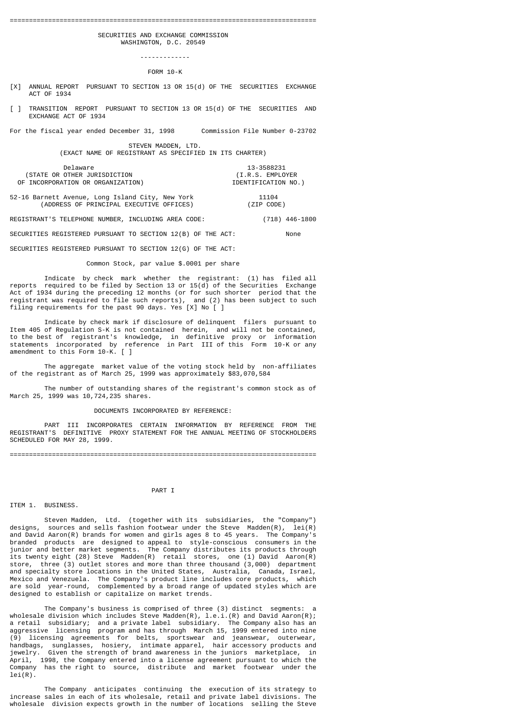#### ================================================================================

 SECURITIES AND EXCHANGE COMMISSION WASHINGTON, D.C. 20549

> ------------- FORM 10-K

- [X] ANNUAL REPORT PURSUANT TO SECTION 13 OR 15(d) OF THE SECURITIES EXCHANGE ACT OF 1934
- [ ] TRANSITION REPORT PURSUANT TO SECTION 13 OR 15(d) OF THE SECURITIES AND EXCHANGE ACT OF 1934
- For the fiscal year ended December 31, 1998 Commission File Number 0-23702

 STEVEN MADDEN, LTD. (EXACT NAME OF REGISTRANT AS SPECIFIED IN ITS CHARTER)

 Delaware 13-3588231 (STATE OR OTHER JURISDICTION (I.R.S. EMPLOYER OF INCORPORATION OR ORGANIZATION)

52-16 Barnett Avenue, Long Island City, New York 11104<br>(ADDRESS OF PRINCIPAL EXECUTIVE OFFICES) (ZIP CODE) (ADDRESS OF PRINCIPAL EXECUTIVE OFFICES)

REGISTRANT'S TELEPHONE NUMBER, INCLUDING AREA CODE: (718) 446-1800

SECURITIES REGISTERED PURSUANT TO SECTION 12(B) OF THE ACT: None

SECURITIES REGISTERED PURSUANT TO SECTION 12(G) OF THE ACT:

Common Stock, par value \$.0001 per share

 Indicate by check mark whether the registrant: (1) has filed all reports required to be filed by Section 13 or  $15(d)$  of the Securities Exchange Act of 1934 during the preceding 12 months (or for such shorter period that the registrant was required to file such reports), and (2) has been subject to such filing requirements for the past 90 days. Yes [X] No [ ]

 Indicate by check mark if disclosure of delinquent filers pursuant to Item 405 of Regulation S-K is not contained herein, and will not be contained, to the best of registrant's knowledge, in definitive proxy or information statements incorporated by reference in Part III of this Form 10-K or any amendment to this Form 10-K. [ ]

 The aggregate market value of the voting stock held by non-affiliates of the registrant as of March 25, 1999 was approximately \$83,070,584

 The number of outstanding shares of the registrant's common stock as of March 25, 1999 was 10,724,235 shares.

### DOCUMENTS INCORPORATED BY REFERENCE:

 PART III INCORPORATES CERTAIN INFORMATION BY REFERENCE FROM THE REGISTRANT'S DEFINITIVE PROXY STATEMENT FOR THE ANNUAL MEETING OF STOCKHOLDERS SCHEDULED FOR MAY 28, 1999.

================================================================================

#### PART I

### ITEM 1. BUSINESS.

 Steven Madden, Ltd. (together with its subsidiaries, the "Company") designs, sources and sells fashion footwear under the Steve Madden(R), lei(R) and David Aaron(R) brands for women and girls ages 8 to 45 years. The Company's branded products are designed to appeal to style-conscious consumers in the junior and better market segments. The Company distributes its products through its twenty eight (28) Steve Madden(R) retail stores, one (1) David Aaron(R) store, three (3) outlet stores and more than three thousand (3,000) department and specialty store locations in the United States, Australia, Canada, Israel, Mexico and Venezuela. The Company's product line includes core products, which are sold year-round, complemented by a broad range of updated styles which are designed to establish or capitalize on market trends.

 The Company's business is comprised of three (3) distinct segments: a wholesale division which includes Steve Madden(R), l.e.i.(R) and David Aaron(R); a retail subsidiary; and a private label subsidiary. The Company also has an aggressive licensing program and has through March 15, 1999 entered into nine (9) licensing agreements for belts, sportswear and jeanswear, outerwear, handbags, sunglasses, hosiery, intimate apparel, hair accessory products and jewelry. Given the strength of brand awareness in the juniors marketplace, in April, 1998, the Company entered into a license agreement pursuant to which the Company has the right to source, distribute and market footwear under the  $lei(R)$ .

 The Company anticipates continuing the execution of its strategy to increase sales in each of its wholesale, retail and private label divisions. The wholesale division expects growth in the number of locations selling the Steve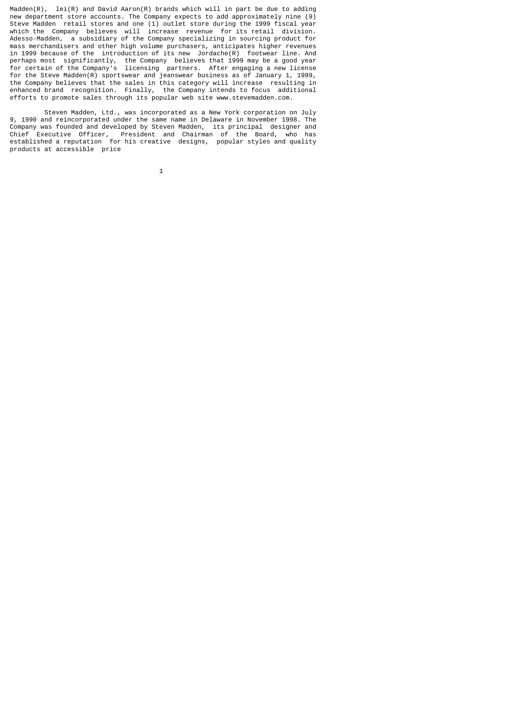Madden(R),  $lei(R)$  and David Aaron(R) brands which will in part be due to adding new department store accounts. The Company expects to add approximately nine (9) Steve Madden retail stores and one (1) outlet store during the 1999 fiscal year which the Company believes will increase revenue for its retail division. Adesso-Madden, a subsidiary of the Company specializing in sourcing product for mass merchandisers and other high volume purchasers, anticipates higher revenues in 1999 because of the introduction of its new Jordache(R) footwear line. And perhaps most significantly, the Company believes that 1999 may be a good year for certain of the Company's licensing partners. After engaging a new license for the Steve Madden(R) sportswear and jeanswear business as of January 1, 1999, the Company believes that the sales in this category will increase resulting in enhanced brand recognition. Finally, the Company intends to focus additional efforts to promote sales through its popular web site www.stevemadden.com.

 Steven Madden, Ltd., was incorporated as a New York corporation on July 9, 1990 and reincorporated under the same name in Delaware in November 1998. The Company was founded and developed by Steven Madden, its principal designer and Chief Executive Officer, President and Chairman of the Board, who has established a reputation for his creative designs, popular styles and quality products at accessible price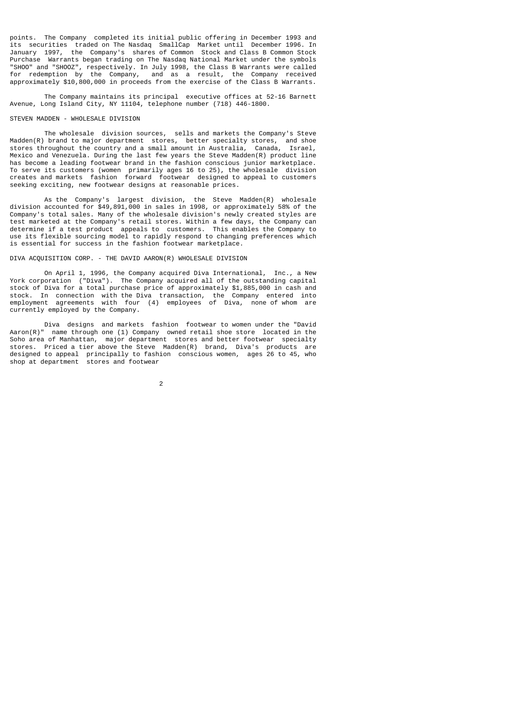points. The Company completed its initial public offering in December 1993 and its securities traded on The Nasdaq SmallCap Market until December 1996. In January 1997, the Company's shares of Common Stock and Class B Common Stock Purchase Warrants began trading on The Nasdaq National Market under the symbols "SHOO" and "SHOOZ", respectively. In July 1998, the Class B Warrants were called for redemption by the Company, and as a result, the Company received approximately \$10,800,000 in proceeds from the exercise of the Class B Warrants.

 The Company maintains its principal executive offices at 52-16 Barnett Avenue, Long Island City, NY 11104, telephone number (718) 446-1800.

# STEVEN MADDEN - WHOLESALE DIVISION

 The wholesale division sources, sells and markets the Company's Steve Madden(R) brand to major department stores, better specialty stores, and shoe stores throughout the country and a small amount in Australia, Canada, Israel, Mexico and Venezuela. During the last few years the Steve Madden(R) product line has become a leading footwear brand in the fashion conscious junior marketplace. To serve its customers (women primarily ages 16 to 25), the wholesale division creates and markets fashion forward footwear designed to appeal to customers seeking exciting, new footwear designs at reasonable prices.

 As the Company's largest division, the Steve Madden(R) wholesale division accounted for \$49,891,000 in sales in 1998, or approximately 58% of the Company's total sales. Many of the wholesale division's newly created styles are test marketed at the Company's retail stores. Within a few days, the Company can determine if a test product appeals to customers. This enables the Company to use its flexible sourcing model to rapidly respond to changing preferences which is essential for success in the fashion footwear marketplace.

# DIVA ACQUISITION CORP. - THE DAVID AARON(R) WHOLESALE DIVISION

 On April 1, 1996, the Company acquired Diva International, Inc., a New York corporation ("Diva"). The Company acquired all of the outstanding capital stock of Diva for a total purchase price of approximately \$1,885,000 in cash and stock. In connection with the Diva transaction, the Company entered into employment agreements with four (4) employees of Diva, none of whom are currently employed by the Company.

 Diva designs and markets fashion footwear to women under the "David Aaron(R)" name through one (1) Company owned retail shoe store located in the Soho area of Manhattan, major department stores and better footwear specialty stores. Priced a tier above the Steve Madden(R) brand, Diva's products are designed to appeal principally to fashion conscious women, ages 26 to 45, who shop at department stores and footwear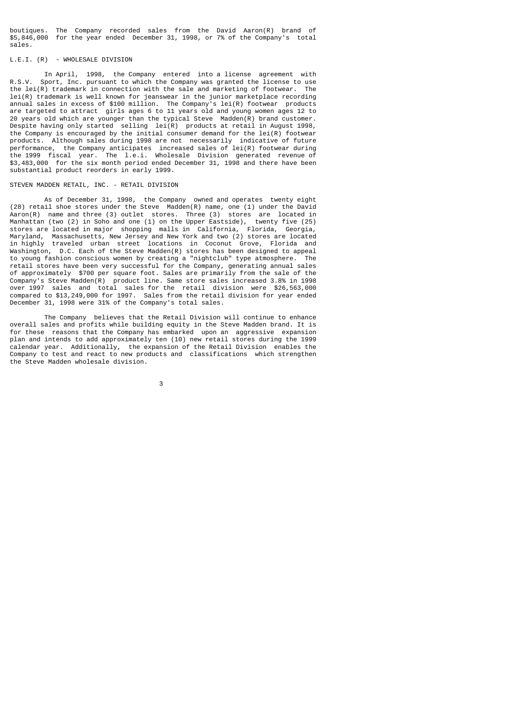boutiques. The Company recorded sales from the David Aaron(R) brand of \$5,846,000 for the year ended December 31, 1998, or 7% of the Company's total sales.

# L.E.I. (R) - WHOLESALE DIVISION

 In April, 1998, the Company entered into a license agreement with R.S.V. Sport, Inc. pursuant to which the Company was granted the license to use the lei(R) trademark in connection with the sale and marketing of footwear. The lei(R) trademark is well known for jeanswear in the junior marketplace recording annual sales in excess of \$100 million. The Company's lei(R) footwear products are targeted to attract girls ages 6 to 11 years old and young women ages 12 to 20 years old which are younger than the typical Steve Madden(R) brand customer. Despite having only started selling lei(R) products at retail in August 1998, the Company is encouraged by the initial consumer demand for the lei(R) footwear products. Although sales during 1998 are not necessarily indicative of future performance, the Company anticipates increased sales of lei(R) footwear during the 1999 fiscal year. The l.e.i. Wholesale Division generated revenue of \$3,483,000 for the six month period ended December 31, 1998 and there have been substantial product reorders in early 1999.

# STEVEN MADDEN RETAIL, INC. - RETAIL DIVISION

 As of December 31, 1998, the Company owned and operates twenty eight (28) retail shoe stores under the Steve Madden(R) name, one (1) under the David Aaron(R) name and three (3) outlet stores. Three (3) stores are located in Manhattan (two (2) in Soho and one (1) on the Upper Eastside), twenty five (25) stores are located in major shopping malls in California, Florida, Georgia, Maryland, Massachusetts, New Jersey and New York and two (2) stores are located in highly traveled urban street locations in Coconut Grove, Florida and Washington, D.C. Each of the Steve Madden(R) stores has been designed to appeal to young fashion conscious women by creating a "nightclub" type atmosphere. The retail stores have been very successful for the Company, generating annual sales of approximately \$700 per square foot. Sales are primarily from the sale of the Company's Steve Madden(R) product line. Same store sales increased 3.8% in 1998 over 1997 sales and total sales for the retail division were \$26,563,000 compared to \$13,249,000 for 1997. Sales from the retail division for year ended December 31, 1998 were 31% of the Company's total sales.

 The Company believes that the Retail Division will continue to enhance overall sales and profits while building equity in the Steve Madden brand. It is for these reasons that the Company has embarked upon an aggressive expansion plan and intends to add approximately ten (10) new retail stores during the 1999 calendar year. Additionally, the expansion of the Retail Division enables the Company to test and react to new products and classifications which strengthen the Steve Madden wholesale division.

 $\sim$  3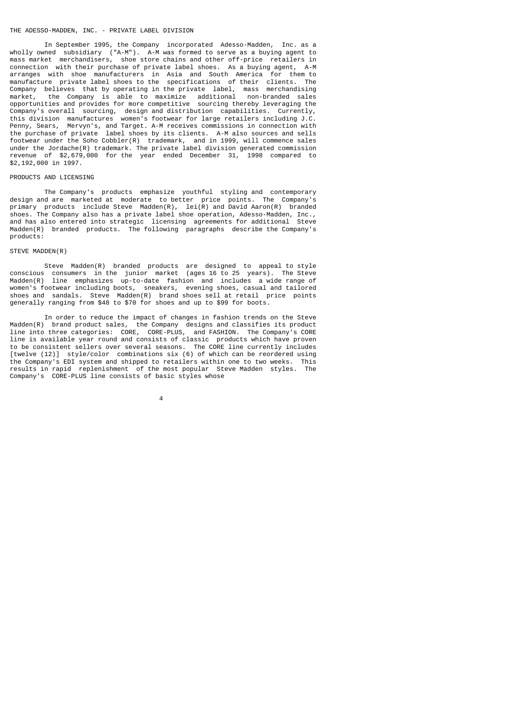### THE ADESSO-MADDEN, INC. - PRIVATE LABEL DIVISION

 In September 1995, the Company incorporated Adesso-Madden, Inc. as a wholly owned subsidiary ("A-M"). A-M was formed to serve as a buying agent to mass market merchandisers, shoe store chains and other off-price retailers in connection with their purchase of private label shoes. As a buying agent, A-M arranges with shoe manufacturers in Asia and South America for them to manufacture private label shoes to the specifications of their clients. The Company believes that by operating in the private label, mass merchandising market, the Company is able to maximize additional non-branded sales opportunities and provides for more competitive sourcing thereby leveraging the Company's overall sourcing, design and distribution capabilities. Currently, this division manufactures women's footwear for large retailers including J.C. Penny, Sears, Mervyn's, and Target. A-M receives commissions in connection with the purchase of private label shoes by its clients. A-M also sources and sells footwear under the Soho Cobbler(R) trademark, and in 1999, will commence sales under the Jordache(R) trademark. The private label division generated commission revenue of \$2,679,000 for the year ended December 31, 1998 compared to \$2,192,000 in 1997.

# PRODUCTS AND LICENSING

 The Company's products emphasize youthful styling and contemporary design and are marketed at moderate to better price points. The Company's primary products include Steve Madden(R), lei(R) and David Aaron(R) branded shoes. The Company also has a private label shoe operation, Adesso-Madden, Inc., and has also entered into strategic licensing agreements for additional Madden(R) branded products. The following paragraphs describe the Company's products:

# STEVE MADDEN(R)

4

 Steve Madden(R) branded products are designed to appeal to style conscious consumers in the junior market (ages 16 to 25 years). The Steve Madden(R) line emphasizes up-to-date fashion and includes a wide range of women's footwear including boots, sneakers, evening shoes, casual and tailored shoes and sandals. Steve Madden(R) brand shoes sell at retail price points generally ranging from \$48 to \$70 for shoes and up to \$99 for boots.

 In order to reduce the impact of changes in fashion trends on the Steve Madden(R) brand product sales, the Company designs and classifies its product line into three categories: CORE, CORE-PLUS, and FASHION. The Company's CORE line is available year round and consists of classic products which have proven to be consistent sellers over several seasons. The CORE line currently includes [twelve (12)] style/color combinations six (6) of which can be reordered using the Company's EDI system and shipped to retailers within one to two weeks. This results in rapid replenishment of the most popular Steve Madden styles. The Company's CORE-PLUS line consists of basic styles whose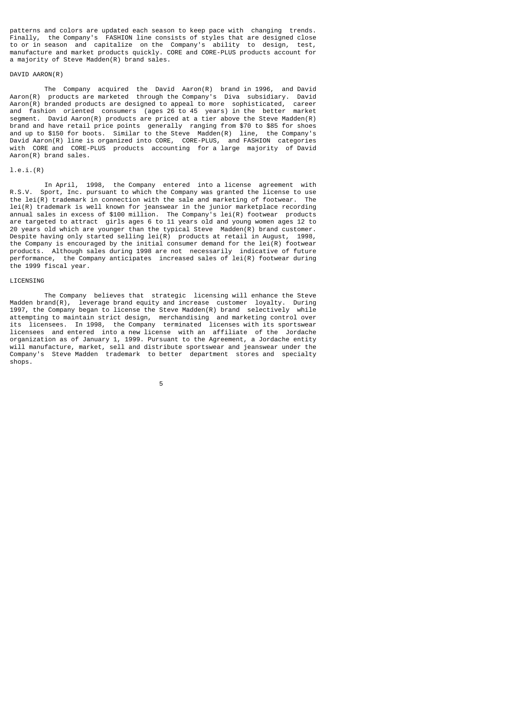patterns and colors are updated each season to keep pace with changing trends. Finally, the Company's FASHION line consists of styles that are designed close to or in season and capitalize on the Company's ability to design, test, manufacture and market products quickly. CORE and CORE-PLUS products account for a majority of Steve Madden(R) brand sales.

# DAVID AARON(R)

 The Company acquired the David Aaron(R) brand in 1996, and David Aaron(R) products are marketed through the Company's Diva subsidiary. David Aaron(R) branded products are designed to appeal to more sophisticated, career and fashion oriented consumers (ages 26 to 45 years) in the better market segment. David Aaron(R) products are priced at a tier above the Steve Madden(R) brand and have retail price points generally ranging from \$70 to \$85 for shoes and up to \$150 for boots. Similar to the Steve Madden(R) line, the Company's David Aaron(R) line is organized into CORE, CORE-PLUS, and FASHION categories with CORE and CORE-PLUS products accounting for a large majority of David Aaron(R) brand sales.

# l.e.i.(R)

 In April, 1998, the Company entered into a license agreement with R.S.V. Sport, Inc. pursuant to which the Company was granted the license to use the lei(R) trademark in connection with the sale and marketing of footwear. The lei(R) trademark is well known for jeanswear in the junior marketplace recording annual sales in excess of \$100 million. The Company's lei(R) footwear products are targeted to attract girls ages 6 to 11 years old and young women ages 12 to 20 years old which are younger than the typical Steve Madden(R) brand customer. Despite having only started selling  $lei(R)$  products at retail in August, 1998, the Company is encouraged by the initial consumer demand for the lei(R) footwear products. Although sales during 1998 are not necessarily indicative of future performance, the Company anticipates increased sales of lei(R) footwear during the 1999 fiscal year.

#### LICENSING

 The Company believes that strategic licensing will enhance the Steve Madden brand(R), leverage brand equity and increase customer loyalty. During<br>1997, the Company began to license the Steve Madden(R) brand, selectively, while 1997, the Company began to license the Steve Madden $(R)$  brand selectively attempting to maintain strict design, merchandising and marketing control over its licensees. In 1998, the Company terminated licenses with its sportswear licensees and entered into a new license with an affiliate of the Jordache organization as of January 1, 1999. Pursuant to the Agreement, a Jordache entity will manufacture, market, sell and distribute sportswear and jeanswear under the Company's Steve Madden trademark to better department stores and specialty shops.

the contract of the contract of the contract of the contract of the contract of the contract of the contract o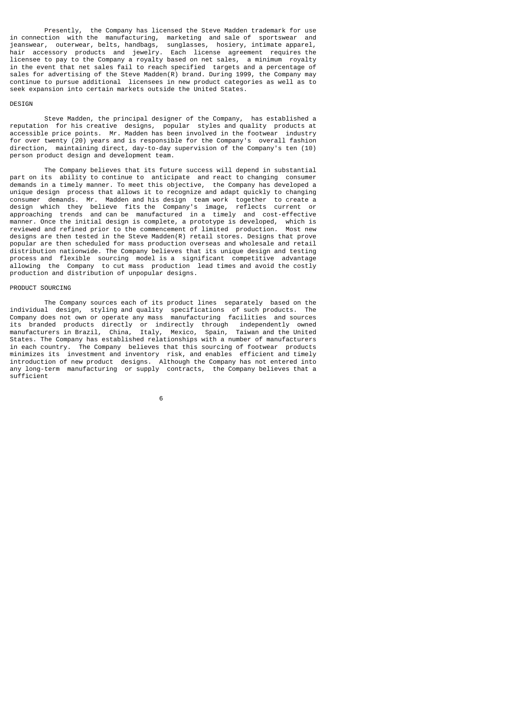Presently, the Company has licensed the Steve Madden trademark for use in connection with the manufacturing, marketing and sale of sportswear and jeanswear, outerwear, belts, handbags, sunglasses, hosiery, intimate apparel, hair accessory products and jewelry. Each license agreement requires the licensee to pay to the Company a royalty based on net sales, a minimum royalty in the event that net sales fail to reach specified targets and a percentage of sales for advertising of the Steve Madden(R) brand. During 1999, the Company may continue to pursue additional licensees in new product categories as well as to seek expansion into certain markets outside the United States.

#### **DESTGN**

 Steve Madden, the principal designer of the Company, has established a reputation for his creative designs, popular styles and quality products at accessible price points. Mr. Madden has been involved in the footwear industry for over twenty (20) years and is responsible for the Company's overall fashion direction, maintaining direct, day-to-day supervision of the Company's ten (10) person product design and development team.

 The Company believes that its future success will depend in substantial part on its ability to continue to anticipate and react to changing consumer demands in a timely manner. To meet this objective, the Company has developed a unique design process that allows it to recognize and adapt quickly to changing consumer demands. Mr. Madden and his design team work together to create a design which they believe fits the Company's image, reflects current or approaching trends and can be manufactured in a timely and cost-effective manner. Once the initial design is complete, a prototype is developed, which is<br>manner. Once the initial design is complete, a prototype is developed, which is<br>reviewed and refined prior to the commencement of limited prod reviewed and refined prior to the commencement of limited production. designs are then tested in the Steve Madden(R) retail stores. Designs that prove popular are then scheduled for mass production overseas and wholesale and retail distribution nationwide. The Company believes that its unique design and testing process and flexible sourcing model is a significant competitive advantage allowing the Company to cut mass production lead times and avoid the costly production and distribution of unpopular designs.

### PRODUCT SOURCING

 The Company sources each of its product lines separately based on the individual design, styling and quality specifications of such products. The Company does not own or operate any mass manufacturing facilities and sources its branded products directly or indirectly through independently owned manufacturers in Brazil, China, Italy, Mexico, Spain, Taiwan and the United States. The Company has established relationships with a number of manufacturers in each country. The Company believes that this sourcing of footwear products minimizes its investment and inventory risk, and enables efficient and timely introduction of new product designs. Although the Company has not entered into any long-term manufacturing or supply contracts, the Company believes that a sufficient

 $\sim$  6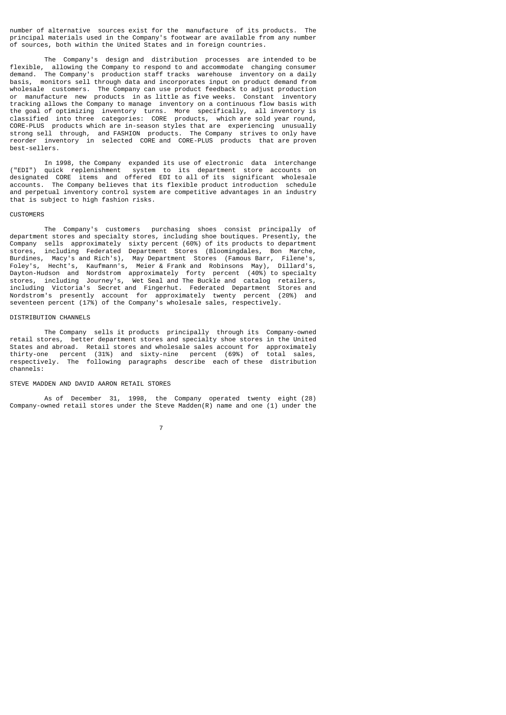number of alternative sources exist for the manufacture of its products. The principal materials used in the Company's footwear are available from any number of sources, both within the United States and in foreign countries.

 The Company's design and distribution processes are intended to be flexible, allowing the Company to respond to and accommodate changing consumer demand. The Company's production staff tracks warehouse inventory on a daily basis, monitors sell through data and incorporates input on product demand from wholesale customers. The Company can use product feedback to adjust production or manufacture new products in as little as five weeks. Constant inventory tracking allows the Company to manage inventory on a continuous flow basis with the goal of optimizing inventory turns. More specifically, all inventory is classified into three categories: CORE products, which are sold year round, CORE-PLUS products which are in-season styles that are experiencing unusually strong sell through, and FASHION products. The Company strives to only have reorder inventory in selected CORE and CORE-PLUS products that are proven best-sellers.

 In 1998, the Company expanded its use of electronic data interchange ("EDI") quick replenishment system to its department store accounts on designated CORE items and offered EDI to all of its significant wholesale accounts. The Company believes that its flexible product introduction schedule and perpetual inventory control system are competitive advantages in an industry that is subject to high fashion risks.

### **CUSTOMERS**

 The Company's customers purchasing shoes consist principally of department stores and specialty stores, including shoe boutiques. Presently, the Company sells approximately sixty percent (60%) of its products to department stores, including Federated Department Stores (Bloomingdales, Bon Marche, Burdines, Macy's and Rich's), May Department Stores (Famous Barr, Filene's, Foley's, Hecht's, Kaufmann's, Meier & Frank and Robinsons May), Dillard's, Dayton-Hudson and Nordstrom approximately forty percent (40%) to specialty stores, including Journey's, Wet Seal and The Buckle and catalog retailers, including Victoria's Secret and Fingerhut. Federated Department Stores and Nordstrom's presently account for approximately twenty percent (20%) and seventeen percent (17%) of the Company's wholesale sales, respectively.

### DISTRIBUTION CHANNELS

 The Company sells it products principally through its Company-owned retail stores, better department stores and specialty shoe stores in the United States and abroad. Retail stores and wholesale sales account for approximately thirty-one percent (31%) and sixty-nine percent (69%) of total sales, respectively. The following paragraphs describe each of these distribution channels:

### STEVE MADDEN AND DAVID AARON RETAIL STORES

 As of December 31, 1998, the Company operated twenty eight (28) Company-owned retail stores under the Steve Madden(R) name and one  $(1)$  under the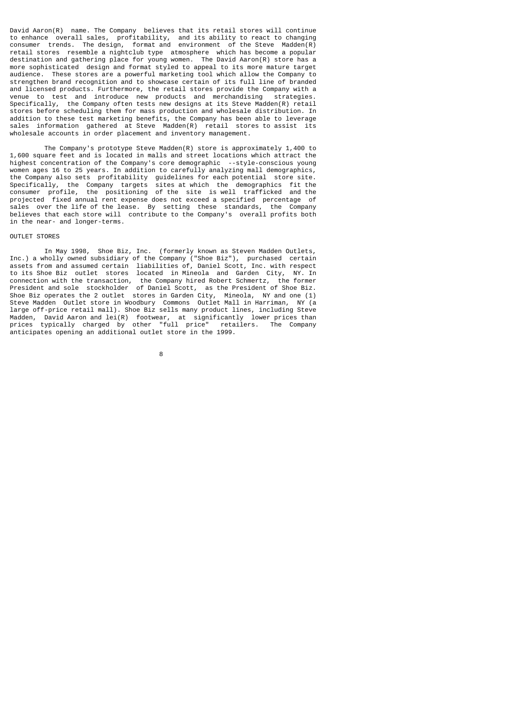David Aaron(R) name. The Company believes that its retail stores will continue to enhance overall sales, profitability, and its ability to react to changing consumer trends. The design, format and environment of the Steve Madden(R) retail stores resemble a nightclub type atmosphere which has become a popular destination and gathering place for young women. The David Aaron(R) store has a more sophisticated design and format styled to appeal to its more mature target audience. These stores are a powerful marketing tool which allow the Company to strengthen brand recognition and to showcase certain of its full line of branded and licensed products. Furthermore, the retail stores provide the Company with a venue to test and introduce new products and merchandising Specifically, the Company often tests new designs at its Steve Madden(R) retail stores before scheduling them for mass production and wholesale distribution. In addition to these test marketing benefits, the Company has been able to leverage sales information gathered at Steve Madden(R) retail stores to assist its wholesale accounts in order placement and inventory management.

 The Company's prototype Steve Madden(R) store is approximately 1,400 to 1,600 square feet and is located in malls and street locations which attract the highest concentration of the Company's core demographic --style-conscious young women ages 16 to 25 years. In addition to carefully analyzing mall demographics, the Company also sets profitability guidelines for each potential store site. Specifically, the Company targets sites at which the demographics fit the consumer profile, the positioning of the site is well trafficked and the projected fixed annual rent expense does not exceed a specified percentage of sales over the life of the lease. By setting these standards, the Company believes that each store will contribute to the Company's overall profits both in the near- and longer-terms.

# OUTLET STORES

 In May 1998, Shoe Biz, Inc. (formerly known as Steven Madden Outlets, Inc.) a wholly owned subsidiary of the Company ("Shoe Biz"), purchased certain assets from and assumed certain liabilities of, Daniel Scott, Inc. with respect to its Shoe Biz outlet stores located in Mineola and Garden City, NY. In connection with the transaction, the Company hired Robert Schmertz, the former President and sole stockholder of Daniel Scott, as the President of Shoe Biz. Shoe Biz operates the 2 outlet stores in Garden City, Mineola, NY and one (1) Steve Madden Outlet store in Woodbury Commons Outlet Mall in Harriman, NY (a large off-price retail mall). Shoe Biz sells many product lines, including Steve Madden, David Aaron and lei(R) footwear, at significantly lower prices than prices typically charged by other "full price" retailers. The Company anticipates opening an additional outlet store in the 1999.

e a construction de la construction de la construction de la construction de la construction de la constructio<br>En 1980, en 1980, en 1980, en 1980, en 1980, en 1980, en 1980, en 1980, en 1980, en 1980, en 1980, en 1980, en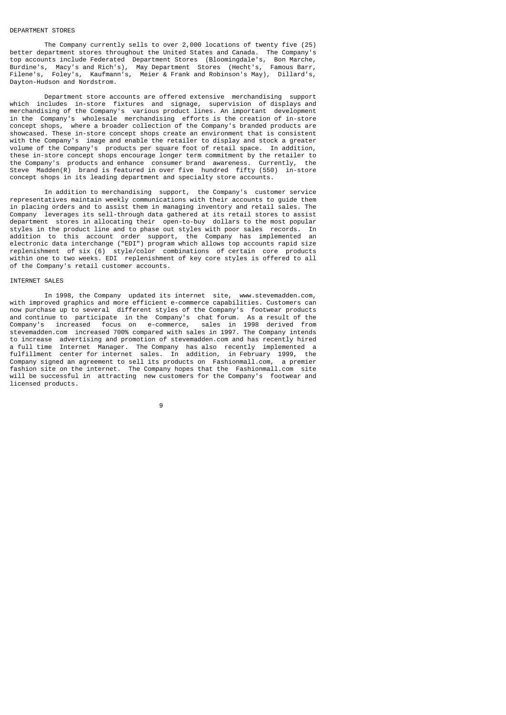#### DEPARTMENT STORES

 The Company currently sells to over 2,000 locations of twenty five (25) better department stores throughout the United States and Canada. The Company's top accounts include Federated Department Stores (Bloomingdale's, Bon Marche, Burdine's, Macy's and Rich's), May Department Stores (Hecht's, Famous Barr, Filene's, Foley's, Kaufmann's, Meier & Frank and Robinson's May), Dillard's, Dayton-Hudson and Nordstrom.

 Department store accounts are offered extensive merchandising support which includes in-store fixtures and signage, supervision of displays and merchandising of the Company's various product lines. An important development in the Company's wholesale merchandising efforts is the creation of in-store concept shops, where a broader collection of the Company's branded products are showcased. These in-store concept shops create an environment that is consistent with the Company's image and enable the retailer to display and stock a greater volume of the Company's products per square foot of retail space. In addition, these in-store concept shops encourage longer term commitment by the retailer to the Company's products and enhance consumer brand awareness. Currently, the Steve Madden(R) brand is featured in over five hundred fifty (550) in-store concept shops in its leading department and specialty store accounts.

 In addition to merchandising support, the Company's customer service representatives maintain weekly communications with their accounts to guide them in placing orders and to assist them in managing inventory and retail sales. The Company leverages its sell-through data gathered at its retail stores to assist department stores in allocating their open-to-buy dollars to the most popular styles in the product line and to phase out styles with poor sales records. In addition to this account order support, the Company has implemented an electronic data interchange ("EDI") program which allows top accounts rapid size replenishment of six (6) style/color combinations of certain core products within one to two weeks. EDI replenishment of key core styles is offered to all of the Company's retail customer accounts.

#### INTERNET SALES

 In 1998, the Company updated its internet site, www.stevemadden.com, with improved graphics and more efficient e-commerce capabilities. Customers can now purchase up to several different styles of the Company's footwear products and continue to participate in the Company's chat forum. As a result of the Company's increased focus on e-commerce, sales in 1998 derived from stevemadden.com increased 700% compared with sales in 1997. The Company intends to increase advertising and promotion of stevemadden.com and has recently hired a full time Internet Manager. The Company has also recently implemented a fulfillment center for internet sales. In addition, in February 1999, the Company signed an agreement to sell its products on Fashionmall.com, a premier fashion site on the internet. The Company hopes that the Fashionmall.com site will be successful in attracting new customers for the Company's footwear and licensed products.

9 and 20 and 20 and 20 and 20 and 20 and 20 and 20 and 20 and 20 and 20 and 20 and 20 and 20 and 20 and 20 and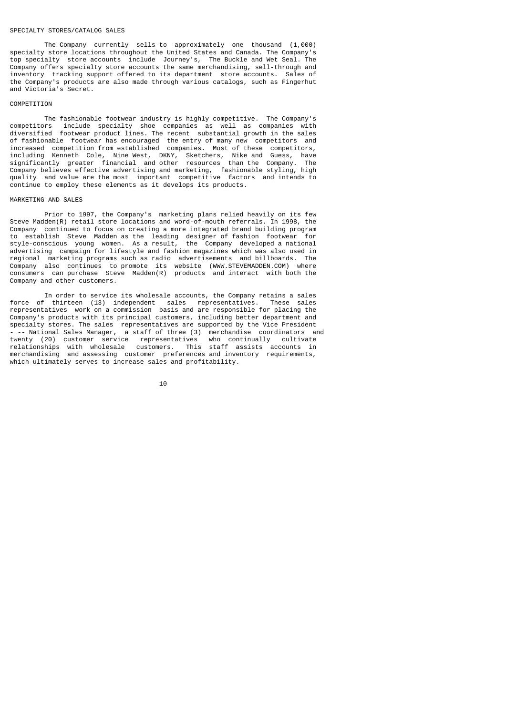### SPECIALTY STORES/CATALOG SALES

 The Company currently sells to approximately one thousand (1,000) specialty store locations throughout the United States and Canada. The Company's top specialty store accounts include Journey's, The Buckle and Wet Seal. The Company offers specialty store accounts the same merchandising, sell-through and inventory tracking support offered to its department store accounts. Sales of the Company's products are also made through various catalogs, such as Fingerhut and Victoria's Secret.

#### **COMPETITION**

 The fashionable footwear industry is highly competitive. The Company's competitors include specialty shoe companies as well as companies with diversified footwear product lines. The recent substantial growth in the sales of fashionable footwear has encouraged the entry of many new competitors and increased competition from established companies. Most of these competitors, including Kenneth Cole, Nine West, DKNY, Sketchers, Nike and Guess, have significantly greater financial and other resources than the Company. The Company believes effective advertising and marketing, fashionable styling, high quality and value are the most important competitive factors and intends to continue to employ these elements as it develops its products.

### MARKETING AND SALES

 Prior to 1997, the Company's marketing plans relied heavily on its few Steve Madden(R) retail store locations and word-of-mouth referrals. In 1998, the Company continued to focus on creating a more integrated brand building program to establish Steve Madden as the leading designer of fashion footwear for style-conscious young women. As a result, the Company developed a national advertising campaign for lifestyle and fashion magazines which was also used in regional marketing programs such as radio advertisements and billboards. The Company also continues to promote its website (WWW.STEVEMADDEN.COM) where consumers can purchase Steve Madden(R) products and interact with both the Company and other customers.

 In order to service its wholesale accounts, the Company retains a sales force of thirteen (13) independent sales representatives. These sales representatives work on a commission basis and are responsible for placing the Company's products with its principal customers, including better department and specialty stores. The sales representatives are supported by the Vice President - -- National Sales Manager, a staff of three (3) merchandise coordinators and twenty (20) customer service representatives who continually cultivate relationships with wholesale customers. This staff assists accounts in merchandising and assessing customer preferences and inventory requirements, which ultimately serves to increase sales and profitability.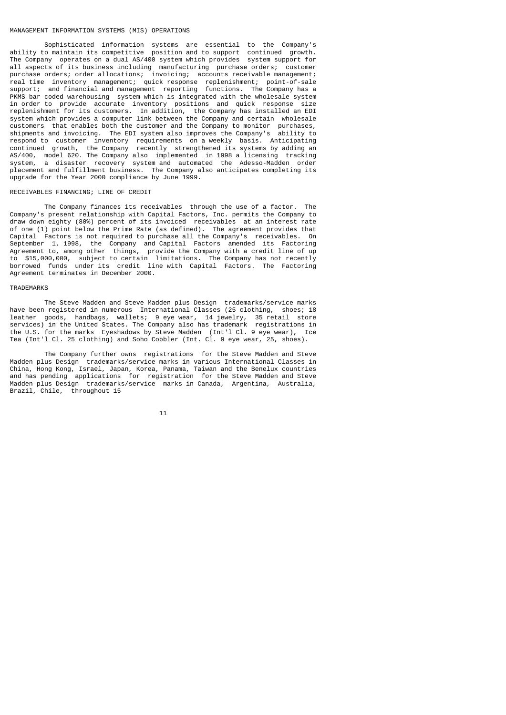### MANAGEMENT INFORMATION SYSTEMS (MIS) OPERATIONS

 Sophisticated information systems are essential to the Company's ability to maintain its competitive position and to support continued growth. The Company operates on a dual AS/400 system which provides system support for all aspects of its business including manufacturing purchase orders; customer purchase orders; order allocations; invoicing; accounts receivable management; real time inventory management; quick response replenishment; point-of-sale support; and financial and management reporting functions. The Company has a PKMS bar coded warehousing system which is integrated with the wholesale system in order to provide accurate inventory positions and quick response size replenishment for its customers. In addition, the Company has installed an EDI system which provides a computer link between the Company and certain wholesale customers that enables both the customer and the Company to monitor purchases, shipments and invoicing. The EDI system also improves the Company's ability to shipments and invoicing. The EDI system also improves the Company's respond to customer inventory requirements on a weekly basis. Anticipating continued growth, the Company recently strengthened its systems by adding an AS/400, model 620. The Company also implemented in 1998 a licensing tracking system, a disaster recovery system and automated the Adesso-Madden order placement and fulfillment business. The Company also anticipates completing its upgrade for the Year 2000 compliance by June 1999.

# RECEIVABLES FINANCING; LINE OF CREDIT

 The Company finances its receivables through the use of a factor. The Company's present relationship with Capital Factors, Inc. permits the Company to draw down eighty (80%) percent of its invoiced receivables at an interest rate of one (1) point below the Prime Rate (as defined). The agreement provides that Capital Factors is not required to purchase all the Company's receivables. On September 1, 1998, the Company and Capital Factors amended its Factoring Agreement to, among other things, provide the Company with a credit line of up to \$15,000,000, subject to certain limitations. The Company has not recently borrowed funds under its credit line with Capital Factors. The Factoring Agreement terminates in December 2000.

### TRADEMARKS

 The Steve Madden and Steve Madden plus Design trademarks/service marks have been registered in numerous International Classes (25 clothing, shoes; 18 leather goods, handbags, wallets; 9 eye wear, 14 jewelry, 35 retail store services) in the United States. The Company also has trademark registrations in the U.S. for the marks Eyeshadows by Steve Madden (Int'l Cl. 9 eye wear), Ice Tea (Int'l Cl. 25 clothing) and Soho Cobbler (Int. Cl. 9 eye wear, 25, shoes).

 The Company further owns registrations for the Steve Madden and Steve Madden plus Design trademarks/service marks in various International Classes in China, Hong Kong, Israel, Japan, Korea, Panama, Taiwan and the Benelux countries and has pending applications for registration for the Steve Madden and Steve Madden plus Design trademarks/service marks in Canada, Argentina, Australia, Brazil, Chile, throughout 15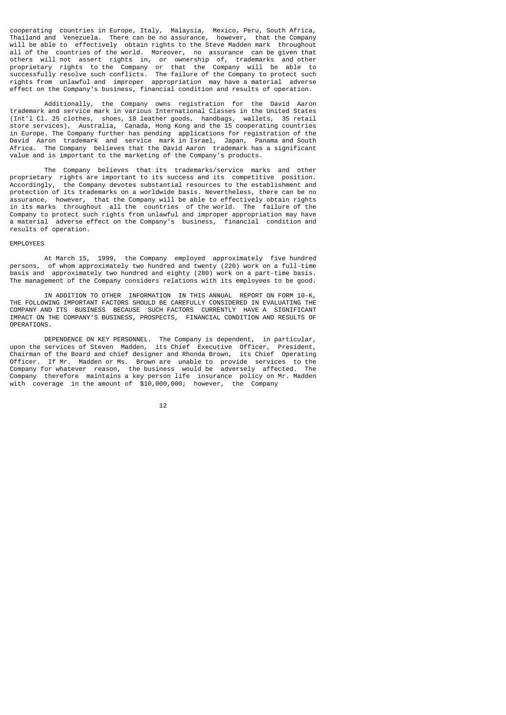cooperating countries in Europe, Italy, Malaysia, Mexico, Peru, South Africa, Thailand and Venezuela. There can be no assurance, however, that the Company will be able to effectively obtain rights to the Steve Madden mark throughout all of the countries of the world. Moreover, no assurance can be given that others will not assert rights in, or ownership of, trademarks and other proprietary rights to the Company or that the Company will be able to successfully resolve such conflicts. The failure of the Company to protect such rights from unlawful and improper appropriation may have a material adverse effect on the Company's business, financial condition and results of operation.

 Additionally, the Company owns registration for the David Aaron trademark and service mark in various International Classes in the United States (Int'l Cl. 25 clothes, shoes, 18 leather goods, handbags, wallets, 35 retail store services), Australia, Canada, Hong Kong and the 15 cooperating countries in Europe. The Company further has pending applications for registration of the David Aaron trademark and service mark in Israel, Japan, Panama and South Africa. The Company believes that the David Aaron trademark has a significant value and is important to the marketing of the Company's products.

 The Company believes that its trademarks/service marks and other proprietary rights are important to its success and its competitive position. Accordingly, the Company devotes substantial resources to the establishment and protection of its trademarks on a worldwide basis. Nevertheless, there can be no assurance, however, that the Company will be able to effectively obtain rights in its marks throughout all the countries of the world. The failure of the Company to protect such rights from unlawful and improper appropriation may have a material adverse effect on the Company's business, financial condition and results of operation.

#### EMPLOYEES

 At March 15, 1999, the Company employed approximately five hundred persons, of whom approximately two hundred and twenty (220) work on a full-time basis and approximately two hundred and eighty (280) work on a part-time basis. The management of the Company considers relations with its employees to be good.

 IN ADDITION TO OTHER INFORMATION IN THIS ANNUAL REPORT ON FORM 10-K, THE FOLLOWING IMPORTANT FACTORS SHOULD BE CAREFULLY CONSIDERED IN EVALUATING THE COMPANY AND ITS BUSINESS BECAUSE SUCH FACTORS CURRENTLY HAVE A SIGNIFICANT IMPACT ON THE COMPANY'S BUSINESS, PROSPECTS, FINANCIAL CONDITION AND RESULTS OF **OPERATIONS** 

 DEPENDENCE ON KEY PERSONNEL. The Company is dependent, in particular, upon the services of Steven Madden, its Chief Executive Officer, President, Chairman of the Board and chief designer and Rhonda Brown, its Chief Operating Officer. If Mr. Madden or Ms. Brown are unable to provide services to the Company for whatever reason, the business would be adversely affected. The Company therefore maintains a key person life insurance policy on Mr. Madden with coverage in the amount of \$10,000,000; however, the Company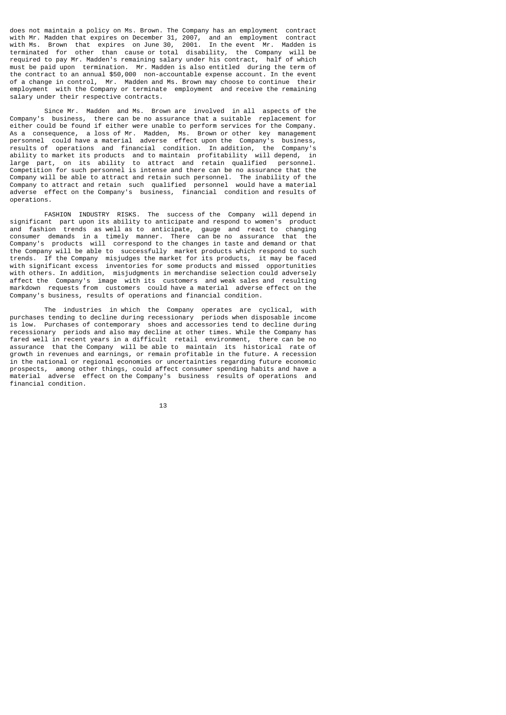does not maintain a policy on Ms. Brown. The Company has an employment contract with Mr. Madden that expires on December 31, 2007, and an employment contract with Ms. Brown that expires on June 30, 2001. In the event Mr. Madden is terminated for other than cause or total disability, the Company will be required to pay Mr. Madden's remaining salary under his contract, half of which must be paid upon termination. Mr. Madden is also entitled during the term of the contract to an annual \$50,000 non-accountable expense account. In the event of a change in control, Mr. Madden and Ms. Brown may choose to continue their employment with the Company or terminate employment and receive the remaining salary under their respective contracts.

 Since Mr. Madden and Ms. Brown are involved in all aspects of the Company's business, there can be no assurance that a suitable replacement for either could be found if either were unable to perform services for the Company. As a consequence, a loss of Mr. Madden, Ms. Brown or other key management personnel could have a material adverse effect upon the Company's business, results of operations and financial condition. In addition, the Company's ability to market its products and to maintain profitability will depend, in large part, on its ability to attract and retain qualified personnel. Competition for such personnel is intense and there can be no assurance that the Company will be able to attract and retain such personnel. The inability of the Company to attract and retain such qualified personnel would have a material adverse effect on the Company's business, financial condition and results of operations.

 FASHION INDUSTRY RISKS. The success of the Company will depend in significant part upon its ability to anticipate and respond to women's product and fashion trends as well as to anticipate, gauge and react to changing consumer demands in a timely manner. There can be no assurance that the Company's products will correspond to the changes in taste and demand or that the Company will be able to successfully market products which respond to such trends. If the Company misjudges the market for its products, it may be faced with significant excess inventories for some products and missed opportunities with others. In addition, misjudgments in merchandise selection could adversely affect the Company's image with its customers and weak sales and resulting markdown requests from customers could have a material adverse effect on the Company's business, results of operations and financial condition.

 The industries in which the Company operates are cyclical, with purchases tending to decline during recessionary periods when disposable income is low. Purchases of contemporary shoes and accessories tend to decline during recessionary periods and also may decline at other times. While the Company has fared well in recent years in a difficult retail environment, there can be no assurance that the Company will be able to maintain its historical rate of growth in revenues and earnings, or remain profitable in the future. A recession in the national or regional economies or uncertainties regarding future economic prospects, among other things, could affect consumer spending habits and have a material adverse effect on the Company's business results of operations and financial condition.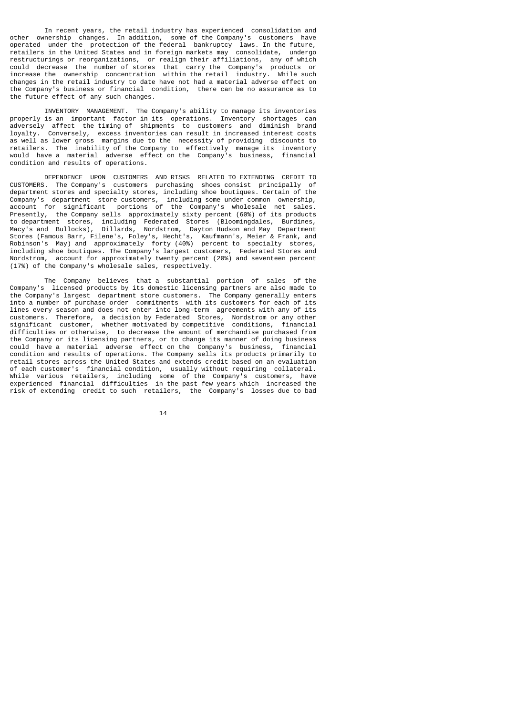In recent years, the retail industry has experienced consolidation and other ownership changes. In addition, some of the Company's customers have operated under the protection of the federal bankruptcy laws. In the future, retailers in the United States and in foreign markets may consolidate, undergo restructurings or reorganizations, or realign their affiliations, any of which could decrease the number of stores that carry the Company's products or increase the ownership concentration within the retail industry. While such changes in the retail industry to date have not had a material adverse effect on the Company's business or financial condition, there can be no assurance as to the future effect of any such changes.

 INVENTORY MANAGEMENT. The Company's ability to manage its inventories properly is an important factor in its operations. Inventory shortages can adversely affect the timing of shipments to customers and diminish brand loyalty. Conversely, excess inventories can result in increased interest costs as well as lower gross margins due to the necessity of providing discounts to retailers. The inability of the Company to effectively manage its inventory would have a material adverse effect on the Company's business, financial condition and results of operations.

 DEPENDENCE UPON CUSTOMERS AND RISKS RELATED TO EXTENDING CREDIT TO CUSTOMERS. The Company's customers purchasing shoes consist principally of department stores and specialty stores, including shoe boutiques. Certain of the Company's department store customers, including some under common ownership, account for significant portions of the Company's wholesale net sales. Presently, the Company sells approximately sixty percent (60%) of its products to department stores, including Federated Stores (Bloomingdales, Burdines, Macy's and Bullocks), Dillards, Nordstrom, Dayton Hudson and May Department Stores (Famous Barr, Filene's, Foley's, Hecht's, Kaufmann's, Meier & Frank, and Robinson's May) and approximately forty (40%) percent to specialty stores, including shoe boutiques. The Company's largest customers, Federated Stores and Nordstrom, account for approximately twenty percent (20%) and seventeen percent (17%) of the Company's wholesale sales, respectively.

 The Company believes that a substantial portion of sales of the Company's licensed products by its domestic licensing partners are also made to the Company's largest department store customers. The Company generally enters into a number of purchase order commitments with its customers for each of its lines every season and does not enter into long-term agreements with any of its customers. Therefore, a decision by Federated Stores, Nordstrom or any other significant customer, whether motivated by competitive conditions, financial difficulties or otherwise, to decrease the amount of merchandise purchased from the Company or its licensing partners, or to change its manner of doing business<br>could have a material adverse effect on the Company's business, financial could have a material adverse effect on the Company's business, condition and results of operations. The Company sells its products primarily to retail stores across the United States and extends credit based on an evaluation of each customer's financial condition, usually without requiring collateral. While various retailers, including some of the Company's customers, have experienced financial difficulties in the past few years which increased the risk of extending credit to such retailers, the Company's losses due to bad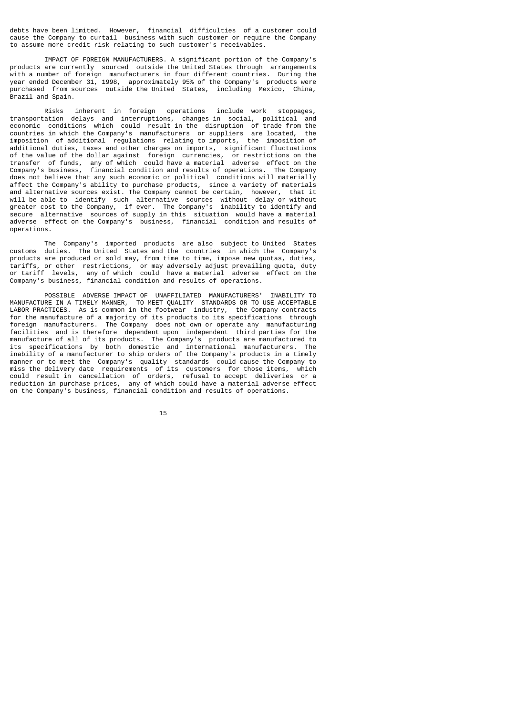debts have been limited. However, financial difficulties of a customer could cause the Company to curtail business with such customer or require the Company to assume more credit risk relating to such customer's receivables.

 IMPACT OF FOREIGN MANUFACTURERS. A significant portion of the Company's products are currently sourced outside the United States through arrangements with a number of foreign manufacturers in four different countries. During the year ended December 31, 1998, approximately 95% of the Company's products were purchased from sources outside the United States, including Mexico, China, Brazil and Spain.

 Risks inherent in foreign operations include work stoppages, transportation delays and interruptions, changes in social, political and economic conditions which could result in the disruption of trade from the countries in which the Company's manufacturers or suppliers are located, the imposition of additional regulations relating to imports, the imposition of additional duties, taxes and other charges on imports, significant fluctuations of the value of the dollar against foreign currencies, or restrictions on the transfer of funds, any of which could have a material adverse effect on the Company's business, financial condition and results of operations. The Company does not believe that any such economic or political conditions will materially affect the Company's ability to purchase products, since a variety of materials and alternative sources exist. The Company cannot be certain, however, that it will be able to identify such alternative sources without delay or without greater cost to the Company, if ever. The Company's inability to identify and secure alternative sources of supply in this situation would have a material adverse effect on the Company's business, financial condition and results of operations.

 The Company's imported products are also subject to United States customs duties. The United States and the countries in which the Company's products are produced or sold may, from time to time, impose new quotas, duties, tariffs, or other restrictions, or may adversely adjust prevailing quota, duty or tariff levels, any of which could have a material adverse effect on the Company's business, financial condition and results of operations.

 POSSIBLE ADVERSE IMPACT OF UNAFFILIATED MANUFACTURERS' INABILITY TO MANUFACTURE IN A TIMELY MANNER, TO MEET QUALITY STANDARDS OR TO USE ACCEPTABLE LABOR PRACTICES. As is common in the footwear industry, the Company contracts for the manufacture of a majority of its products to its specifications through<br>foreign manufacturers. The Company does not own or operate any manufacturing The Company does not own or operate any manufacturing facilities and is therefore dependent upon independent third parties for the manufacture of all of its products. The Company's products are manufactured to its specifications by both domestic and international manufacturers. The inability of a manufacturer to ship orders of the Company's products in a timely manner or to meet the Company's quality standards could cause the Company to miss the delivery date requirements of its customers for those items, which could result in cancellation of orders, refusal to accept deliveries or a reduction in purchase prices, any of which could have a material adverse effect on the Company's business, financial condition and results of operations.

15 and 15 and 15 and 15 and 15 and 15 and 15 and 15 and 15 and 15 and 15 and 15 and 15 and 15 and 15 and 15 an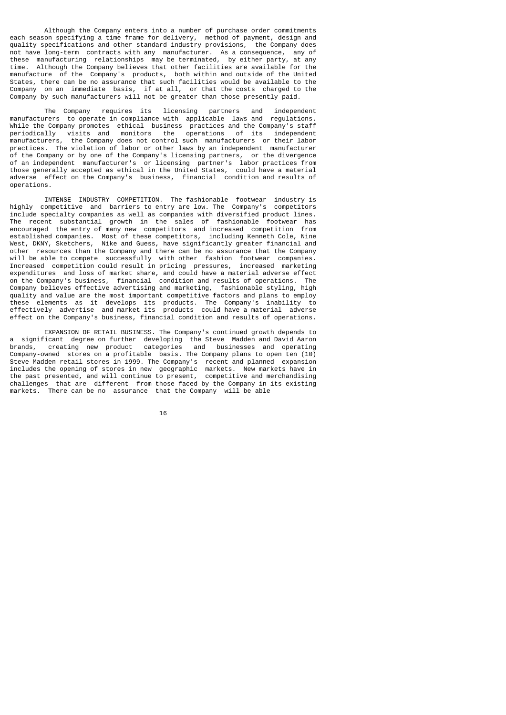Although the Company enters into a number of purchase order commitments each season specifying a time frame for delivery, method of payment, design and quality specifications and other standard industry provisions, the Company does not have long-term contracts with any manufacturer. As a consequence, any of these manufacturing relationships may be terminated, by either party, at any time. Although the Company believes that other facilities are available for the manufacture of the Company's products, both within and outside of the United States, there can be no assurance that such facilities would be available to the Company on an immediate basis, if at all, or that the costs charged to the Company by such manufacturers will not be greater than those presently paid.

 The Company requires its licensing partners and independent manufacturers to operate in compliance with applicable laws and regulations. While the Company promotes ethical business practices and the Company's staff periodically visits and monitors the operations of its independent monitors the operations of its independent manufacturers, the Company does not control such manufacturers or their labor practices. The violation of labor or other laws by an independent manufacturer of the Company or by one of the Company's licensing partners, or the divergence of an independent manufacturer's or licensing partner's labor practices from those generally accepted as ethical in the United States, could have a material adverse effect on the Company's business, financial condition and results of operations.

 INTENSE INDUSTRY COMPETITION. The fashionable footwear industry is highly competitive and barriers to entry are low. The Company's competitors include specialty companies as well as companies with diversified product lines. The recent substantial growth in the sales of fashionable footwear has encouraged the entry of many new competitors and increased competition from established companies. Most of these competitors, including Kenneth Cole, Nine West, DKNY, Sketchers, Nike and Guess, have significantly greater financial and other resources than the Company and there can be no assurance that the Company will be able to compete successfully with other fashion footwear companies. Increased competition could result in pricing pressures, increased marketing expenditures and loss of market share, and could have a material adverse effect on the Company's business, financial condition and results of operations. The Company believes effective advertising and marketing, fashionable styling, high quality and value are the most important competitive factors and plans to employ these elements as it develops its products. The Company's inability to effectively advertise and market its products could have a material adverse effect on the Company's business, financial condition and results of operations.

 EXPANSION OF RETAIL BUSINESS. The Company's continued growth depends to a significant degree on further developing the Steve Madden and David Aaron brands, creating new product categories and businesses and operating Company-owned stores on a profitable basis. The Company plans to open ten (10) Steve Madden retail stores in 1999. The Company's recent and planned expansion includes the opening of stores in new geographic markets. New markets have in the past presented, and will continue to present, competitive and merchandising challenges that are different from those faced by the Company in its existing markets. There can be no assurance that the Company will be able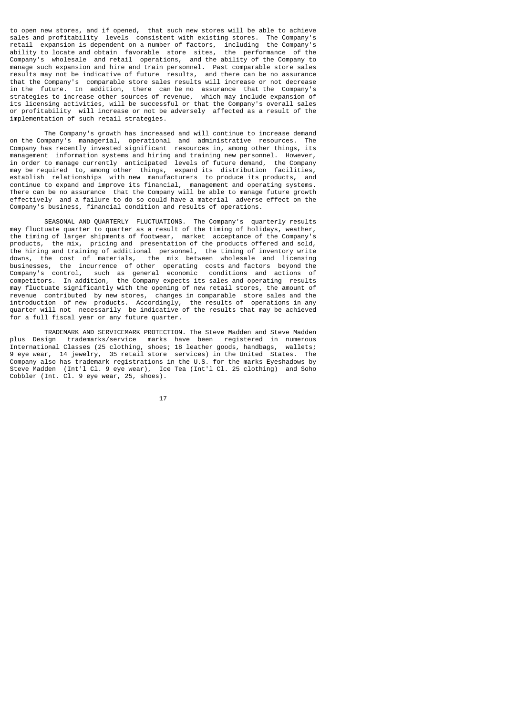to open new stores, and if opened, that such new stores will be able to achieve sales and profitability levels consistent with existing stores. The Company's retail expansion is dependent on a number of factors, including the Company's ability to locate and obtain favorable store sites, the performance of the Company's wholesale and retail operations, and the ability of the Company to manage such expansion and hire and train personnel. Past comparable store sales results may not be indicative of future results, and there can be no assurance that the Company's comparable store sales results will increase or not decrease in the future. In addition, there can be no assurance that the Company's strategies to increase other sources of revenue, which may include expansion of its licensing activities, will be successful or that the Company's overall sales or profitability will increase or not be adversely affected as a result of the implementation of such retail strategies.

 The Company's growth has increased and will continue to increase demand on the Company's managerial, operational and administrative resources. The Company has recently invested significant resources in, among other things, its management information systems and hiring and training new personnel. However, in order to manage currently anticipated levels of future demand, the Company may be required to, among other things, expand its distribution facilities, establish relationships with new manufacturers to produce its products, and continue to expand and improve its financial, management and operating systems. There can be no assurance that the Company will be able to manage future growth effectively and a failure to do so could have a material adverse effect on the Company's business, financial condition and results of operations.

 SEASONAL AND QUARTERLY FLUCTUATIONS. The Company's quarterly results may fluctuate quarter to quarter as a result of the timing of holidays, weather, the timing of larger shipments of footwear, market acceptance of the Company's products, the mix, pricing and presentation of the products offered and sold, the hiring and training of additional personnel, the timing of inventory write downs, the cost of materials, the mix between wholesale and licensing businesses, the incurrence of other operating costs and factors beyond the Company's control, such as general economic conditions and actions of competitors. In addition, the Company expects its sales and operating results may fluctuate significantly with the opening of new retail stores, the amount of revenue contributed by new stores, changes in comparable store sales and the introduction of new products. Accordingly, the results of operations in any quarter will not necessarily be indicative of the results that may be achieved for a full fiscal year or any future quarter.

 TRADEMARK AND SERVICEMARK PROTECTION. The Steve Madden and Steve Madden plus Design trademarks/service marks have been registered in numerous International Classes (25 clothing, shoes; 18 leather goods, handbags, wallets; 9 eye wear, 14 jewelry, 35 retail store services) in the United States. The Company also has trademark registrations in the U.S. for the marks Eyeshadows by Steve Madden (Int'l Cl. 9 eye wear), Ice Tea (Int'l Cl. 25 clothing) and Soho Cobbler (Int. Cl. 9 eye wear, 25, shoes).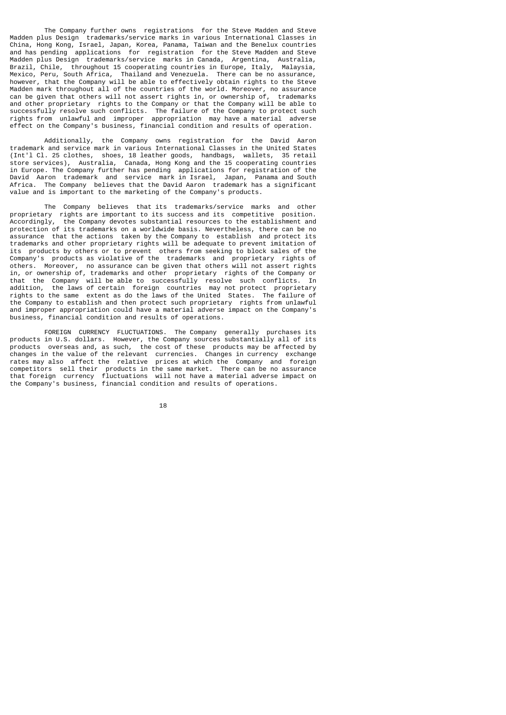The Company further owns registrations for the Steve Madden and Steve Madden plus Design trademarks/service marks in various International Classes in China, Hong Kong, Israel, Japan, Korea, Panama, Taiwan and the Benelux countries and has pending applications for registration for the Steve Madden and Steve Madden plus Design trademarks/service marks in Canada, Argentina, Australia, Brazil, Chile, throughout 15 cooperating countries in Europe, Italy, Malaysia, Mexico, Peru, South Africa, Thailand and Venezuela. There can be no assurance, however, that the Company will be able to effectively obtain rights to the Steve Madden mark throughout all of the countries of the world. Moreover, no assurance can be given that others will not assert rights in, or ownership of, trademarks and other proprietary rights to the Company or that the Company will be able to successfully resolve such conflicts. The failure of the Company to protect such rights from unlawful and improper appropriation may have a material adverse effect on the Company's business, financial condition and results of operation.

 Additionally, the Company owns registration for the David Aaron trademark and service mark in various International Classes in the United States (Int'l Cl. 25 clothes, shoes, 18 leather goods, handbags, wallets, 35 retail store services), Australia, Canada, Hong Kong and the 15 cooperating countries in Europe. The Company further has pending applications for registration of the David Aaron trademark and service mark in Israel, Japan, Panama and South Africa. The Company believes that the David Aaron trademark has a significant value and is important to the marketing of the Company's products.

 The Company believes that its trademarks/service marks and other proprietary rights are important to its success and its competitive position.<br>Accordinaly, the Company devotes substantial resources to the establishment and the Company devotes substantial resources to the establishment and protection of its trademarks on a worldwide basis. Nevertheless, there can be no assurance that the actions taken by the Company to establish and protect its trademarks and other proprietary rights will be adequate to prevent imitation of its products by others or to prevent others from seeking to block sales of the Company's products as violative of the trademarks and proprietary rights of others. Moreover, no assurance can be given that others will not assert rights in, or ownership of, trademarks and other proprietary rights of the Company or that the Company will be able to successfully resolve such conflicts. In addition, the laws of certain foreign countries may not protect proprietary rights to the same extent as do the laws of the United States. The failure of the Company to establish and then protect such proprietary rights from unlawful and improper appropriation could have a material adverse impact on the Company's business, financial condition and results of operations.

 FOREIGN CURRENCY FLUCTUATIONS. The Company generally purchases its products in U.S. dollars. However, the Company sources substantially all of its products overseas and, as such, the cost of these products may be affected by changes in the value of the relevant currencies. Changes in currency exchange rates may also affect the relative prices at which the Company and foreign competitors sell their products in the same market. There can be no assurance that foreign currency fluctuations will not have a material adverse impact on the Company's business, financial condition and results of operations.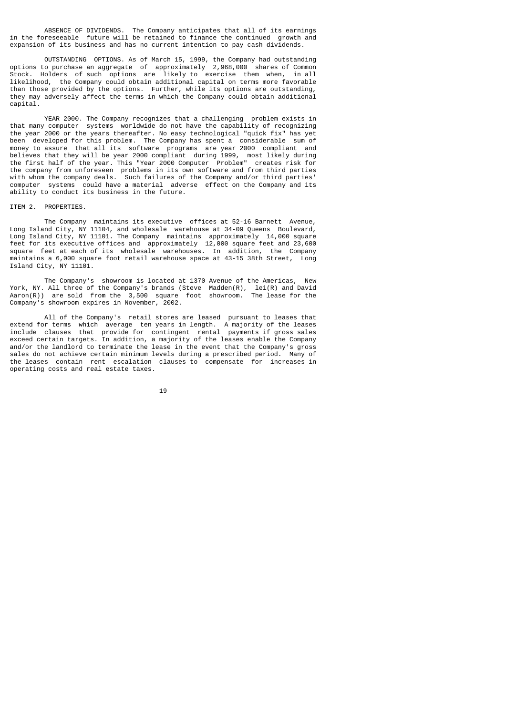ABSENCE OF DIVIDENDS. The Company anticipates that all of its earnings in the foreseeable future will be retained to finance the continued growth and expansion of its business and has no current intention to pay cash dividends.

 OUTSTANDING OPTIONS. As of March 15, 1999, the Company had outstanding options to purchase an aggregate of approximately 2,968,000 shares of Common Stock. Holders of such options are likely to exercise them when, in all likelihood, the Company could obtain additional capital on terms more favorable than those provided by the options. Further, while its options are outstanding, they may adversely affect the terms in which the Company could obtain additional capital.

 YEAR 2000. The Company recognizes that a challenging problem exists in that many computer systems worldwide do not have the capability of recognizing the year 2000 or the years thereafter. No easy technological "quick fix" has yet been developed for this problem. The Company has spent a considerable sum of money to assure that all its software programs are year 2000 compliant and believes that they will be year 2000 compliant during 1999, most likely during the first half of the year. This "Year 2000 Computer Problem" creates risk for the company from unforeseen problems in its own software and from third parties with whom the company deals. Such failures of the Company and/or third parties' computer systems could have a material adverse effect on the Company and its ability to conduct its business in the future.

#### ITEM 2. PROPERTIES.

 The Company maintains its executive offices at 52-16 Barnett Avenue, Long Island City, NY 11104, and wholesale warehouse at 34-09 Queens Boulevard, Long Island City, NY 11101. The Company maintains approximately 14,000 square feet for its executive offices and approximately 12,000 square feet and 23,600 square feet at each of its wholesale warehouses. In addition, the Company maintains a 6,000 square foot retail warehouse space at 43-15 38th Street, Long Island City, NY 11101.

 The Company's showroom is located at 1370 Avenue of the Americas, New York, NY. All three of the Company's brands (Steve Madden(R), lei(R) and David Aaron(R)) are sold from the 3,500 square foot showroom. The lease for the Company's showroom expires in November, 2002.

 All of the Company's retail stores are leased pursuant to leases that extend for terms which average ten years in length. A majority of the leases include clauses that provide for contingent rental payments if gross sales exceed certain targets. In addition, a majority of the leases enable the Company and/or the landlord to terminate the lease in the event that the Company's gross sales do not achieve certain minimum levels during a prescribed period. Many of the leases contain rent escalation clauses to compensate for increases in operating costs and real estate taxes.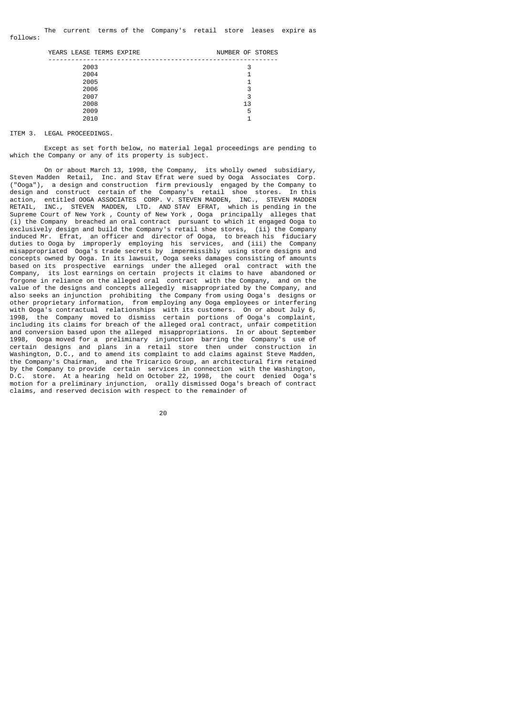| YEARS LEASE TERMS EXPIRE | NUMBER OF STORES |
|--------------------------|------------------|
|                          |                  |
| 2003                     | 3                |
| 2004                     |                  |
| 2005                     | 1                |
| 2006                     | 3                |
| 2007                     | 3                |
| 2008                     | 13               |
| 2009                     | 5                |
| 2010                     | ◢                |
|                          |                  |

### ITEM 3. LEGAL PROCEEDINGS.

 Except as set forth below, no material legal proceedings are pending to which the Company or any of its property is subject.

 On or about March 13, 1998, the Company, its wholly owned subsidiary, Steven Madden Retail, Inc. and Stav Efrat were sued by Ooga Associates Corp. ("Ooga"), a design and construction firm previously engaged by the Company to design and construct certain of the Company's retail shoe stores. In this action, entitled OOGA ASSOCIATES CORP. V. STEVEN MADDEN, INC., STEVEN MADDEN<br>RETAIL. INC., STEVEN MADDEN, ITD. AND STAV FERAT, which is pending in the INC., STEVEN MADDEN, LTD. AND STAV EFRAT, which is pending in the Supreme Court of New York , County of New York , Ooga principally alleges that (i) the Company breached an oral contract pursuant to which it engaged Ooga to exclusively design and build the Company's retail shoe stores, (ii) the Company induced Mr. Efrat, an officer and director of Ooga, to breach his fiduciary duties to Ooga by improperly employing his services, and (iii) the Company misappropriated Ooga's trade secrets by impermissibly using store designs and concepts owned by Ooga. In its lawsuit, Ooga seeks damages consisting of amounts based on its prospective earnings under the alleged oral contract with the Company, its lost earnings on certain projects it claims to have abandoned or forgone in reliance on the alleged oral contract with the Company, and on the value of the designs and concepts allegedly misappropriated by the Company, and also seeks an injunction prohibiting the Company from using Ooga's designs or other proprietary information, from employing any Ooga employees or interfering with Ooga's contractual relationships with its customers. On or about July 6,<br>1998. the Company moved to dismiss certain portions of Ooga's complaint. the Company moved to dismiss certain portions of Ooga's complaint, including its claims for breach of the alleged oral contract, unfair competition and conversion based upon the alleged misappropriations. In or about September 1998, Ooga moved for a preliminary injunction barring the Company's use of certain designs and plans in a retail store then under construction in Washington, D.C., and to amend its complaint to add claims against Steve Madden, the Company's Chairman, and the Tricarico Group, an architectural firm retained by the Company to provide certain services in connection with the Washington, D.C. store. At a hearing held on October 22, 1998, the court denied Ooga's motion for a preliminary injunction, orally dismissed Ooga's breach of contract claims, and reserved decision with respect to the remainder of

е процесс в политика в село в 1920 године в 1920 године в 1920 године в 1920 године в 1920 године в 1920 годин<br>В 1920 године в 1920 године в 1920 године в 1920 године в 1920 године в 1920 године в 1920 године в 1920 годин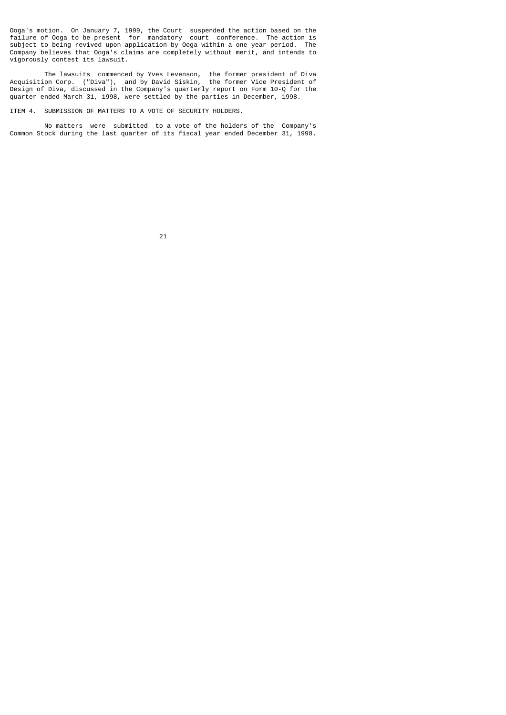Ooga's motion. On January 7, 1999, the Court suspended the action based on the failure of Ooga to be present for mandatory court conference. The action is subject to being revived upon application by Ooga within a one year period. The Company believes that Ooga's claims are completely without merit, and intends to vigorously contest its lawsuit.

 The lawsuits commenced by Yves Levenson, the former president of Diva Acquisition Corp. ("Diva"), and by David Siskin, the former Vice President of Design of Diva, discussed in the Company's quarterly report on Form 10-Q for the quarter ended March 31, 1998, were settled by the parties in December, 1998.

ITEM 4. SUBMISSION OF MATTERS TO A VOTE OF SECURITY HOLDERS.

 No matters were submitted to a vote of the holders of the Company's Common Stock during the last quarter of its fiscal year ended December 31, 1998.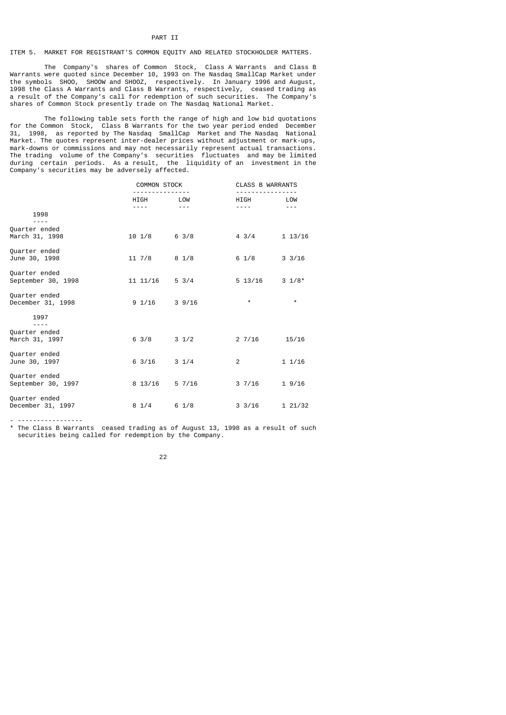### PART II

# ITEM 5. MARKET FOR REGISTRANT'S COMMON EQUITY AND RELATED STOCKHOLDER MATTERS.

 The Company's shares of Common Stock, Class A Warrants and Class B Warrants were quoted since December 10, 1993 on The Nasdaq SmallCap Market under the symbols SHOO, SHOOW and SHOOZ, respectively. In January 1996 and August, 1998 the Class A Warrants and Class B Warrants, respectively, ceased trading as a result of the Company's call for redemption of such securities. The Company's shares of Common Stock presently trade on The Nasdaq National Market.

 The following table sets forth the range of high and low bid quotations for the Common Stock, Class B Warrants for the two year period ended December 31, 1998, as reported by The Nasdaq SmallCap Market and The Nasdaq National Market. The quotes represent inter-dealer prices without adjustment or mark-ups, mark-downs or commissions and may not necessarily represent actual transactions. The trading volume of the Company's securities fluctuates and may be limited during certain periods. As a result, the liquidity of an investment in the Company's securities may be adversely affected.

|                                     | COMMON STOCK     |                 | <b>CLASS B WARRANTS</b> |                  |
|-------------------------------------|------------------|-----------------|-------------------------|------------------|
|                                     | HIGH             | LOW             | HIGH                    | LOW              |
| 1998                                | ----             | $- - -$         |                         | $- - -$          |
| Quarter ended<br>March 31, 1998     | $10 \t1/8$       | $6 \frac{3}{8}$ | $4 \frac{3}{4}$         | 113/16           |
| Quarter ended<br>June 30, 1998      | $11 \frac{7}{8}$ | 8 1/8           | $6 \frac{1}{8}$         | $3 \frac{3}{16}$ |
| Quarter ended<br>September 30, 1998 | 11 11/16         | $5 \frac{3}{4}$ | $5\;13/16$              | $3 \frac{1}{8}$  |
| Quarter ended<br>December 31, 1998  | $9 \t1/16$       | 39/16           | $\star$                 | $\star$          |
| 1997                                |                  |                 |                         |                  |
| Quarter ended<br>March 31, 1997     | $6 \frac{3}{8}$  | $3 \frac{1}{2}$ | 27/16                   | 15/16            |
| Quarter ended<br>June 30, 1997      | $6 \frac{3}{16}$ | $3 \frac{1}{4}$ | $\overline{2}$          | 11/16            |
| Quarter ended<br>September 30, 1997 | 8 13/16          | 57/16           | 37/16                   | 19/16            |
| Quarter ended<br>December 31, 1997  | $8 \frac{1}{4}$  | $6 \frac{1}{8}$ | $3 \frac{3}{16}$        | 121/32           |

- -----------------

\* The Class B Warrants ceased trading as of August 13, 1998 as a result of such securities being called for redemption by the Company.

<u>22</u>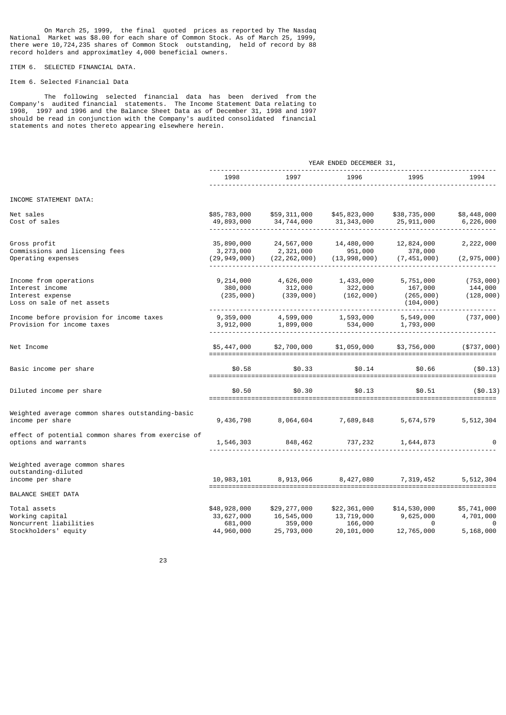On March 25, 1999, the final quoted prices as reported by The Nasdaq National Market was \$8.00 for each share of Common Stock. As of March 25, 1999, there were 10,724,235 shares of Common Stock outstanding, held of record by 88 record holders and approximatley 4,000 beneficial owners.

# ITEM 6. SELECTED FINANCIAL DATA.

# Item 6. Selected Financial Data

 The following selected financial data has been derived from the Company's audited financial statements. The Income Statement Data relating to 1998, 1997 and 1996 and the Balance Sheet Data as of December 31, 1998 and 1997 should be read in conjunction with the Company's audited consolidated financial statements and notes thereto appearing elsewhere herein.

|                                                                                             |                                           |                                           | YEAR ENDED DECEMBER 31,                     |                                                 |                                   |
|---------------------------------------------------------------------------------------------|-------------------------------------------|-------------------------------------------|---------------------------------------------|-------------------------------------------------|-----------------------------------|
|                                                                                             | 1998                                      | 1997                                      | 1996                                        | 1995                                            | 1994                              |
| INCOME STATEMENT DATA:                                                                      |                                           |                                           |                                             |                                                 |                                   |
| Net sales<br>Cost of sales                                                                  | \$85,783,000<br>49,893,000                | \$59,311,000<br>34,744,000                | \$45,823,000<br>31,343,000                  | \$38,735,000<br>25,911,000                      | \$8,448,000<br>6,226,000          |
| Gross profit<br>Commissions and licensing fees<br>Operating expenses                        | 35,890,000<br>3,273,000<br>(29, 949, 000) | 24,567,000<br>2,321,000<br>(22, 262, 000) | 14,480,000<br>951,000<br>(13, 998, 000)     | 12,824,000<br>378,000<br>(7, 451, 000)          | 2,222,000<br>(2, 975, 000)        |
| Income from operations<br>Interest income<br>Interest expense<br>Loss on sale of net assets | 9,214,000<br>380,000<br>(235,000)         | 4,626,000<br>312,000<br>(339,000)         | 1,433,000<br>322,000<br>(162,000)           | 5,751,000<br>167,000<br>(265,000)<br>(104, 000) | (753,000)<br>144,000<br>(128,000) |
| Income before provision for income taxes<br>Provision for income taxes                      | 9,359,000<br>3,912,000                    | 4,599,000<br>1,899,000                    | 1,593,000<br>534,000                        | 5,549,000<br>1,793,000                          | (737,000)                         |
| Net Income                                                                                  | \$5,447,000                               | \$2,700,000                               | \$1,059,000                                 | \$3,756,000                                     | (\$737,000)                       |
| Basic income per share                                                                      | \$0.58                                    | \$0.33                                    | \$0.14                                      | \$0.66                                          | ( \$0.13)                         |
| Diluted income per share                                                                    | \$0.50<br>==============                  | \$0.30                                    | \$0.13<br>================================= | \$0.51<br>==============================        | $($ \$0.13)                       |
| Weighted average common shares outstanding-basic<br>income per share                        | 9,436,798                                 | 8,064,604                                 | 7,689,848                                   | 5,674,579                                       | 5,512,304                         |
| effect of potential common shares from exercise of<br>options and warrants                  | 1,546,303                                 |                                           | 848,462 737,232                             | 1,644,873                                       | $\Theta$                          |
| Weighted average common shares<br>outstanding-diluted<br>income per share                   | 10,983,101                                | 8,913,066                                 |                                             | 8,427,080 7,319,452                             | 5,512,304                         |
| <b>BALANCE SHEET DATA</b>                                                                   |                                           |                                           |                                             |                                                 |                                   |
| Total assets<br>Working capital<br>Noncurrent liabilities                                   | \$48,928,000<br>33,627,000<br>681,000     | \$29,277,000<br>16,545,000<br>359,000     | \$22,361,000<br>13,719,000<br>166,000       | \$14,530,000<br>9,625,000<br>0                  | \$5,741,000<br>4,701,000<br>0     |
| Stockholders' equity                                                                        | 44,960,000                                | 25,793,000                                | 20,101,000                                  | 12,765,000                                      | 5,168,000                         |

<u>23 and 23 and 23 and 23 and 23 and 23 and 23 and 23 and 23 and 23 and 23 and 23 and 23 and 23 and 23 and 23 and 23 and 23 and 23 and 23 and 23 and 23 and 23 and 23 and 23 and 23 and 23 and 23 and 23 and 23 and 23 and 23 a</u>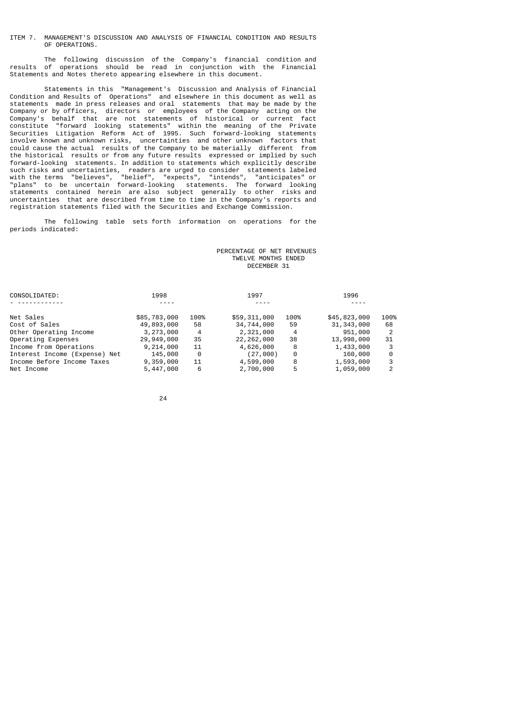### ITEM 7. MANAGEMENT'S DISCUSSION AND ANALYSIS OF FINANCIAL CONDITION AND RESULTS OF OPERATIONS.

 The following discussion of the Company's financial condition and results of operations should be read in conjunction with the Financial Statements and Notes thereto appearing elsewhere in this document.

 Statements in this "Management's Discussion and Analysis of Financial Condition and Results of Operations" and elsewhere in this document as well as statements made in press releases and oral statements that may be made by the Company or by officers, directors or employees of the Company acting on the Company's behalf that are not statements of historical or current fact constitute "forward looking statements" within the meaning of the Private Securities Litigation Reform Act of 1995. Such forward-looking statements involve known and unknown risks, uncertainties and other unknown factors that could cause the actual results of the Company to be materially different from the historical results or from any future results expressed or implied by such forward-looking statements. In addition to statements which explicitly describe such risks and uncertainties, readers are urged to consider statements labeled with the terms "believes", "belief", "expects", "intends", "anticipates" or "plans" to be uncertain forward-looking statements. The forward looking statements contained herein are also subject generally to other risks and uncertainties that are described from time to time in the Company's reports and registration statements filed with the Securities and Exchange Commission.

 The following table sets forth information on operations for the periods indicated:

## PERCENTAGE OF NET REVENUES TWELVE MONTHS ENDED DECEMBER 31

| CONSOLIDATED:                 | 1998         |      | 1997         |      | 1996         |      |
|-------------------------------|--------------|------|--------------|------|--------------|------|
|                               |              |      |              |      |              |      |
| Net Sales                     | \$85,783,000 | 100% | \$59,311,000 | 100% | \$45,823,000 | 100% |
| Cost of Sales                 | 49,893,000   | 58   | 34,744,000   | 59   | 31, 343, 000 | 68   |
| Other Operating Income        | 3,273,000    | 4    | 2,321,000    | -4   | 951,000      |      |
| Operating Expenses            | 29,949,000   | 35   | 22, 262, 000 | 38   | 13,998,000   | 31   |
| Income from Operations        | 9,214,000    | 11   | 4,626,000    | 8    | 1,433,000    | 3    |
| Interest Income (Expense) Net | 145,000      | 0    | (27,000)     | 0    | 160,000      | 0    |
| Income Before Income Taxes    | 9,359,000    | 11   | 4,599,000    | 8    | 1,593,000    | 3    |
| Net Income                    | 5,447,000    | 6    | 2,700,000    | 5    | 1,059,000    | 2    |

<u>24</u>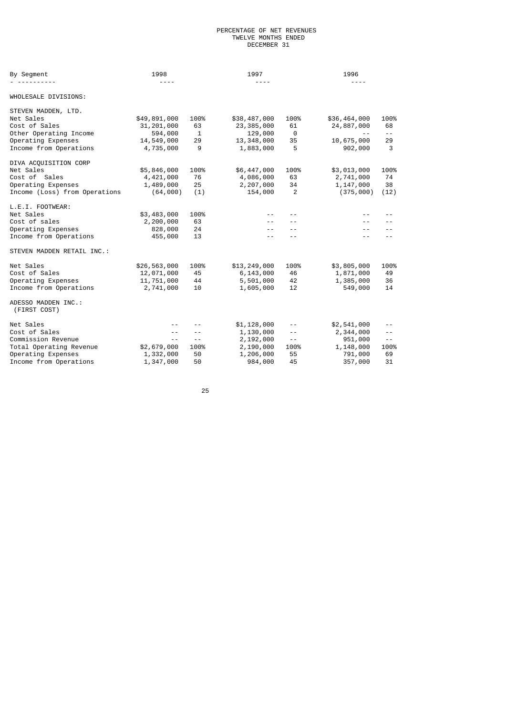### PERCENTAGE OF NET REVENUES TWELVE MONTHS ENDED **DECEMBER 31**

| By Segment                          | 1998<br>$- - - -$ |              | 1997<br>---- |          | 1996         |            |
|-------------------------------------|-------------------|--------------|--------------|----------|--------------|------------|
| WHOLESALE DIVISIONS:                |                   |              |              |          |              |            |
| STEVEN MADDEN, LTD.                 |                   |              |              |          |              |            |
| Net Sales                           | \$49,891,000      | 100%         | \$38,487,000 | 100%     | \$36,464,000 | 100%       |
| Cost of Sales                       | 31, 201, 000      | 63           | 23, 385, 000 | 61       | 24,887,000   | 68         |
| Other Operating Income              | 594,000           | $\mathbf{1}$ | 129,000      | $\Theta$ | $- -$        | $\sim$ $-$ |
| Operating Expenses                  | 14,549,000        | 29           | 13, 348, 000 | 35       | 10,675,000   | 29         |
| Income from Operations              | 4,735,000         | 9            | 1,883,000    | 5        | 902,000      | 3          |
| DIVA ACQUISITION CORP               |                   |              |              |          |              |            |
| Net Sales                           | \$5,846,000       | 100%         | \$6,447,000  | 100%     | \$3,013,000  | 100%       |
| Cost of Sales                       | 4,421,000         | 76           | 4,086,000    | 63       | 2,741,000    | 74         |
| Operating Expenses                  | 1,489,000         | 25           | 2,207,000    | 34       | 1,147,000    | 38         |
| Income (Loss) from Operations       | (64,000)          | (1)          | 154,000      | 2        | (375,000)    | (12)       |
| L.E.I. FOOTWEAR:                    |                   |              |              |          |              |            |
| Net Sales                           | \$3,483,000       | 100%         |              | $ -$     |              | - -        |
| Cost of sales                       | 2,200,000         | 63           | $- -$        | $ -$     | $ -$         | $- -$      |
| Operating Expenses                  | 828,000           | 24           | $- -$        |          | $- -$        | $ -$       |
| Income from Operations              | 455,000           | 13           |              |          | $ -$         |            |
| STEVEN MADDEN RETAIL INC.:          |                   |              |              |          |              |            |
| Net Sales                           | \$26,563,000      | 100%         | \$13,249,000 | 100%     | \$3,805,000  | 100%       |
| Cost of Sales                       | 12,071,000        | 45           | 6,143,000    | 46       | 1,871,000    | 49         |
| Operating Expenses                  | 11,751,000        | 44           | 5,501,000    | 42       | 1,385,000    | 36         |
| Income from Operations              | 2,741,000         | 10           | 1,605,000    | 12       | 549,000      | 14         |
| ADESSO MADDEN INC.:<br>(FIRST COST) |                   |              |              |          |              |            |
| Net Sales                           | $- -$             |              | \$1,128,000  | $- -$    | \$2,541,000  | $- -$      |
| Cost of Sales                       | $ -$              |              | 1,130,000    | $- -$    | 2,344,000    | $- -$      |
| Commission Revenue                  | $ -$              | $- -$        | 2,192,000    | $ -$     | 951,000      | $- -$      |
| Total Operating Revenue             | \$2,679,000       | 100%         | 2,190,000    | 100%     | 1,148,000    | 100%       |
| Operating Expenses                  | 1,332,000         | 50           | 1,206,000    | 55       | 791,000      | 69         |
| Income from Operations              | 1,347,000         | 50           | 984,000      | 45       | 357,000      | 31         |
|                                     |                   |              |              |          |              |            |

<u>25 and 25 and 26 and 26 and 26 and 26 and 26 and 26 and 26 and 26 and 26 and 26 and 26 and 26 and 26 and 26 and 26 and 26 and 26 and 26 and 27 and 27 and 27 and 27 and 27 and 27 and 27 and 27 and 27 and 27 and 27 and 27 a</u>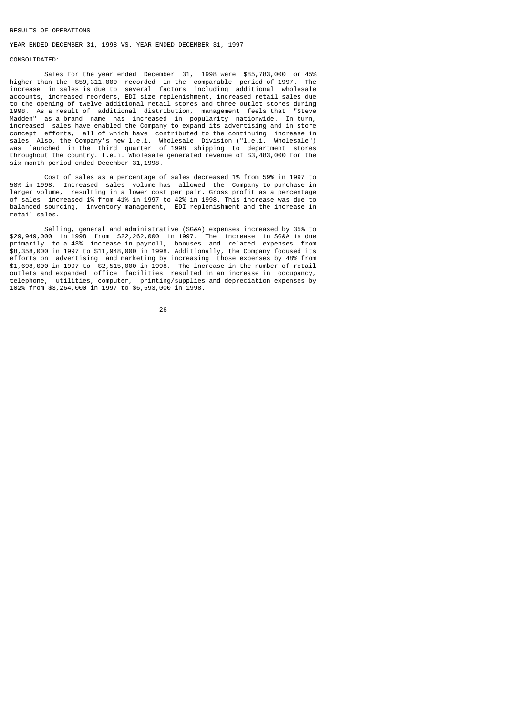### RESULTS OF OPERATIONS

# YEAR ENDED DECEMBER 31, 1998 VS. YEAR ENDED DECEMBER 31, 1997

## CONSOLIDATED:

 Sales for the year ended December 31, 1998 were \$85,783,000 or 45% higher than the \$59,311,000 recorded in the comparable period of 1997. The increase in sales is due to several factors including additional wholesale accounts, increased reorders, EDI size replenishment, increased retail sales due to the opening of twelve additional retail stores and three outlet stores during<br>1998 As a result of additional distribution management feels that "Steve 1998. As a result of additional distribution, management feels that Madden" as a brand name has increased in popularity nationwide. In turn, increased sales have enabled the Company to expand its advertising and in store concept efforts, all of which have contributed to the continuing increase in sales. Also, the Company's new l.e.i. Wholesale Division ("l.e.i. Wholesale") was launched in the third quarter of 1998 shipping to department stores throughout the country. l.e.i. Wholesale generated revenue of \$3,483,000 for the six month period ended December 31,1998.

 Cost of sales as a percentage of sales decreased 1% from 59% in 1997 to 58% in 1998. Increased sales volume has allowed the Company to purchase in larger volume, resulting in a lower cost per pair. Gross profit as a percentage of sales increased 1% from 41% in 1997 to 42% in 1998. This increase was due to balanced sourcing, inventory management, EDI replenishment and the increase in retail sales.

 Selling, general and administrative (SG&A) expenses increased by 35% to \$29,949,000 in 1998 from \$22,262,000 in 1997. The increase in SG&A is due primarily to a 43% increase in payroll, bonuses and related expenses from \$8,358,000 in 1997 to \$11,948,000 in 1998. Additionally, the Company focused its efforts on advertising and marketing by increasing those expenses by 48% from \$1,698,000 in 1997 to \$2,515,000 in 1998. The increase in the number of retail outlets and expanded office facilities resulted in an increase in occupancy, telephone, utilities, computer, printing/supplies and depreciation expenses by 102% from \$3,264,000 in 1997 to \$6,593,000 in 1998.

<u>26 and 26</u>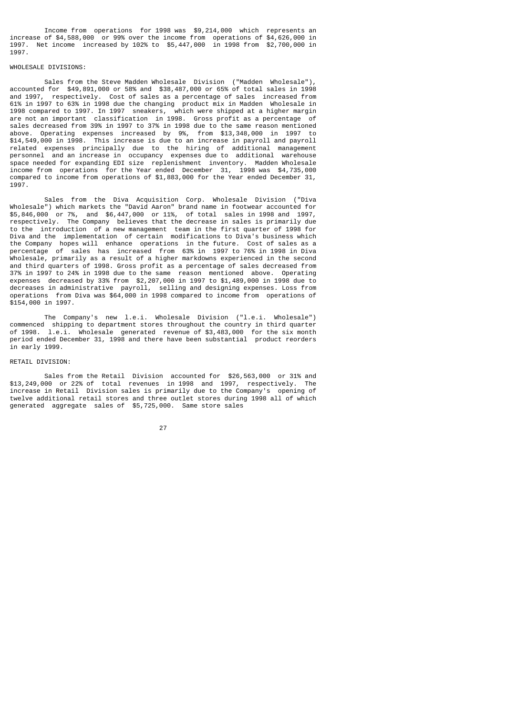Income from operations for 1998 was \$9,214,000 which represents an increase of \$4,588,000 or 99% over the income from operations of \$4,626,000 in 1997. Net income increased by 102% to \$5,447,000 in 1998 from \$2,700,000 in 1997.

# WHOLESALE DIVISIONS:

 Sales from the Steve Madden Wholesale Division ("Madden Wholesale"), accounted for \$49,891,000 or 58% and \$38,487,000 or 65% of total sales in 1998 and 1997, respectively. Cost of sales as a percentage of sales increased from 61% in 1997 to 63% in 1998 due the changing product mix in Madden Wholesale in 1998 compared to 1997. In 1997 sneakers, which were shipped at a higher margin are not an important classification in 1998. Gross profit as a percentage of sales decreased from 39% in 1997 to 37% in 1998 due to the same reason mentioned above. Operating expenses increased by 9%, from \$13,348,000 in 1997 to \$14,549,000 in 1998. This increase is due to an increase in payroll and payroll related expenses principally due to the hiring of additional management personnel and an increase in occupancy expenses due to additional warehouse space needed for expanding EDI size replenishment inventory. Madden Wholesale income from operations for the Year ended December 31, 1998 was \$4,735,000 compared to income from operations of \$1,883,000 for the Year ended December 31, 1997.

 Sales from the Diva Acquisition Corp. Wholesale Division ("Diva Wholesale") which markets the "David Aaron" brand name in footwear accounted for \$5,846,000 or 7%, and \$6,447,000 or 11%, of total sales in 1998 and 1997, respectively. The Company believes that the decrease in sales is primarily due to the introduction of a new management team in the first quarter of 1998 for Diva and the implementation of certain modifications to Diva's business which the Company hopes will enhance operations in the future. Cost of sales as a percentage of sales has increased from 63% in 1997 to 76% in 1998 in Diva Wholesale, primarily as a result of a higher markdowns experienced in the second and third quarters of 1998. Gross profit as a percentage of sales decreased from 37% in 1997 to 24% in 1998 due to the same reason mentioned above. Operating expenses decreased by 33% from \$2,207,000 in 1997 to \$1,489,000 in 1998 due to decreases in administrative payroll, selling and designing expenses. Loss from operations from Diva was \$64,000 in 1998 compared to income from operations of \$154,000 in 1997.

 The Company's new l.e.i. Wholesale Division ("l.e.i. Wholesale") commenced shipping to department stores throughout the country in third quarter of 1998. l.e.i. Wholesale generated revenue of \$3,483,000 for the six month period ended December 31, 1998 and there have been substantial product reorders in early 1999.

# RETAIL DIVISION·

 Sales from the Retail Division accounted for \$26,563,000 or 31% and \$13,249,000 or 22% of total revenues in 1998 and 1997, respectively. The increase in Retail Division sales is primarily due to the Company's opening of twelve additional retail stores and three outlet stores during 1998 all of which generated aggregate sales of \$5,725,000. Same store sales

<u>27 and 27</u>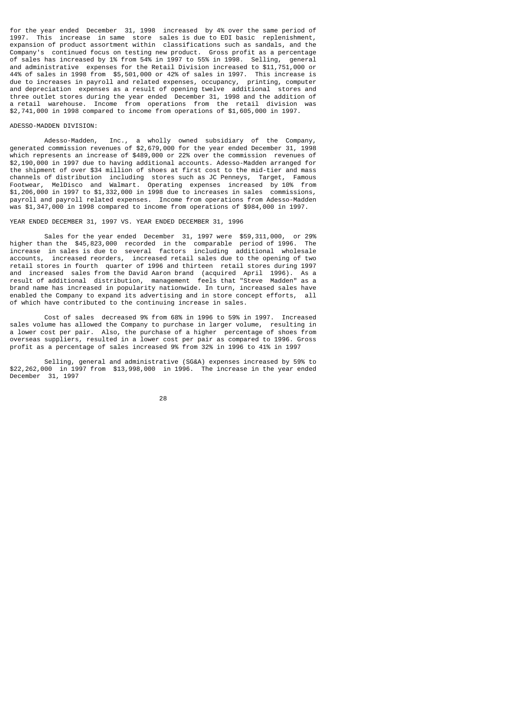for the year ended December 31, 1998 increased by 4% over the same period of 1997. This increase in same store sales is due to EDI basic replenishment, expansion of product assortment within classifications such as sandals, and the Company's continued focus on testing new product. Gross profit as a percentage of sales has increased by 1% from 54% in 1997 to 55% in 1998. Selling, general and administrative expenses for the Retail Division increased to \$11,751,000 or 44% of sales in 1998 from \$5,501,000 or 42% of sales in 1997. This increase is due to increases in payroll and related expenses, occupancy, printing, computer and depreciation expenses as a result of opening twelve additional stores and three outlet stores during the year ended December 31, 1998 and the addition of a retail warehouse. Income from operations from the retail division was \$2,741,000 in 1998 compared to income from operations of \$1,605,000 in 1997.

# ADESSO-MADDEN DIVISION:

 Adesso-Madden, Inc., a wholly owned subsidiary of the Company, generated commission revenues of \$2,679,000 for the year ended December 31, 1998 which represents an increase of \$489,000 or 22% over the commission revenues of \$2,190,000 in 1997 due to having additional accounts. Adesso-Madden arranged for the shipment of over \$34 million of shoes at first cost to the mid-tier and mass channels of distribution including stores such as JC Penneys, Target, Famous Footwear, MelDisco and Walmart. Operating expenses increased by 10% from \$1,206,000 in 1997 to \$1,332,000 in 1998 due to increases in sales commissions, payroll and payroll related expenses. Income from operations from Adesso-Madden was \$1,347,000 in 1998 compared to income from operations of \$984,000 in 1997.

### YEAR ENDED DECEMBER 31, 1997 VS. YEAR ENDED DECEMBER 31, 1996

 Sales for the year ended December 31, 1997 were \$59,311,000, or 29% higher than the \$45,823,000 recorded in the comparable period of 1996. The increase in sales is due to several factors including additional wholesale accounts, increased reorders, increased retail sales due to the opening of two retail stores in fourth quarter of 1996 and thirteen retail stores during 1997 and increased sales from the David Aaron brand (acquired April 1996). As a result of additional distribution, management feels that "Steve Madden" as a brand name has increased in popularity nationwide. In turn, increased sales have enabled the Company to expand its advertising and in store concept efforts, all of which have contributed to the continuing increase in sales.

 Cost of sales decreased 9% from 68% in 1996 to 59% in 1997. Increased sales volume has allowed the Company to purchase in larger volume, resulting in a lower cost per pair. Also, the purchase of a higher percentage of shoes from overseas suppliers, resulted in a lower cost per pair as compared to 1996. Gross profit as a percentage of sales increased 9% from 32% in 1996 to 41% in 1997

 Selling, general and administrative (SG&A) expenses increased by 59% to \$22,262,000 in 1997 from \$13,998,000 in 1996. The increase in the year ended December 31, 1997

<u>28 and 28 and 28 and 28 and 28 and 28 and 28 and 28 and 28 and 28 and 28 and 28 and 28 and 28 and 28 and 28 and 28 and 28 and 28 and 28 and 28 and 28 and 28 and 28 and 28 and 28 and 28 and 28 and 28 and 28 and 28 and 28 a</u>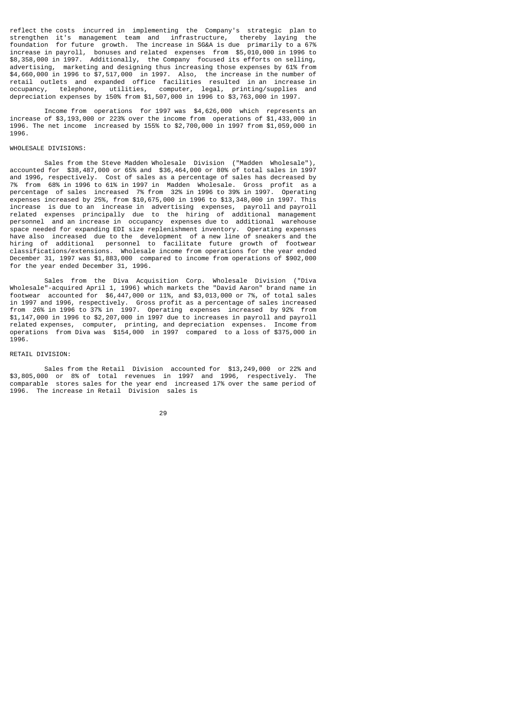reflect the costs incurred in implementing the Company's strategic plan to strengthen it's management team and infrastructure, thereby laying the foundation for future growth. The increase in SG&A is due primarily to a 67% increase in payroll, bonuses and related expenses from \$5,010,000 in 1996 to \$8,358,000 in 1997. Additionally, the Company focused its efforts on selling, advertising, marketing and designing thus increasing those expenses by 61% from \$4,660,000 in 1996 to \$7,517,000 in 1997. Also, the increase in the number of retail outlets and expanded office facilities resulted in an increase in occupancy, telephone, utilities, computer, legal, printing/supplies and depreciation expenses by 150% from \$1,507,000 in 1996 to \$3,763,000 in 1997.

 Income from operations for 1997 was \$4,626,000 which represents an increase of \$3,193,000 or 223% over the income from operations of \$1,433,000 in 1996. The net income increased by 155% to \$2,700,000 in 1997 from \$1,059,000 in 1996.

# WHOLESALE DIVISIONS:

 Sales from the Steve Madden Wholesale Division ("Madden Wholesale"), accounted for \$38,487,000 or 65% and \$36,464,000 or 80% of total sales in 1997 and 1996, respectively. Cost of sales as a percentage of sales has decreased by 7% from 68% in 1996 to 61% in 1997 in Madden Wholesale. Gross profit as a percentage of sales increased 7% from 32% in 1996 to 39% in 1997. Operating expenses increased by 25%, from \$10,675,000 in 1996 to \$13,348,000 in 1997. This increase is due to an increase in advertising expenses, payroll and payroll related expenses principally due to the hiring of additional management personnel and an increase in occupancy expenses due to additional warehouse space needed for expanding EDI size replenishment inventory. Operating expenses have also increased due to the development of a new line of sneakers and the hiring of additional personnel to facilitate future growth of footwear classifications/extensions. Wholesale income from operations for the year ended December 31, 1997 was \$1,883,000 compared to income from operations of \$902,000 for the year ended December 31, 1996.

 Sales from the Diva Acquisition Corp. Wholesale Division ("Diva Wholesale"-acquired April 1, 1996) which markets the "David Aaron" brand name in footwear accounted for \$6,447,000 or 11%, and \$3,013,000 or 7%, of total sales in 1997 and 1996, respectively. Gross profit as a percentage of sales increased from 26% in 1996 to 37% in 1997. Operating expenses increased by 92% from \$1,147,000 in 1996 to \$2,207,000 in 1997 due to increases in payroll and payroll related expenses, computer, printing, and depreciation expenses. Income from operations from Diva was \$154,000 in 1997 compared to a loss of \$375,000 in 1996.

#### RETAIL DIVISION:

 Sales from the Retail Division accounted for \$13,249,000 or 22% and \$3,805,000 or 8% of total revenues in 1997 and 1996, respectively. The comparable stores sales for the year end increased 17% over the same period of 1996. The increase in Retail Division sales is

<u>29 and 29 and 29 and 29 and 29 and 29 and 29 and 29 and 29 and 29 and 29 and 29 and 29 and 29 and 29 and 2012</u>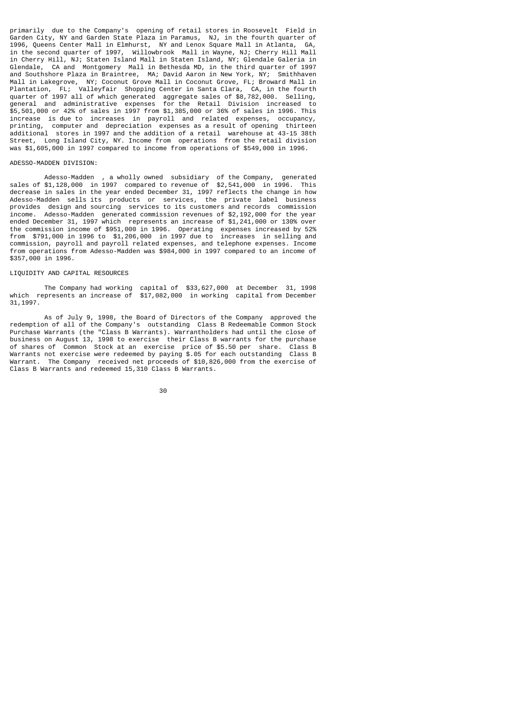primarily due to the Company's opening of retail stores in Roosevelt Field in Garden City, NY and Garden State Plaza in Paramus, NJ, in the fourth quarter of 1996, Queens Center Mall in Elmhurst, NY and Lenox Square Mall in Atlanta, GA, in the second quarter of 1997, Willowbrook Mall in Wayne, NJ; Cherry Hill Mall in Cherry Hill, NJ; Staten Island Mall in Staten Island, NY; Glendale Galeria in Glendale, CA and Montgomery Mall in Bethesda MD, in the third quarter of 1997 and Southshore Plaza in Braintree, MA; David Aaron in New York, NY; Smithhaven Mall in Lakegrove, NY; Coconut Grove Mall in Coconut Grove, FL; Broward Mall in Plantation, FL; Valleyfair Shopping Center in Santa Clara, CA, in the fourth quarter of 1997 all of which generated aggregate sales of \$8,782,000. Selling, general and administrative expenses for the Retail Division increased to \$5,501,000 or 42% of sales in 1997 from \$1,385,000 or 36% of sales in 1996. This increase is due to increases in payroll and related expenses, occupancy, printing, computer and depreciation expenses as a result of opening thirteen additional stores in 1997 and the addition of a retail warehouse at 43-15 38th Street, Long Island City, NY. Income from operations from the retail division was \$1,605,000 in 1997 compared to income from operations of \$549,000 in 1996.

# ADESSO-MADDEN DIVISION:

 Adesso-Madden , a wholly owned subsidiary of the Company, generated sales of \$1,128,000 in 1997 compared to revenue of \$2,541,000 in 1996. This decrease in sales in the year ended December 31, 1997 reflects the change in how Adesso-Madden sells its products or services, the private label business provides design and sourcing services to its customers and records commission income. Adesso-Madden generated commission revenues of \$2,192,000 for the year ended December 31, 1997 which represents an increase of \$1,241,000 or 130% over the commission income of \$951,000 in 1996. Operating expenses increased by 52% from \$791,000 in 1996 to \$1,206,000 in 1997 due to increases in selling and commission, payroll and payroll related expenses, and telephone expenses. Income from operations from Adesso-Madden was \$984,000 in 1997 compared to an income of \$357,000 in 1996.

# LIQUIDITY AND CAPITAL RESOURCES

 The Company had working capital of \$33,627,000 at December 31, 1998 which represents an increase of \$17,082,000 in working capital from December 31,1997.

 As of July 9, 1998, the Board of Directors of the Company approved the redemption of all of the Company's outstanding Class B Redeemable Common Stock Purchase Warrants (the "Class B Warrants). Warrantholders had until the close of business on August 13, 1998 to exercise their Class B warrants for the purchase of shares of Common Stock at an exercise price of \$5.50 per share. Class B Warrants not exercise were redeemed by paying \$.05 for each outstanding Class B Warrant. The Company received net proceeds of \$10,826,000 from the exercise of Class B Warrants and redeemed 15,310 Class B Warrants.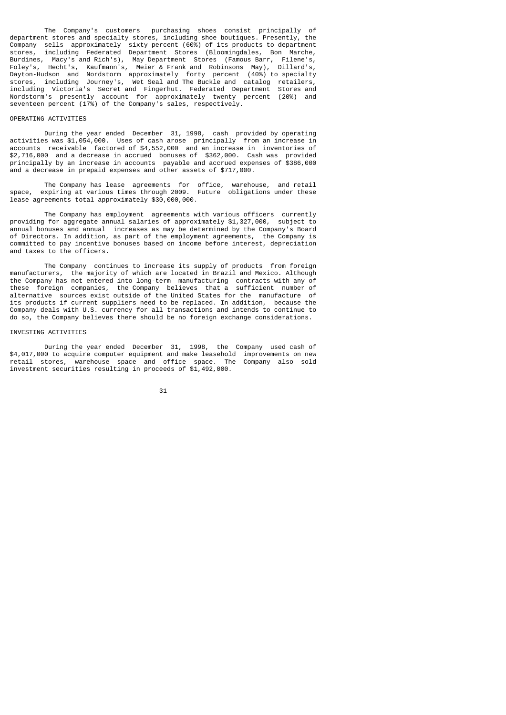The Company's customers purchasing shoes consist principally of department stores and specialty stores, including shoe boutiques. Presently, the Company sells approximately sixty percent (60%) of its products to department stores, including Federated Department Stores (Bloomingdales, Bon Marche, Burdines, Macy's and Rich's), May Department Stores (Famous Barr, Filene's, Foley's, Hecht's, Kaufmann's, Meier & Frank and Robinsons May), Dillard's, Dayton-Hudson and Nordstorm approximately forty percent (40%) to specialty stores, including Journey's, Wet Seal and The Buckle and catalog retailers, including Victoria's Secret and Fingerhut. Federated Department Stores and Nordstorm's presently account for approximately twenty percent (20%) and seventeen percent (17%) of the Company's sales, respectively.

## OPERATING ACTIVITIES

 During the year ended December 31, 1998, cash provided by operating activities was \$1,054,000. Uses of cash arose principally from an increase in accounts receivable factored of \$4,552,000 and an increase in inventories of \$2,716,000 and a decrease in accrued bonuses of \$362,000. Cash was provided principally by an increase in accounts payable and accrued expenses of \$386,000 and a decrease in prepaid expenses and other assets of \$717,000.

 The Company has lease agreements for office, warehouse, and retail space, expiring at various times through 2009. Future obligations under these lease agreements total approximately \$30,000,000.

 The Company has employment agreements with various officers currently providing for aggregate annual salaries of approximately \$1,327,000, subject to annual bonuses and annual increases as may be determined by the Company's Board of Directors. In addition, as part of the employment agreements, the Company is committed to pay incentive bonuses based on income before interest, depreciation and taxes to the officers.

 The Company continues to increase its supply of products from foreign manufacturers, the majority of which are located in Brazil and Mexico. Although the Company has not entered into long-term manufacturing contracts with any of these foreign companies, the Company believes that a sufficient number of alternative sources exist outside of the United States for the manufacture of its products if current suppliers need to be replaced. In addition, because the Company deals with U.S. currency for all transactions and intends to continue to do so, the Company believes there should be no foreign exchange considerations.

# INVESTING ACTIVITIES

 During the year ended December 31, 1998, the Company used cash of \$4,017,000 to acquire computer equipment and make leasehold improvements on new retail stores, warehouse space and office space. The Company also sold investment securities resulting in proceeds of \$1,492,000.

 <sup>31</sup>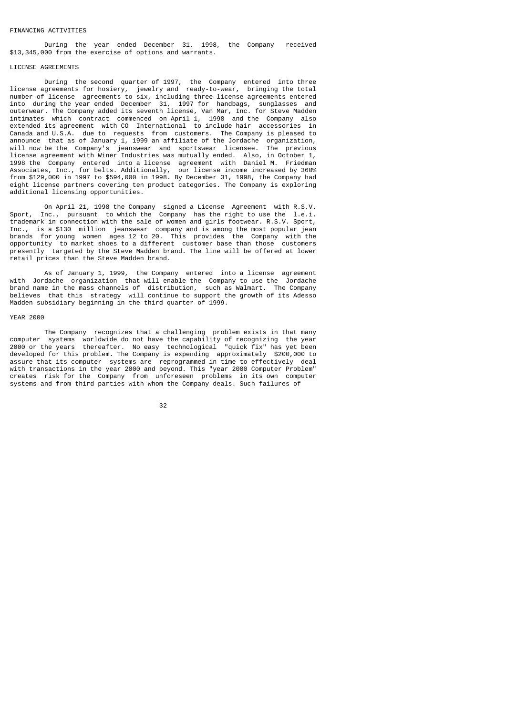### FINANCING ACTIVITIES

 During the year ended December 31, 1998, the Company received \$13,345,000 from the exercise of options and warrants.

### LICENSE AGREEMENTS

 During the second quarter of 1997, the Company entered into three license agreements for hosiery, jewelry and ready-to-wear, bringing the total number of license agreements to six, including three license agreements entered into during the year ended December 31, 1997 for handbags, sunglasses and outerwear. The Company added its seventh license, Van Mar, Inc. for Steve Madden intimates which contract commenced on April 1, 1998 and the Company also extended its agreement with CO International to include hair accessories in Canada and U.S.A. due to requests from customers. The Company is pleased to announce that as of January 1, 1999 an affiliate of the Jordache organization, will now be the Company's jeanswear and sportswear licensee. The previous license agreement with Winer Industries was mutually ended. Also, in October 1, 1998 the Company entered into a license agreement with Daniel M. Friedman Associates, Inc., for belts. Additionally, our license income increased by 360% from \$129,000 in 1997 to \$594,000 in 1998. By December 31, 1998, the Company had eight license partners covering ten product categories. The Company is exploring additional licensing opportunities.

 On April 21, 1998 the Company signed a License Agreement with R.S.V. Sport, Inc., pursuant to which the Company has the right to use the l.e.i. trademark in connection with the sale of women and girls footwear. R.S.V. Sport, Inc., is a \$130 million jeanswear company and is among the most popular jean brands for young women ages 12 to 20. This provides the Company with the opportunity to market shoes to a different customer base than those customers presently targeted by the Steve Madden brand. The line will be offered at lower retail prices than the Steve Madden brand.

 As of January 1, 1999, the Company entered into a license agreement with Jordache organization that will enable the Company to use the Jordache brand name in the mass channels of distribution, such as Walmart. The Company believes that this strategy will continue to support the growth of its Adesso Madden subsidiary beginning in the third quarter of 1999.

#### YEAR 2000

 The Company recognizes that a challenging problem exists in that many computer systems worldwide do not have the capability of recognizing the year 2000 or the years thereafter. No easy technological "quick fix" has yet been developed for this problem. The Company is expending approximately \$200,000 to assure that its computer systems are reprogrammed in time to effectively deal with transactions in the year 2000 and beyond. This "year 2000 Computer Problem" creates risk for the Company from unforeseen problems in its own computer systems and from third parties with whom the Company deals. Such failures of

<u>32 and 2010 and 2010 and 2010 and 2010 and 2010 and 2010 and 2010 and 2010 and 2010 and 2010 and 2010 and 201</u>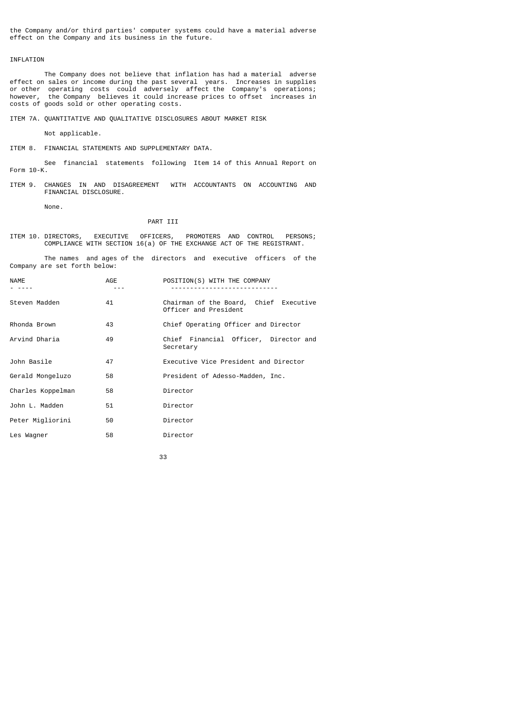the Company and/or third parties' computer systems could have a material adverse effect on the Company and its business in the future.

# INFLATION

 The Company does not believe that inflation has had a material adverse effect on sales or income during the past several years. Increases in supplies or other operating costs could adversely affect the Company's operations; however, the Company believes it could increase prices to offset increases in costs of goods sold or other operating costs.

ITEM 7A. QUANTITATIVE AND QUALITATIVE DISCLOSURES ABOUT MARKET RISK

Not applicable.

ITEM 8. FINANCIAL STATEMENTS AND SUPPLEMENTARY DATA.

 See financial statements following Item 14 of this Annual Report on Form 10-K.

ITEM 9. CHANGES IN AND DISAGREEMENT WITH ACCOUNTANTS ON ACCOUNTING AND FINANCIAL DISCLOSURE.

None.

# PART III

ITEM 10. DIRECTORS, EXECUTIVE OFFICERS, PROMOTERS AND CONTROL PERSONS; COMPLIANCE WITH SECTION 16(a) OF THE EXCHANGE ACT OF THE REGISTRANT.

 The names and ages of the directors and executive officers of the Company are set forth below:

| NAME              | AGE | POSITION(S) WITH THE COMPANY                                    |  |  |  |  |
|-------------------|-----|-----------------------------------------------------------------|--|--|--|--|
| Steven Madden     | 41  | Chairman of the Board, Chief Executive<br>Officer and President |  |  |  |  |
| Rhonda Brown      | 43  | Chief Operating Officer and Director                            |  |  |  |  |
| Arvind Dharia     | 49  | Chief Financial Officer, Director and<br>Secretary              |  |  |  |  |
| John Basile       | 47  | Executive Vice President and Director                           |  |  |  |  |
| Gerald Mongeluzo  | 58  | President of Adesso-Madden, Inc.                                |  |  |  |  |
| Charles Koppelman | 58  | Director                                                        |  |  |  |  |
| John L. Madden    | 51  | Director                                                        |  |  |  |  |
| Peter Migliorini  | 50  | Director                                                        |  |  |  |  |
| Les Wagner        | 58  | Director                                                        |  |  |  |  |

33 and 2012 and 2013 and 2013 and 2014 and 2014 and 2014 and 2014 and 2014 and 2014 and 2014 and 2014 and 2014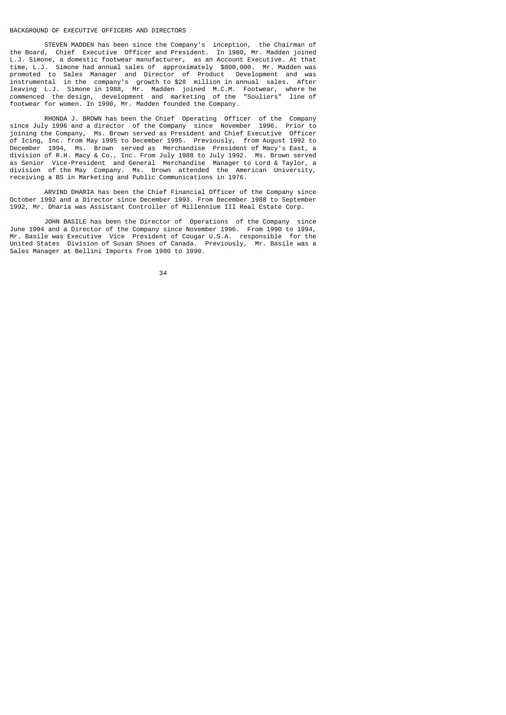#### BACKGROUND OF EXECUTIVE OFFICERS AND DIRECTORS

 STEVEN MADDEN has been since the Company's inception, the Chairman of the Board, Chief Executive Officer and President. In 1980, Mr. Madden joined L.J. Simone, a domestic footwear manufacturer, as an Account Executive. At that time, L.J. Simone had annual sales of approximately \$800,000. Mr. Madden was promoted to Sales Manager and Director of Product Development and was promoted to Sales Manager and Director of Product Development and was instrumental in the company's growth to \$28 million in annual sales. After leaving L.J. Simone in 1988, Mr. Madden joined M.C.M. Footwear, where he commenced the design, development and marketing of the "Souliers" line of footwear for women. In 1990, Mr. Madden founded the Company.

 RHONDA J. BROWN has been the Chief Operating Officer of the Company since July 1996 and a director of the Company since November 1996. Prior to joining the Company, Ms. Brown served as President and Chief Executive Officer of Icing, Inc. from May 1995 to December 1995. Previously, from August 1992 to December 1994, Ms. Brown served as Merchandise President of Macy's East, a division of R.H. Macy & Co., Inc. From July 1988 to July 1992. Ms. Brown served as Senior Vice-President and General Merchandise Manager to Lord & Taylor, a division of the May Company. Ms. Brown attended the American University, receiving a BS in Marketing and Public Communications in 1976.

 ARVIND DHARIA has been the Chief Financial Officer of the Company since October 1992 and a Director since December 1993. From December 1988 to September 1992, Mr. Dharia was Assistant Controller of Millennium III Real Estate Corp.

 JOHN BASILE has been the Director of Operations of the Company since June 1994 and a Director of the Company since November 1996. From 1990 to 1994, Mr. Basile was Executive Vice President of Cougar U.S.A. responsible for the United States Division of Susan Shoes of Canada. Previously, Mr. Basile was a Sales Manager at Bellini Imports from 1980 to 1990.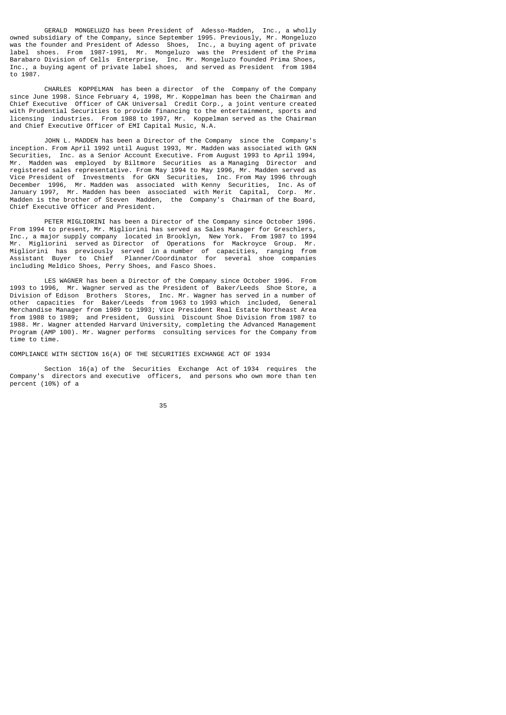GERALD MONGELUZO has been President of Adesso-Madden, Inc., a wholly owned subsidiary of the Company, since September 1995. Previously, Mr. Mongeluzo was the founder and President of Adesso Shoes, Inc., a buying agent of private label shoes. From 1987-1991, Mr. Mongeluzo was the President of the Prima Barabaro Division of Cells Enterprise, Inc. Mr. Mongeluzo founded Prima Shoes, Inc., a buying agent of private label shoes, and served as President from 1984  $\overline{10}$  1987

 CHARLES KOPPELMAN has been a director of the Company of the Company since June 1998. Since February 4, 1998, Mr. Koppelman has been the Chairman and Chief Executive Officer of CAK Universal Credit Corp., a joint venture created with Prudential Securities to provide financing to the entertainment, sports and licensing industries. From 1988 to 1997, Mr. Koppelman served as the Chairman and Chief Executive Officer of EMI Capital Music, N.A.

 JOHN L. MADDEN has been a Director of the Company since the Company's inception. From April 1992 until August 1993, Mr. Madden was associated with GKN Securities, Inc. as a Senior Account Executive. From August 1993 to April 1994, Mr. Madden was employed by Biltmore Securities as a Managing Director and registered sales representative. From May 1994 to May 1996, Mr. Madden served as Vice President of Investments for GKN Securities, Inc. From May 1996 through December 1996, Mr. Madden was associated with Kenny Securities, Inc. As of January 1997, Mr. Madden has been associated with Merit Capital, Corp. Mr. Madden is the brother of Steven Madden, the Company's Chairman of the Board, Chief Executive Officer and President.

 PETER MIGLIORINI has been a Director of the Company since October 1996. From 1994 to present, Mr. Migliorini has served as Sales Manager for Greschlers, Inc., a major supply company located in Brooklyn, New York. From 1987 to 1994 Mr. Migliorini served as Director of Operations for Mackroyce Group. Mr. Migliorini has previously served in a number of capacities, ranging from Assistant Buyer to Chief Planner/Coordinator for several shoe companies including Meldico Shoes, Perry Shoes, and Fasco Shoes.

 LES WAGNER has been a Director of the Company since October 1996. From 1993 to 1996, Mr. Wagner served as the President of Baker/Leeds Shoe Store, a Division of Edison Brothers Stores, Inc. Mr. Wagner has served in a number of other capacities for Baker/Leeds from 1963 to 1993 which included, General Merchandise Manager from 1989 to 1993; Vice President Real Estate Northeast Area from 1988 to 1989; and President, Gussini Discount Shoe Division from 1987 to 1988. Mr. Wagner attended Harvard University, completing the Advanced Management Program (AMP 100). Mr. Wagner performs consulting services for the Company from time to time.

COMPLIANCE WITH SECTION 16(A) OF THE SECURITIES EXCHANGE ACT OF 1934

 Section 16(a) of the Securities Exchange Act of 1934 requires the Company's directors and executive officers, and persons who own more than ten percent (10%) of a

<u>35 and 200 and 200 and 200 and 200 and 200 and 200 and 200 and 200 and 200 and 200 and 200 and 200 and 200 and 200 and 200 and 200 and 200 and 200 and 200 and 200 and 200 and 200 and 200 and 200 and 200 and 200 and 200 an</u>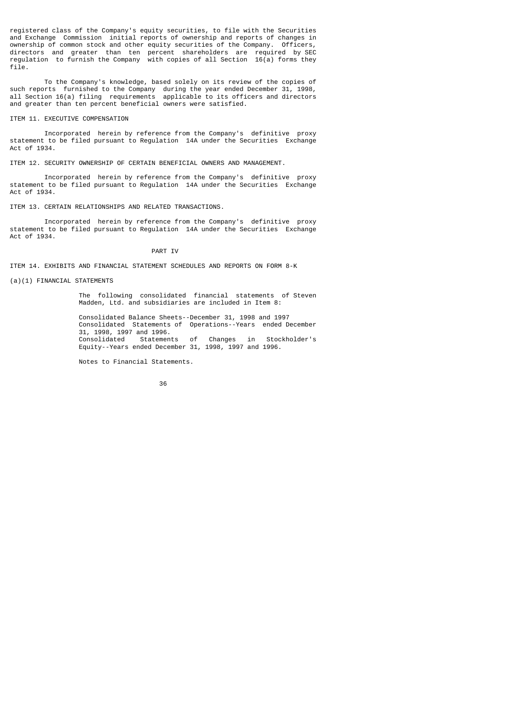registered class of the Company's equity securities, to file with the Securities and Exchange Commission initial reports of ownership and reports of changes in ownership of common stock and other equity securities of the Company. Officers, directors and greater than ten percent shareholders are required by SEC regulation to furnish the Company with copies of all Section 16(a) forms they file.

 To the Company's knowledge, based solely on its review of the copies of such reports furnished to the Company during the year ended December 31, 1998, all Section 16(a) filing requirements applicable to its officers and directors and greater than ten percent beneficial owners were satisfied.

### ITEM 11. EXECUTIVE COMPENSATION

 Incorporated herein by reference from the Company's definitive proxy statement to be filed pursuant to Regulation 14A under the Securities Exchange Act of 1934.

ITEM 12. SECURITY OWNERSHIP OF CERTAIN BENEFICIAL OWNERS AND MANAGEMENT.

 Incorporated herein by reference from the Company's definitive proxy statement to be filed pursuant to Regulation 14A under the Securities Exchange Act of 1934.

ITEM 13. CERTAIN RELATIONSHIPS AND RELATED TRANSACTIONS.

 Incorporated herein by reference from the Company's definitive proxy statement to be filed pursuant to Regulation 14A under the Securities Exchange Act of 1934.

### PART IV

ITEM 14. EXHIBITS AND FINANCIAL STATEMENT SCHEDULES AND REPORTS ON FORM 8-K

### (a)(1) FINANCIAL STATEMENTS

 The following consolidated financial statements of Steven Madden, Ltd. and subsidiaries are included in Item 8:

 Consolidated Balance Sheets--December 31, 1998 and 1997 Consolidated Statements of Operations--Years ended December 31, 1998, 1997 and 1996. Consolidated Statements of Changes in Stockholder's Equity--Years ended December 31, 1998, 1997 and 1996.

Notes to Financial Statements.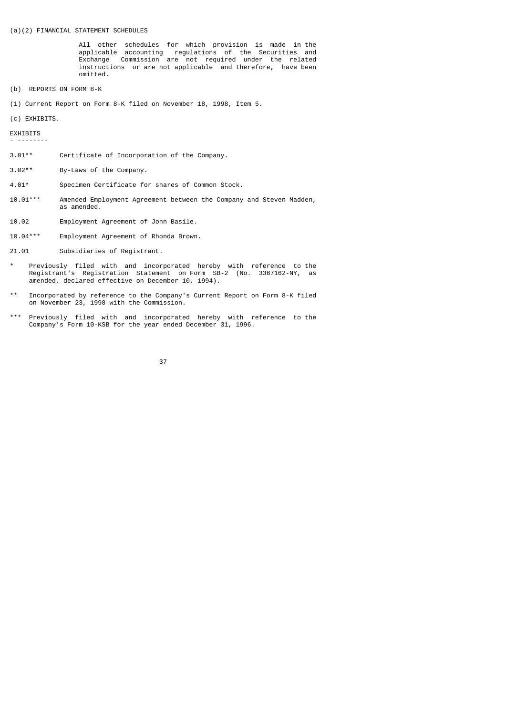### (a)(2) FINANCIAL STATEMENT SCHEDULES

 All other schedules for which provision is made in the applicable accounting regulations of the Securities and Exchange Commission are not required under the related instructions or are not applicable and therefore, have been omitted.

- (b) REPORTS ON FORM 8-K
- (1) Current Report on Form 8-K filed on November 18, 1998, Item 5.

(c) EXHIBITS.

EXHIBITS

- --------

- 3.01\*\* Certificate of Incorporation of the Company.
- 3.02\*\* By-Laws of the Company.
- 4.01\* Specimen Certificate for shares of Common Stock.
- 10.01\*\*\* Amended Employment Agreement between the Company and Steven Madden, as amended.
- 10.02 Employment Agreement of John Basile.
- 10.04\*\*\* Employment Agreement of Rhonda Brown.
- 21.01 Subsidiaries of Registrant.
- Previously filed with and incorporated hereby with reference to the Registrant's Registration Statement on Form SB-2 (No. 3367162-NY, as amended, declared effective on December 10, 1994).
- \*\* Incorporated by reference to the Company's Current Report on Form 8-K filed on November 23, 1998 with the Commission.
- \*\*\* Previously filed with and incorporated hereby with reference to the Company's Form 10-KSB for the year ended December 31, 1996.

<u>37 and 2012 and 2013 and 2014 and 2014 and 2014 and 2014 and 2014 and 2014 and 2014 and 2014 and 2014 and 201</u>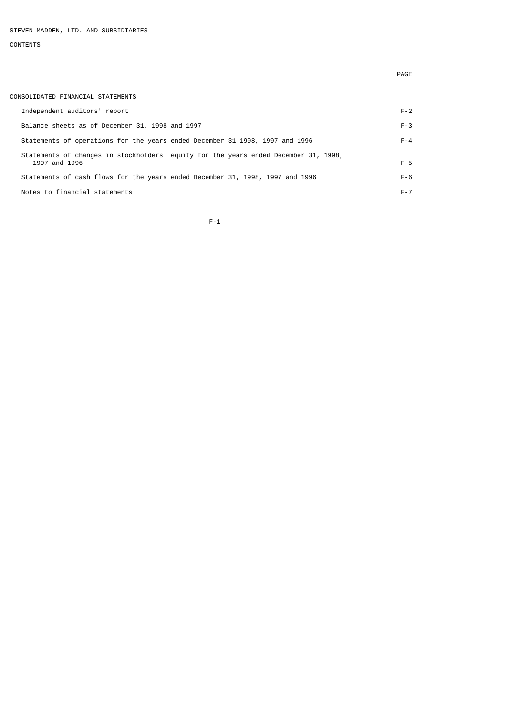# CONTENTS

|                                                                                      | PAGE    |
|--------------------------------------------------------------------------------------|---------|
|                                                                                      |         |
| CONSOLIDATED FINANCIAL STATEMENTS                                                    |         |
| Independent auditors' report                                                         | $F - 2$ |
| Balance sheets as of December 31, 1998 and 1997                                      | $F - 3$ |
| Statements of operations for the years ended December 31 1998, 1997 and 1996         | $F - 4$ |
| Statements of changes in stockholders' equity for the years ended December 31, 1998, |         |
| 1997 and 1996                                                                        | $F - 5$ |
| Statements of cash flows for the years ended December 31, 1998, 1997 and 1996        | $F - 6$ |
| Notes to financial statements                                                        | $F - 7$ |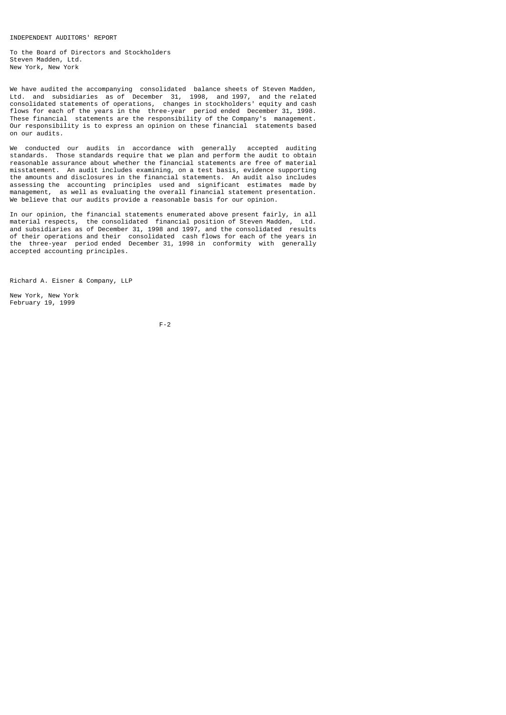INDEPENDENT AUDITORS' REPORT

To the Board of Directors and Stockholders Steven Madden, Ltd. New York, New York

We have audited the accompanying consolidated balance sheets of Steven Madden, Ltd. and subsidiaries as of December 31, 1998, and 1997, and the related consolidated statements of operations, changes in stockholders' equity and cash flows for each of the years in the three-year period ended December 31, 1998. These financial statements are the responsibility of the Company's management. Our responsibility is to express an opinion on these financial statements based on our audits.

We conducted our audits in accordance with generally accepted auditing standards. Those standards require that we plan and perform the audit to obtain reasonable assurance about whether the financial statements are free of material misstatement. An audit includes examining, on a test basis, evidence supporting the amounts and disclosures in the financial statements. An audit also includes assessing the accounting principles used and significant estimates made by management, as well as evaluating the overall financial statement presentation. We believe that our audits provide a reasonable basis for our opinion.

In our opinion, the financial statements enumerated above present fairly, in all material respects, the consolidated financial position of Steven Madden, Ltd. and subsidiaries as of December 31, 1998 and 1997, and the consolidated results of their operations and their consolidated cash flows for each of the years in the three-year period ended December 31, 1998 in conformity with generally accepted accounting principles.

Richard A. Eisner & Company, LLP

New York, New York February 19, 1999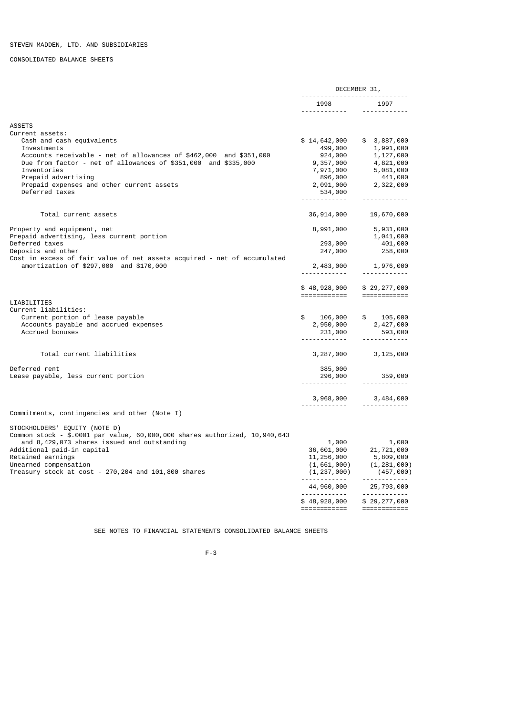CONSOLIDATED BALANCE SHEETS

|                                                                                | DECEMBER 31,                               |                                                                 |
|--------------------------------------------------------------------------------|--------------------------------------------|-----------------------------------------------------------------|
|                                                                                | -----------------------------<br>1998 1997 |                                                                 |
| <b>ASSETS</b>                                                                  |                                            |                                                                 |
| Current assets:                                                                |                                            |                                                                 |
| Cash and cash equivalents                                                      | \$14,642,000                               | \$3,887,000                                                     |
| Investments                                                                    | 499,000                                    | 1,991,000                                                       |
| Accounts receivable - net of allowances of \$462,000 and \$351,000             | 924,000                                    | 1,127,000                                                       |
| Due from factor - net of allowances of \$351,000 and \$335,000                 | 9,357,000                                  | 4,821,000<br>5,081,000                                          |
| Inventories<br>Prepaid advertising                                             | 7,971,000<br>896,000                       | 441,000                                                         |
| Prepaid expenses and other current assets                                      | 2,091,000                                  | 2,322,000                                                       |
| Deferred taxes                                                                 | 534,000                                    |                                                                 |
|                                                                                |                                            | <u> - - - - - - - - - - - -</u>                                 |
| Total current assets                                                           | 36,914,000                                 | 19,670,000                                                      |
|                                                                                |                                            |                                                                 |
| Property and equipment, net                                                    | 8,991,000                                  | 5,931,000                                                       |
| Prepaid advertising, less current portion                                      |                                            | 1,041,000                                                       |
| Deferred taxes<br>Deposits and other                                           | 293,000<br>247,000<br>247,000              | 401,000<br>258,000                                              |
| Cost in excess of fair value of net assets acquired - net of accumulated       |                                            |                                                                 |
| amortization of \$297,000 and \$170,000                                        |                                            | 1,976,000                                                       |
|                                                                                | 2,483,000                                  | ------------                                                    |
|                                                                                | \$48,928,000<br>============               | \$29,277,000<br>============                                    |
| LIABILITIES                                                                    |                                            |                                                                 |
| Current liabilities:                                                           |                                            |                                                                 |
| Current portion of lease payable                                               | \$<br>106,000                              | \$<br>105,000                                                   |
| Accounts payable and accrued expenses                                          | 2,950,000                                  | 2,427,000                                                       |
| Accrued bonuses                                                                |                                            | 593,000                                                         |
| Total current liabilities                                                      |                                            |                                                                 |
|                                                                                | 3,287,000                                  | 3,125,000                                                       |
| Deferred rent                                                                  | 385,000                                    |                                                                 |
| Lease payable, less current portion                                            | 296,000<br><u> - - - - - - - - - - - -</u> | 359,000<br><u> - - - - - - - - - - - -</u>                      |
|                                                                                |                                            |                                                                 |
|                                                                                | 3,968,000<br><u>.</u>                      | 3,484,000<br><u>.</u>                                           |
| Commitments, contingencies and other (Note I)                                  |                                            |                                                                 |
| STOCKHOLDERS' EQUITY (NOTE D)                                                  |                                            |                                                                 |
| Common stock - \$.0001 par value, 60,000,000 shares authorized, 10,940,643     |                                            |                                                                 |
| and 8,429,073 shares issued and outstanding                                    |                                            | $1,000$<br>36,601,000 $21,721,000$                              |
| Additional paid-in capital                                                     |                                            |                                                                 |
| Retained earnings                                                              | 11,256,000                                 | $11, 256, 000$ $5, 809, 000$<br>$(1, 661, 000)$ $(1, 281, 000)$ |
| Unearned compensation<br>Treasury stock at cost - 270, 204 and 101, 800 shares | (1, 237, 000)                              | (457,000)                                                       |
|                                                                                | <u> - - - - - - - - - - - - - -</u>        |                                                                 |
|                                                                                | 44,960,000                                 | 25,793,000<br>------------                                      |
|                                                                                | \$48,928,000                               | \$29,277,000                                                    |
|                                                                                | ============                               | ============                                                    |

SEE NOTES TO FINANCIAL STATEMENTS CONSOLIDATED BALANCE SHEETS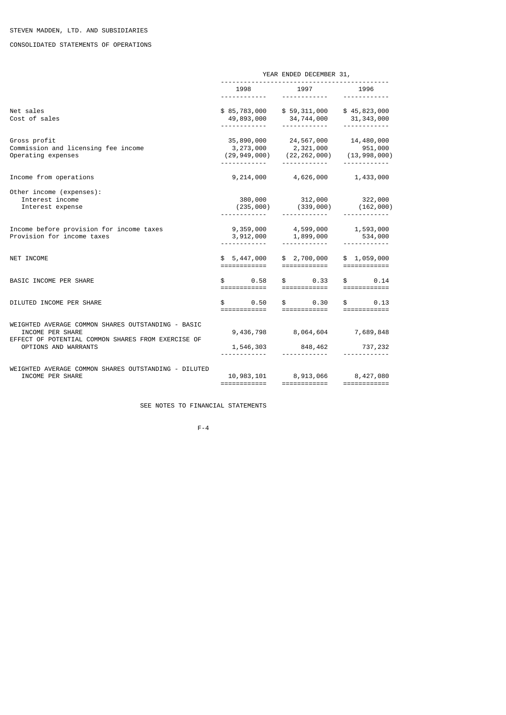# CONSOLIDATED STATEMENTS OF OPERATIONS

|                                                                                                                              | YEAR ENDED DECEMBER 31,      |      |                                                                                                                       |  |                                                                                                                                                                                                                                                                                                                                                                                                                                                                                        |
|------------------------------------------------------------------------------------------------------------------------------|------------------------------|------|-----------------------------------------------------------------------------------------------------------------------|--|----------------------------------------------------------------------------------------------------------------------------------------------------------------------------------------------------------------------------------------------------------------------------------------------------------------------------------------------------------------------------------------------------------------------------------------------------------------------------------------|
|                                                                                                                              | 1998                         |      | 1997                                                                                                                  |  | 1996                                                                                                                                                                                                                                                                                                                                                                                                                                                                                   |
| Net sales<br>Cost of sales                                                                                                   |                              |      | \$85,783,000 \$59,311,000 \$45,823,000<br>$49,893,000$ $34,744,000$ $31,343,000$<br>-------------                     |  | ------------                                                                                                                                                                                                                                                                                                                                                                                                                                                                           |
| Gross profit<br>Commission and licensing fee income<br>Operating expenses                                                    |                              |      | 35,890,000 24,567,000<br>$(29,949,000)$ $(22,262,000)$ $(13,998,000)$<br>$(29,949,000)$ $(22,262,000)$ $(13,998,000)$ |  | 14,480,000                                                                                                                                                                                                                                                                                                                                                                                                                                                                             |
| Income from operations                                                                                                       |                              |      | 9,214,000 4,626,000 1,433,000                                                                                         |  |                                                                                                                                                                                                                                                                                                                                                                                                                                                                                        |
| Other income (expenses):<br>Interest income<br>Interest expense                                                              |                              |      | 380,000 312,000 322,000<br>$(235, 000)$ $(339, 000)$ $(162, 000)$                                                     |  |                                                                                                                                                                                                                                                                                                                                                                                                                                                                                        |
| Income before provision for income taxes<br>Provision for income taxes                                                       |                              |      | 9,359,000 4,599,000 1,593,000<br>3,912,000 1,899,000 534,000                                                          |  |                                                                                                                                                                                                                                                                                                                                                                                                                                                                                        |
| NET INCOME                                                                                                                   | \$5,447,000<br>============  |      | \$ 2,700,000<br>============                                                                                          |  | \$1,059,000<br>$=$ ============                                                                                                                                                                                                                                                                                                                                                                                                                                                        |
| BASIC INCOME PER SHARE                                                                                                       |                              |      | $0.58$ \$ 0.33                                                                                                        |  | $\mathbb{S}$ . The set of $\mathbb{S}$<br>0.14                                                                                                                                                                                                                                                                                                                                                                                                                                         |
| DILUTED INCOME PER SHARE                                                                                                     | $\mathbb{S}$<br>============ | 0.50 | $\textcolor{red}{\textbf{\$}}\textcolor{white}{\bullet}$ 0.30<br>============                                         |  | $\mathfrak{S}$ and $\mathfrak{S}$<br>0.13<br>$=$ ============                                                                                                                                                                                                                                                                                                                                                                                                                          |
| WEIGHTED AVERAGE COMMON SHARES OUTSTANDING - BASIC<br>INCOME PER SHARE<br>EFFECT OF POTENTIAL COMMON SHARES FROM EXERCISE OF |                              |      | 9,436,798 8,064,604 7,689,848                                                                                         |  |                                                                                                                                                                                                                                                                                                                                                                                                                                                                                        |
| OPTIONS AND WARRANTS                                                                                                         |                              |      | 1,546,303 848,462 737,232                                                                                             |  |                                                                                                                                                                                                                                                                                                                                                                                                                                                                                        |
| WEIGHTED AVERAGE COMMON SHARES OUTSTANDING - DILUTED<br>INCOME PER SHARE                                                     | ============                 |      | 10,983,101 8,913,066 8,427,080<br>============                                                                        |  | $\begin{array}{cccccccccc} \multicolumn{2}{c}{} & \multicolumn{2}{c}{} & \multicolumn{2}{c}{} & \multicolumn{2}{c}{} & \multicolumn{2}{c}{} & \multicolumn{2}{c}{} & \multicolumn{2}{c}{} & \multicolumn{2}{c}{} & \multicolumn{2}{c}{} & \multicolumn{2}{c}{} & \multicolumn{2}{c}{} & \multicolumn{2}{c}{} & \multicolumn{2}{c}{} & \multicolumn{2}{c}{} & \multicolumn{2}{c}{} & \multicolumn{2}{c}{} & \multicolumn{2}{c}{} & \multicolumn{2}{c}{} & \multicolumn{2}{c}{} & \mult$ |

SEE NOTES TO FINANCIAL STATEMENTS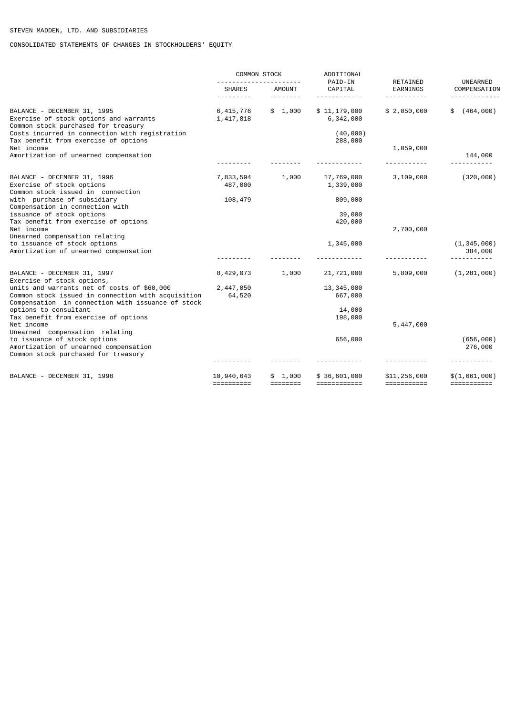CONSOLIDATED STATEMENTS OF CHANGES IN STOCKHOLDERS' EQUITY

|                                                                                                              | <b>COMMON STOCK</b>      |             | ADDITIONAL<br>PAID-IN     | RETAINED                          | UNEARNED                 |  |
|--------------------------------------------------------------------------------------------------------------|--------------------------|-------------|---------------------------|-----------------------------------|--------------------------|--|
|                                                                                                              | <b>SHARES</b><br>------- | AMOUNT<br>. | CAPITAL<br>.              | EARNINGS<br>- - - - - - - - - - - | COMPENSATION             |  |
|                                                                                                              |                          |             |                           |                                   |                          |  |
| BALANCE - DECEMBER 31, 1995<br>Exercise of stock options and warrants<br>Common stock purchased for treasury | 6,415,776<br>1,417,818   | \$1,000     | \$11,179,000<br>6,342,000 | \$2,050,000                       | (464, 000)<br>\$         |  |
| Costs incurred in connection with registration<br>Tax benefit from exercise of options                       |                          |             | (40, 000)<br>288,000      |                                   |                          |  |
| Net income                                                                                                   |                          |             |                           | 1,059,000                         |                          |  |
| Amortization of unearned compensation                                                                        |                          |             |                           |                                   | 144,000                  |  |
|                                                                                                              |                          |             |                           |                                   |                          |  |
| BALANCE - DECEMBER 31, 1996                                                                                  | 7,833,594                | 1,000       | 17,769,000                | 3,109,000                         | (320, 000)               |  |
| Exercise of stock options<br>Common stock issued in connection                                               | 487,000                  |             | 1,339,000                 |                                   |                          |  |
| with purchase of subsidiary                                                                                  | 108,479                  |             | 809,000                   |                                   |                          |  |
| Compensation in connection with                                                                              |                          |             |                           |                                   |                          |  |
| issuance of stock options<br>Tax benefit from exercise of options                                            |                          |             | 39,000<br>420,000         |                                   |                          |  |
| Net income                                                                                                   |                          |             |                           | 2,700,000                         |                          |  |
| Unearned compensation relating                                                                               |                          |             |                           |                                   |                          |  |
| to issuance of stock options<br>Amortization of unearned compensation                                        |                          |             | 1,345,000                 |                                   | (1, 345, 000)<br>384,000 |  |
|                                                                                                              |                          |             |                           |                                   |                          |  |
| BALANCE - DECEMBER 31, 1997<br>Exercise of stock options,                                                    | 8,429,073                | 1,000       | 21,721,000                | 5,809,000                         | (1, 281, 000)            |  |
| units and warrants net of costs of \$60,000                                                                  | 2,447,050                |             | 13, 345, 000              |                                   |                          |  |
| Common stock issued in connection with acquisition<br>Compensation in connection with issuance of stock      | 64,520                   |             | 667,000                   |                                   |                          |  |
| options to consultant                                                                                        |                          |             | 14,000                    |                                   |                          |  |
| Tax benefit from exercise of options                                                                         |                          |             | 198,000                   |                                   |                          |  |
| Net income<br>Unearned compensation relating                                                                 |                          |             |                           | 5,447,000                         |                          |  |
| to issuance of stock options                                                                                 |                          |             | 656,000                   |                                   | (656, 000)               |  |
| Amortization of unearned compensation                                                                        |                          |             |                           |                                   | 276,000                  |  |
| Common stock purchased for treasury                                                                          |                          |             |                           |                                   |                          |  |
| BALANCE - DECEMBER 31, 1998                                                                                  | 10,940,643               | \$1,000     | \$36,601,000              | \$11,256,000                      | \$(1,661,000)            |  |
|                                                                                                              | ==========               |             | ============              | $=$ ===========                   | ===========              |  |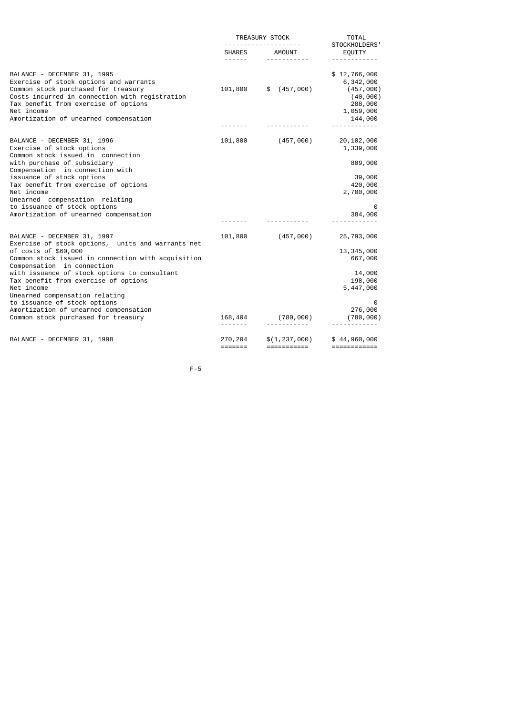|                                                                                                                                                                                                                                                                                                                                                                                                                                                      |                    | TREASURY STOCK<br>.            | <b>TOTAL</b><br>STOCKHOLDERS'                                                                                                                                                                                                                                                                                                                                                                                                                                                                          |  |
|------------------------------------------------------------------------------------------------------------------------------------------------------------------------------------------------------------------------------------------------------------------------------------------------------------------------------------------------------------------------------------------------------------------------------------------------------|--------------------|--------------------------------|--------------------------------------------------------------------------------------------------------------------------------------------------------------------------------------------------------------------------------------------------------------------------------------------------------------------------------------------------------------------------------------------------------------------------------------------------------------------------------------------------------|--|
|                                                                                                                                                                                                                                                                                                                                                                                                                                                      |                    | SHARES AMOUNT<br>------------  | EQUITY<br>------------                                                                                                                                                                                                                                                                                                                                                                                                                                                                                 |  |
| BALANCE - DECEMBER 31, 1995<br>Exercise of stock options and warrants<br>Common stock purchased for treasury<br>Costs incurred in connection with registration<br>Tax benefit from exercise of options<br>Net income<br>Amortization of unearned compensation                                                                                                                                                                                        |                    | 101,800 \$ (457,000)           | \$12,766,000<br>6,342,000<br>(457,000)<br>(40,000)<br>288,000<br>1,059,000<br>144,000                                                                                                                                                                                                                                                                                                                                                                                                                  |  |
| BALANCE - DECEMBER 31, 1996<br>Exercise of stock options<br>Common stock issued in connection<br>with purchase of subsidiary<br>Compensation in connection with<br>issuance of stock options<br>Tax benefit from exercise of options<br>Net income<br>Unearned compensation relating<br>to issuance of stock options<br>Amortization of unearned compensation                                                                                        |                    | 101,800 (457,000)              | 20,102,000<br>1,339,000<br>809,000<br>39,000<br>420,000<br>2,700,000<br>0<br>384,000<br><u> - - - - - - - - - - -</u>                                                                                                                                                                                                                                                                                                                                                                                  |  |
| BALANCE - DECEMBER 31, 1997<br>Exercise of stock options, units and warrants net<br>of costs of \$60,000<br>Common stock issued in connection with acquisition<br>Compensation in connection<br>with issuance of stock options to consultant<br>Tax benefit from exercise of options<br>Net income<br>Unearned compensation relating<br>to issuance of stock options<br>Amortization of unearned compensation<br>Common stock purchased for treasury | 101,800            | (457,000)<br>168,404 (780,000) | 25,793,000<br>13, 345, 000<br>667,000<br>14,000<br>198,000<br>5,447,000<br>0<br>276,000<br>(780, 000)                                                                                                                                                                                                                                                                                                                                                                                                  |  |
| BALANCE - DECEMBER 31, 1998                                                                                                                                                                                                                                                                                                                                                                                                                          | 270,204<br>======= | \$(1, 237, 000)<br>=========== | \$44,960,000<br>$\begin{array}{cccccccccc} \multicolumn{2}{c}{} & \multicolumn{2}{c}{} & \multicolumn{2}{c}{} & \multicolumn{2}{c}{} & \multicolumn{2}{c}{} & \multicolumn{2}{c}{} & \multicolumn{2}{c}{} & \multicolumn{2}{c}{} & \multicolumn{2}{c}{} & \multicolumn{2}{c}{} & \multicolumn{2}{c}{} & \multicolumn{2}{c}{} & \multicolumn{2}{c}{} & \multicolumn{2}{c}{} & \multicolumn{2}{c}{} & \multicolumn{2}{c}{} & \multicolumn{2}{c}{} & \multicolumn{2}{c}{} & \multicolumn{2}{c}{} & \mult$ |  |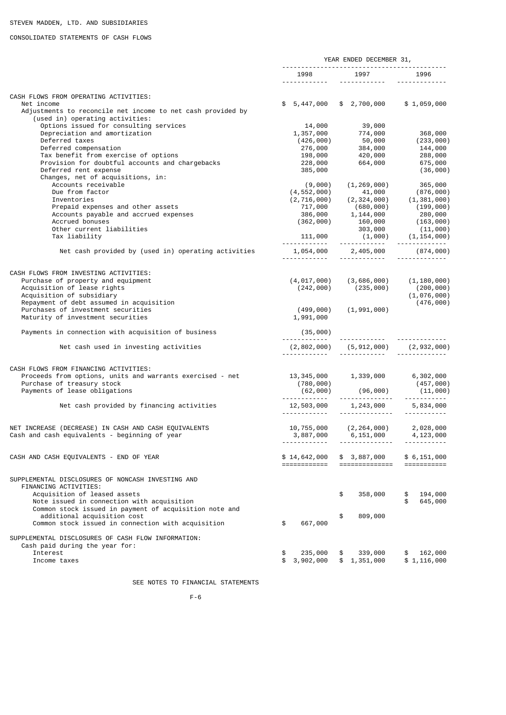# CONSOLIDATED STATEMENTS OF CASH FLOWS

|                                                                                                              | YEAR ENDED DECEMBER 31,             |                                                                                                    |                             |  |
|--------------------------------------------------------------------------------------------------------------|-------------------------------------|----------------------------------------------------------------------------------------------------|-----------------------------|--|
|                                                                                                              | 1998<br><u> - - - - - - - - - -</u> | 1997<br><u> - - - - - - - - - - - -</u>                                                            | 1996                        |  |
|                                                                                                              |                                     |                                                                                                    |                             |  |
| CASH FLOWS FROM OPERATING ACTIVITIES:                                                                        |                                     |                                                                                                    |                             |  |
| Net income<br>Adjustments to reconcile net income to net cash provided by<br>(used in) operating activities: |                                     | $$5,447,000$ $$2,700,000$                                                                          | \$1,059,000                 |  |
| Options issued for consulting services                                                                       | 14,000                              | 39,000                                                                                             |                             |  |
| Depreciation and amortization                                                                                | 1,357,000                           | $774,000$<br>$50,000$<br>$384,000$<br>$420,000$                                                    | 368,000                     |  |
| Deferred taxes                                                                                               | (426,000)                           |                                                                                                    | (233,000)                   |  |
| Deferred compensation                                                                                        | 276,000                             |                                                                                                    | 144,000                     |  |
| Tax benefit from exercise of options                                                                         | 198,000                             |                                                                                                    | 288,000                     |  |
| Provision for doubtful accounts and chargebacks                                                              | 228,000                             | 664,000                                                                                            | 675,000                     |  |
| Deferred rent expense<br>Changes, net of acquisitions, in:                                                   | 385,000                             |                                                                                                    | (36,000)                    |  |
| Accounts receivable                                                                                          | (9,000)                             | (1, 269, 000)                                                                                      |                             |  |
| Due from factor                                                                                              | (4, 552, 000)                       | 41,000                                                                                             | , ت<br>(876, 900 )<br>( ممم |  |
| Inventories                                                                                                  |                                     | $(2, 716, 000)$ $(2, 324, 000)$ $(1, 381, 000)$<br>$(100, 000)$ $(100, 000)$                       |                             |  |
| Prepaid expenses and other assets                                                                            | 717,000                             | (680,000)                                                                                          | (199, 000)                  |  |
| Accounts payable and accrued expenses                                                                        |                                     |                                                                                                    |                             |  |
| Accrued bonuses                                                                                              |                                     | $(386,000$ $1,144,000$ $(362,000)$ $160,000$ $(163,000)$                                           |                             |  |
| Other current liabilities                                                                                    |                                     | 303,000                                                                                            | (11,000)                    |  |
| Tax liability                                                                                                |                                     | $303,000$ $(11,000)$<br>111,000 $(1,000)$ $(1,154,000)$                                            |                             |  |
| Net cash provided by (used in) operating activities                                                          |                                     |                                                                                                    |                             |  |
|                                                                                                              |                                     |                                                                                                    |                             |  |
| CASH FLOWS FROM INVESTING ACTIVITIES:                                                                        |                                     |                                                                                                    |                             |  |
| Purchase of property and equipment<br>Acquisition of lease rights                                            |                                     | $(4, 017, 000)$ $(3, 686, 000)$ $(1, 180, 000)$                                                    |                             |  |
| Acquisition of subsidiary                                                                                    |                                     | $(242,000)$ $(235,000)$                                                                            | (200, 000)<br>(1,076,000)   |  |
| Repayment of debt assumed in acquisition                                                                     |                                     |                                                                                                    | (476,000)                   |  |
| Purchases of investment securities                                                                           | (499,000)                           | (1,991,000)                                                                                        |                             |  |
| Maturity of investment securities                                                                            | 1,991,000                           |                                                                                                    |                             |  |
| Payments in connection with acquisition of business                                                          | (35,000)                            |                                                                                                    |                             |  |
| Net cash used in investing activities                                                                        |                                     |                                                                                                    |                             |  |
|                                                                                                              |                                     |                                                                                                    |                             |  |
| CASH FLOWS FROM FINANCING ACTIVITIES:                                                                        |                                     |                                                                                                    |                             |  |
| Proceeds from options, units and warrants exercised - net                                                    |                                     |                                                                                                    |                             |  |
| Purchase of treasury stock                                                                                   |                                     |                                                                                                    |                             |  |
| Payments of lease obligations                                                                                |                                     | $13,345,000$ $1,339,000$ $6,302,000$<br>$(780,000)$ $(62,000)$ $(96,000)$ $(11,000)$<br>$(11,000)$ |                             |  |
|                                                                                                              |                                     |                                                                                                    |                             |  |
| Net cash provided by financing activities                                                                    |                                     | $12,503,000$ $1,243,000$ $5,834,000$                                                               |                             |  |
|                                                                                                              |                                     |                                                                                                    |                             |  |
| NET INCREASE (DECREASE) IN CASH AND CASH EQUIVALENTS                                                         |                                     | 10,755,000 (2,264,000)                                                                             | 2,028,000                   |  |
| Cash and cash equivalents - beginning of year                                                                |                                     | 3,887,000 6,151,000 4,123,000<br>--------------                                                    |                             |  |
|                                                                                                              |                                     |                                                                                                    |                             |  |
| CASH AND CASH EQUIVALENTS - END OF YEAR                                                                      | \$14,642,000<br>============        | \$ 3,887,000<br>===============================                                                    | \$6,151,000                 |  |
| SUPPLEMENTAL DISCLOSURES OF NONCASH INVESTING AND                                                            |                                     |                                                                                                    |                             |  |
| FINANCING ACTIVITIES:                                                                                        |                                     |                                                                                                    |                             |  |
| Acquisition of leased assets                                                                                 |                                     | \$<br>358,000                                                                                      | \$ 194,000                  |  |
| Note issued in connection with acquisition                                                                   |                                     |                                                                                                    | \$<br>645,000               |  |
| Common stock issued in payment of acquisition note and                                                       |                                     |                                                                                                    |                             |  |
| additional acquisition cost                                                                                  |                                     | \$<br>809,000                                                                                      |                             |  |
| Common stock issued in connection with acquisition                                                           | \$<br>667,000                       |                                                                                                    |                             |  |
| SUPPLEMENTAL DISCLOSURES OF CASH FLOW INFORMATION:                                                           |                                     |                                                                                                    |                             |  |
| Cash paid during the year for:                                                                               |                                     |                                                                                                    |                             |  |
| Interest                                                                                                     | 235,000<br>\$                       | 339,000<br>\$                                                                                      | 162,000<br>\$               |  |
| Income taxes                                                                                                 | 3,902,000                           | \$1,351,000                                                                                        | \$1,116,000                 |  |

SEE NOTES TO FINANCIAL STATEMENTS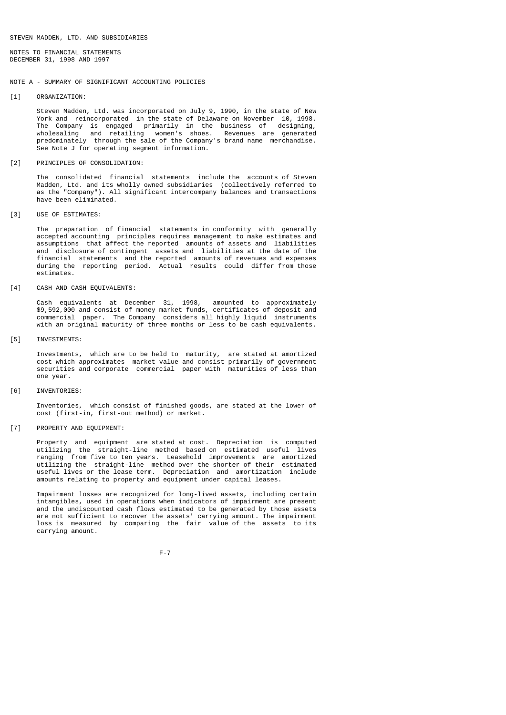NOTES TO FINANCIAL STATEMENTS DECEMBER 31, 1998 AND 1997

# NOTE A - SUMMARY OF SIGNIFICANT ACCOUNTING POLICIES

[1] ORGANIZATION:

 Steven Madden, Ltd. was incorporated on July 9, 1990, in the state of New York and reincorporated in the state of Delaware on November 10, 1998. The Company is engaged primarily in the business of designing, wholesaling and retailing women's shoes. Revenues are generated predominately through the sale of the Company's brand name merchandise. See Note J for operating segment information.

[2] PRINCIPLES OF CONSOLIDATION:

 The consolidated financial statements include the accounts of Steven Madden, Ltd. and its wholly owned subsidiaries (collectively referred to as the "Company"). All significant intercompany balances and transactions have been eliminated.

[3] USE OF ESTIMATES:

 The preparation of financial statements in conformity with generally accepted accounting principles requires management to make estimates and assumptions that affect the reported amounts of assets and liabilities and disclosure of contingent assets and liabilities at the date of the financial statements and the reported amounts of revenues and expenses during the reporting period. Actual results could differ from those estimates.

[4] CASH AND CASH EQUIVALENTS:

 Cash equivalents at December 31, 1998, amounted to approximately \$9,592,000 and consist of money market funds, certificates of deposit and commercial paper. The Company considers all highly liquid instruments with an original maturity of three months or less to be cash equivalents.

[5] INVESTMENTS:

 Investments, which are to be held to maturity, are stated at amortized cost which approximates market value and consist primarily of government securities and corporate commercial paper with maturities of less than one year.

[6] INVENTORIES:

 Inventories, which consist of finished goods, are stated at the lower of cost (first-in, first-out method) or market.

[7] PROPERTY AND EQUIPMENT:

 Property and equipment are stated at cost. Depreciation is computed utilizing the straight-line method based on estimated useful lives ranging from five to ten years. Leasehold improvements are amortized utilizing the straight-line method over the shorter of their estimated useful lives or the lease term. Depreciation and amortization include amounts relating to property and equipment under capital leases.

 Impairment losses are recognized for long-lived assets, including certain intangibles, used in operations when indicators of impairment are present and the undiscounted cash flows estimated to be generated by those assets are not sufficient to recover the assets' carrying amount. The impairment loss is measured by comparing the fair value of the assets to its carrying amount.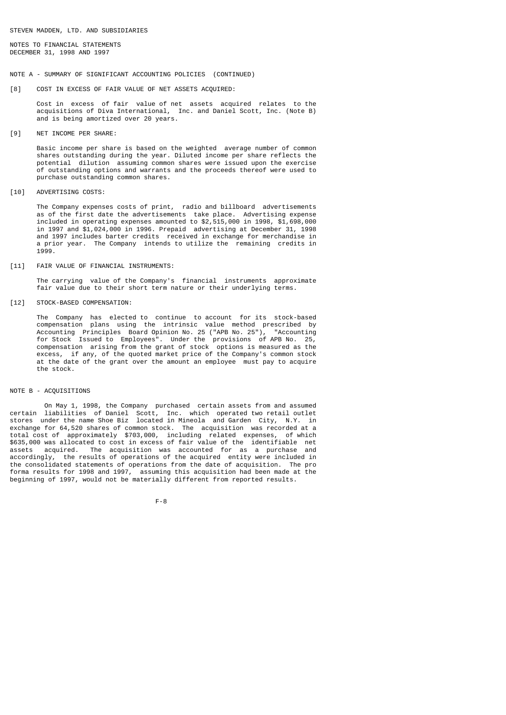NOTES TO FINANCIAL STATEMENTS DECEMBER 31, 1998 AND 1997

### NOTE A - SUMMARY OF SIGNIFICANT ACCOUNTING POLICIES (CONTINUED)

[8] COST IN EXCESS OF FAIR VALUE OF NET ASSETS ACQUIRED:

 Cost in excess of fair value of net assets acquired relates to the acquisitions of Diva International, Inc. and Daniel Scott, Inc. (Note B) and is being amortized over 20 years.

[9] NET INCOME PER SHARE:

 Basic income per share is based on the weighted average number of common shares outstanding during the year. Diluted income per share reflects the potential dilution assuming common shares were issued upon the exercise of outstanding options and warrants and the proceeds thereof were used to purchase outstanding common shares.

[10] ADVERTISING COSTS:

 The Company expenses costs of print, radio and billboard advertisements as of the first date the advertisements take place. Advertising expense included in operating expenses amounted to  $$2,515,000$  in 1998,  $$1,698,000$  in 1997 and \$1,024,000 in 1996. Prepaid advertising at December 31, 1998 and 1997 includes barter credits received in exchange for merchandise in a prior year. The Company intends to utilize the remaining credits in 1999.

# [11] FAIR VALUE OF FINANCIAL INSTRUMENTS:

 The carrying value of the Company's financial instruments approximate fair value due to their short term nature or their underlying terms.

[12] STOCK-BASED COMPENSATION:

 The Company has elected to continue to account for its stock-based compensation plans using the intrinsic value method prescribed by Accounting Principles Board Opinion No. 25 ("APB No. 25"), "Accounting for Stock Issued to Employees". Under the provisions of APB No. 25, compensation arising from the grant of stock options is measured as the excess, if any, of the quoted market price of the Company's common stock at the date of the grant over the amount an employee must pay to acquire the stock.

# NOTE B - ACQUISITIONS

 On May 1, 1998, the Company purchased certain assets from and assumed certain liabilities of Daniel Scott, Inc. which operated two retail outlet stores under the name Shoe Biz located in Mineola and Garden City, N.Y. in exchange for 64,520 shares of common stock. The acquisition was recorded at a total cost of approximately \$703,000, including related expenses, of which \$635,000 was allocated to cost in excess of fair value of the identifiable net assets acquired. The acquisition was accounted for as a purchase and accordingly, the results of operations of the acquired entity were included in the consolidated statements of operations from the date of acquisition. The pro forma results for 1998 and 1997, assuming this acquisition had been made at the beginning of 1997, would not be materially different from reported results.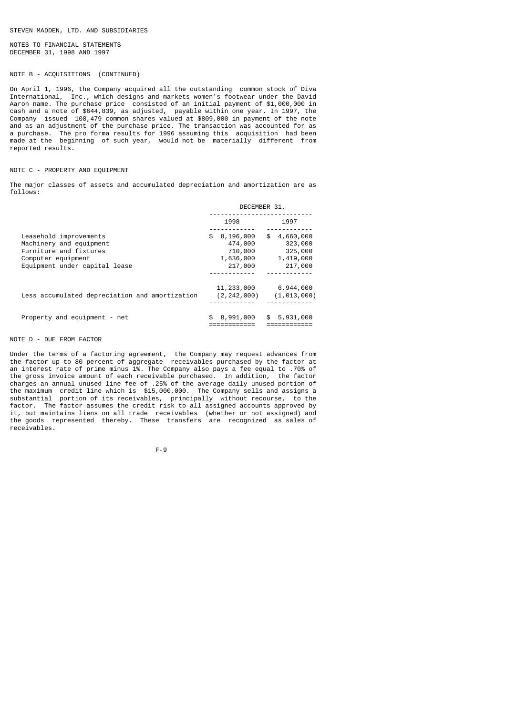NOTES TO FINANCIAL STATEMENTS DECEMBER 31, 1998 AND 1997

# NOTE B - ACQUISITIONS (CONTINUED)

On April 1, 1996, the Company acquired all the outstanding common stock of Diva International, Inc., which designs and markets women's footwear under the David Aaron name. The purchase price consisted of an initial payment of \$1,000,000 in cash and a note of \$644,839, as adjusted, payable within one year. In 1997, the Company issued 108,479 common shares valued at \$809,000 in payment of the note and as an adjustment of the purchase price. The transaction was accounted for as a purchase. The pro forma results for 1996 assuming this acquisition had been made at the beginning of such year, would not be materially different from reported results.

# NOTE C - PROPERTY AND EQUIPMENT

The major classes of assets and accumulated depreciation and amortization are as follows:

|                                                                                                                                    | DECEMBER 31,                                                  |                                                               |  |
|------------------------------------------------------------------------------------------------------------------------------------|---------------------------------------------------------------|---------------------------------------------------------------|--|
|                                                                                                                                    | 1998                                                          | 1997                                                          |  |
| Leasehold improvements<br>Machinery and equipment<br>Furniture and fixtures<br>Computer equipment<br>Equipment under capital lease | 8,196,000<br>\$<br>474,000<br>710,000<br>1,636,000<br>217,000 | \$<br>4,660,000<br>323,000<br>325,000<br>1,419,000<br>217,000 |  |
| Less accumulated depreciation and amortization                                                                                     | 11,233,000<br>(2, 242, 000)                                   | 6,944,000<br>(1, 013, 000)                                    |  |
| Property and equipment - net                                                                                                       | 8,991,000<br>\$                                               | 5,931,000<br>\$                                               |  |

# NOTE D - DUE FROM FACTOR

Under the terms of a factoring agreement, the Company may request advances from the factor up to 80 percent of aggregate receivables purchased by the factor at an interest rate of prime minus 1%. The Company also pays a fee equal to .70% of the gross invoice amount of each receivable purchased. In addition, the factor charges an annual unused line fee of .25% of the average daily unused portion of the maximum credit line which is \$15,000,000. The Company sells and assigns a substantial portion of its receivables, principally without recourse, to the factor. The factor assumes the credit risk to all assigned accounts approved by it, but maintains liens on all trade receivables (whether or not assigned) and the goods represented thereby. These transfers are recognized as sales of receivables.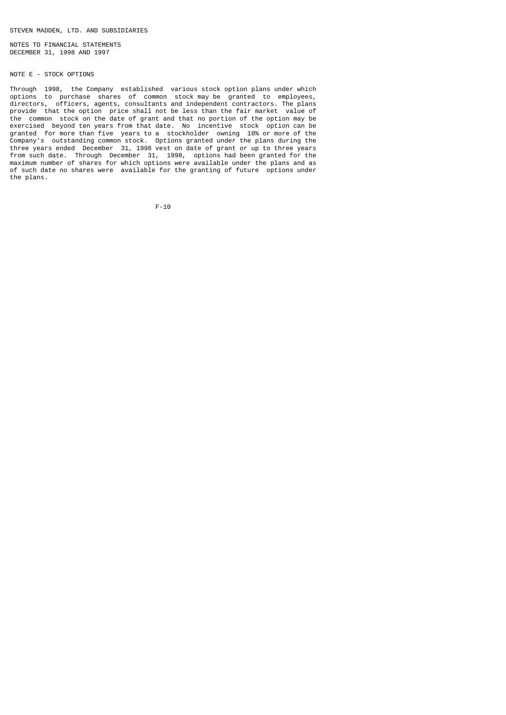NOTES TO FINANCIAL STATEMENTS DECEMBER 31, 1998 AND 1997

# NOTE E - STOCK OPTIONS

Through 1998, the Company established various stock option plans under which options to purchase shares of common stock may be granted to employees, directors, officers, agents, consultants and independent contractors. The plans provide that the option price shall not be less than the fair market value of the common stock on the date of grant and that no portion of the option may be exercised beyond ten years from that date. No incentive stock option can be granted for more than five years to a stockholder owning 10% or more of the Company's outstanding common stock. Options granted under the plans during the three years ended December 31, 1998 vest on date of grant or up to three years from such date. Through December 31, 1998, options had been granted for the maximum number of shares for which options were available under the plans and as of such date no shares were available for the granting of future options under the plans.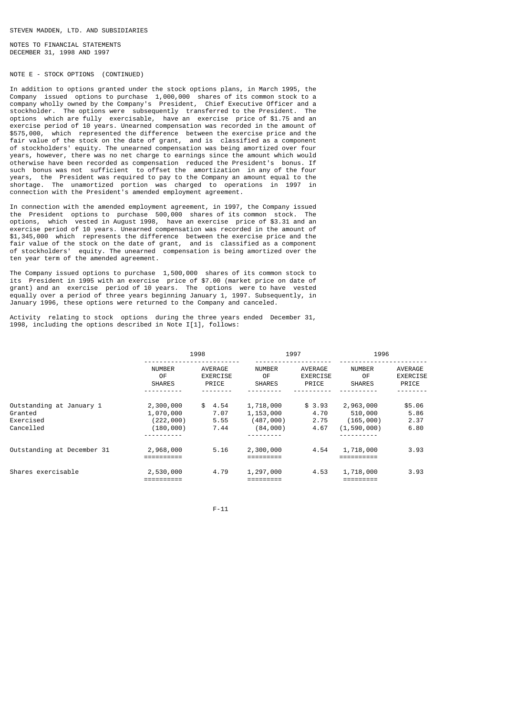NOTES TO FINANCIAL STATEMENTS DECEMBER 31, 1998 AND 1997

# NOTE E - STOCK OPTIONS (CONTINUED)

In addition to options granted under the stock options plans, in March 1995, the Company issued options to purchase 1,000,000 shares of its common stock to a company wholly owned by the Company's President, Chief Executive Officer and a stockholder. The options were subsequently transferred to the President. The The options were subsequently transferred to the President. The options which are fully exercisable, have an exercise price of \$1.75 and an exercise period of 10 years. Unearned compensation was recorded in the amount of \$575,000, which represented the difference between the exercise price and the fair value of the stock on the date of grant, and is classified as a component of stockholders' equity. The unearned compensation was being amortized over four years, however, there was no net charge to earnings since the amount which would otherwise have been recorded as compensation reduced the President's bonus. If such bonus was not sufficient to offset the amortization in any of the four years, the President was required to pay to the Company an amount equal to the shortage. The unamortized portion was charged to operations in 1997 in connection with the President's amended employment agreement.

In connection with the amended employment agreement, in 1997, the Company issued the President options to purchase 500,000 shares of its common stock. The options, which vested in August 1998, have an exercise price of \$3.31 and an exercise period of 10 years. Unearned compensation was recorded in the amount of \$1,345,000 which represents the difference between the exercise price and the fair value of the stock on the date of grant, and is classified as a component of stockholders' equity. The unearned compensation is being amortized over the ten year term of the amended agreement.

The Company issued options to purchase 1,500,000 shares of its common stock to its President in 1995 with an exercise price of \$7.00 (market price on date of grant) and an exercise period of 10 years. The options were to have vested equally over a period of three years beginning January 1, 1997. Subsequently, in January 1996, these options were returned to the Company and canceled.

Activity relating to stock options during the three years ended December 31, 1998, including the options described in Note I[1], follows:

|                                                               | 1998                                                                    |                                |                                                 | 1997                                |                                                  | 1996                                |  |
|---------------------------------------------------------------|-------------------------------------------------------------------------|--------------------------------|-------------------------------------------------|-------------------------------------|--------------------------------------------------|-------------------------------------|--|
|                                                               | <b>NUMBER</b><br>0F<br><b>SHARES</b>                                    | AVERAGE<br>EXERCISE<br>PRICE   | <b>NUMBER</b><br>0F<br><b>SHARES</b>            | AVERAGE<br><b>EXERCISE</b><br>PRICE | <b>NUMBER</b><br>0F<br><b>SHARES</b>             | AVERAGE<br><b>EXERCISE</b><br>PRICE |  |
| Outstanding at January 1<br>Granted<br>Exercised<br>Cancelled | 2,300,000<br>1,070,000<br>(222,000)<br>(180,000)<br>- - - - - - - - - - | \$4.54<br>7.07<br>5.55<br>7.44 | 1,718,000<br>1,153,000<br>(487,000)<br>(84,000) | \$3.93<br>4.70<br>2.75<br>4.67      | 2,963,000<br>510,000<br>(165,000)<br>(1,590,000) | \$5.06<br>5.86<br>2.37<br>6.80      |  |
| Outstanding at December 31                                    | 2,968,000                                                               | 5.16                           | 2,300,000                                       | 4.54                                | 1,718,000                                        | 3.93                                |  |
| Shares exercisable                                            | 2,530,000                                                               | 4.79                           | 1,297,000                                       | 4.53                                | 1,718,000                                        | 3.93                                |  |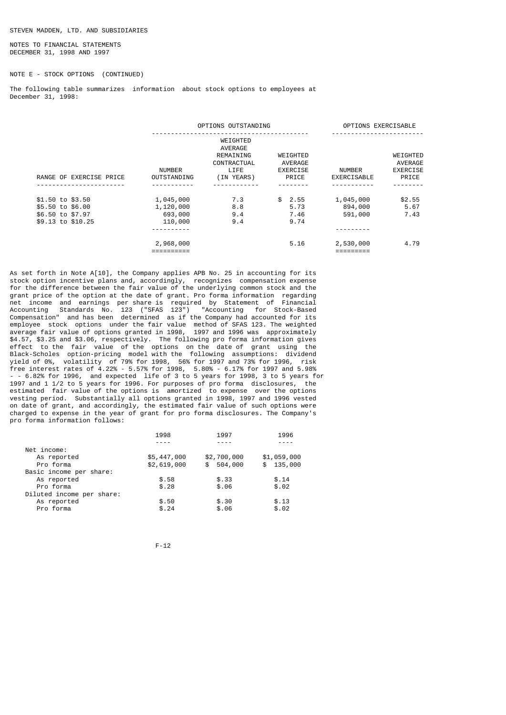NOTES TO FINANCIAL STATEMENTS DECEMBER 31, 1998 AND 1997

NOTE E - STOCK OPTIONS (CONTINUED)

The following table summarizes information about stock options to employees at December 31, 1998:

|                                                                               |                                              | OPTIONS OUTSTANDING                                                   |                                          | OPTIONS EXERCISABLE             |                                                 |
|-------------------------------------------------------------------------------|----------------------------------------------|-----------------------------------------------------------------------|------------------------------------------|---------------------------------|-------------------------------------------------|
| RANGE OF EXERCISE PRICE                                                       | <b>NUMBER</b><br><b>OUTSTANDING</b>          | WEIGHTED<br>AVERAGE<br>REMAINING<br>CONTRACTUAL<br>LIFE<br>(IN YEARS) | WEIGHTED<br>AVERAGE<br>EXERCISE<br>PRICE | NUMBER<br>EXERCISABLE           | WEIGHTED<br>AVERAGE<br><b>EXERCISE</b><br>PRICE |
|                                                                               |                                              |                                                                       |                                          |                                 |                                                 |
| \$1.50 to \$3.50<br>\$5.50 to \$6.00<br>\$6.50 to \$7.97<br>\$9.13 to \$10.25 | 1,045,000<br>1,120,000<br>693,000<br>110,000 | 7.3<br>8.8<br>9.4<br>9.4                                              | \$2.55<br>5.73<br>7.46<br>9.74           | 1,045,000<br>894,000<br>591,000 | \$2.55<br>5.67<br>7.43                          |
|                                                                               | 2,968,000                                    |                                                                       | 5.16                                     | 2,530,000                       | 4.79                                            |

As set forth in Note A[10], the Company applies APB No. 25 in accounting for its stock option incentive plans and, accordingly, recognizes compensation expense for the difference between the fair value of the underlying common stock and the grant price of the option at the date of grant. Pro forma information regarding net income and earnings per share is required by Statement of Financial Accounting Standards No. 123 ("SFAS 123") "Accounting for Stock-Based Compensation" and has been determined as if the Company had accounted for its employee stock options under the fair value method of SFAS 123. The weighted average fair value of options granted in 1998, 1997 and 1996 was approximately \$4.57, \$3.25 and \$3.06, respectively. The following pro forma information gives effect to the fair value of the options on the date of grant using the Black-Scholes option-pricing model with the following assumptions: dividend yield of 0%, volatility of 79% for 1998, 56% for 1997 and 73% for 1996, risk free interest rates of 4.22% - 5.57% for 1998, 5.80% - 6.17% for 1997 and 5.98% - -  $6.82\%$  for 1996, and expected life of 3 to 5 years for 1998, 3 to 5 years for 1997 and 1 1/2 to 5 years for 1996. For purposes of pro forma disclosures, the estimated fair value of the options is amortized to expense over the options vesting period. Substantially all options granted in 1998, 1997 and 1996 vested on date of grant, and accordingly, the estimated fair value of such options were charged to expense in the year of grant for pro forma disclosures. The Company's pro forma information follows:

|                           | 1998        | 1997        | 1996        |
|---------------------------|-------------|-------------|-------------|
|                           |             |             |             |
| Net income:               |             |             |             |
| As reported               | \$5,447,000 | \$2,700,000 | \$1,059,000 |
| Pro forma                 | \$2,619,000 | \$504,000   | \$135,000   |
| Basic income per share:   |             |             |             |
| As reported               | \$.58       | \$.33       | \$.14       |
| Pro forma                 | \$.28       | \$.06       | \$.02       |
| Diluted income per share: |             |             |             |
| As reported               | \$.50       | \$.30       | \$.13       |
| Pro forma                 | \$.24       | \$.06       | \$.02       |
|                           |             |             |             |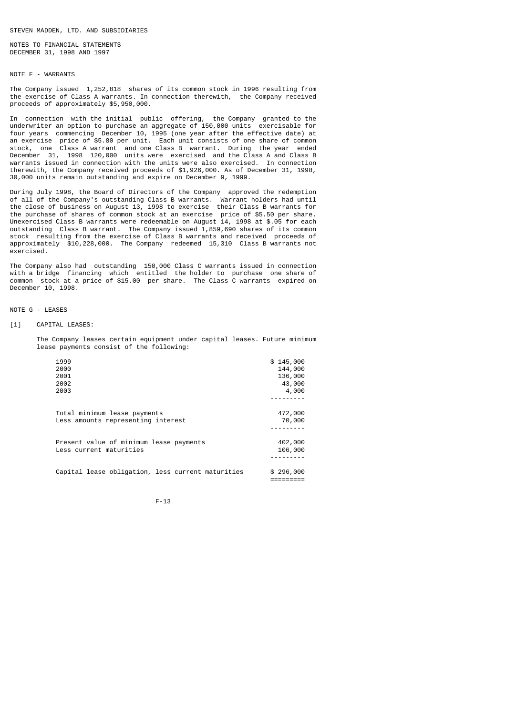NOTES TO FINANCIAL STATEMENTS DECEMBER 31, 1998 AND 1997

# NOTE F - WARRANTS

The Company issued 1,252,818 shares of its common stock in 1996 resulting from the exercise of Class A warrants. In connection therewith, the Company received proceeds of approximately \$5,950,000.

In connection with the initial public offering, the Company granted to the underwriter an option to purchase an aggregate of 150,000 units exercisable for four years commencing December 10, 1995 (one year after the effective date) at an exercise price of \$5.80 per unit. Each unit consists of one share of common stock, one Class A warrant and one Class B warrant. During the year ended December 31, 1998 120,000 units were exercised and the Class A and Class B warrants issued in connection with the units were also exercised. In connection therewith, the Company received proceeds of \$1,926,000. As of December 31, 1998, 30,000 units remain outstanding and expire on December 9, 1999.

During July 1998, the Board of Directors of the Company approved the redemption of all of the Company's outstanding Class B warrants. Warrant holders had until the close of business on August 13, 1998 to exercise their Class B warrants for the purchase of shares of common stock at an exercise price of \$5.50 per share. Unexercised Class B warrants were redeemable on August 14, 1998 at \$.05 for each outstanding Class B warrant. The Company issued 1,859,690 shares of its common stock resulting from the exercise of Class B warrants and received proceeds of approximately \$10,228,000. The Company redeemed 15,310 Class B warrants not exercised.

The Company also had outstanding 150,000 Class C warrants issued in connection with a bridge financing which entitled the holder to purchase one share of common stock at a price of \$15.00 per share. The Class C warrants expired on December 10, 1998.

### NOTE G - LEASES

### [1] CAPITAL LEASES:

 The Company leases certain equipment under capital leases. Future minimum lease payments consist of the following:

| 1999                                              | \$145,000 |
|---------------------------------------------------|-----------|
| 2000                                              | 144,000   |
| 2001                                              | 136,000   |
| 2002                                              | 43,000    |
| 2003                                              | 4,000     |
|                                                   |           |
|                                                   |           |
| Total minimum lease payments                      | 472,000   |
| Less amounts representing interest                | 70,000    |
|                                                   |           |
|                                                   |           |
| Present value of minimum lease payments           | 402,000   |
| Less current maturities                           | 106,000   |
|                                                   |           |
|                                                   |           |
| Capital lease obligation, less current maturities | \$296,000 |

F-13

=========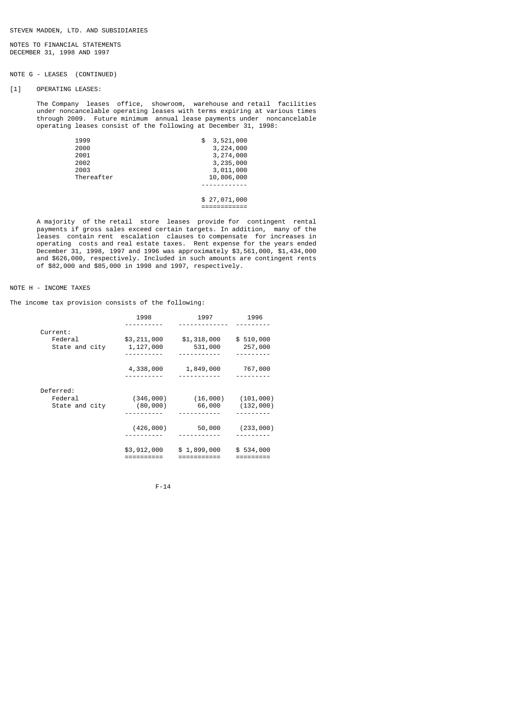NOTES TO FINANCIAL STATEMENTS DECEMBER 31, 1998 AND 1997

# NOTE G - LEASES (CONTINUED)

[1] OPERATING LEASES:

 The Company leases office, showroom, warehouse and retail facilities under noncancelable operating leases with terms expiring at various times through 2009. Future minimum annual lease payments under noncancelable operating leases consist of the following at December 31, 1998:

| 1999       | \$<br>3,521,000 |
|------------|-----------------|
| 2000       | 3,224,000       |
| 2001       | 3,274,000       |
| 2002       | 3,235,000       |
| 2003       | 3,011,000       |
| Thereafter | 10,806,000      |
|            |                 |
|            |                 |
|            | \$27,071,000    |

 A majority of the retail store leases provide for contingent rental payments if gross sales exceed certain targets. In addition, many of the leases contain rent escalation clauses to compensate for increases in operating costs and real estate taxes. Rent expense for the years ended December 31, 1998, 1997 and 1996 was approximately \$3,561,000, \$1,434,000 and \$626,000, respectively. Included in such amounts are contingent rents of \$82,000 and \$85,000 in 1998 and 1997, respectively.

============

# NOTE H - INCOME TAXES

The income tax provision consists of the following:

|                | 1998        | 1997        | 1996      |
|----------------|-------------|-------------|-----------|
| Current:       |             |             |           |
| Federal        | \$3,211,000 | \$1,318,000 | \$510,000 |
| State and city | 1,127,000   | 531,000     | 257,000   |
|                |             |             |           |
|                | 4,338,000   | 1,849,000   | 767,000   |
|                |             |             |           |
| Deferred:      |             |             |           |
| Federal        | (346,000)   | (16,000)    | (101,000) |
| State and city | (80, 000)   | 66,000      | (132,000) |
|                |             |             |           |
|                | (426,000)   | 50,000      | (233,000) |
|                |             |             |           |
|                | \$3,912,000 | \$1,899,000 | \$534,000 |
|                |             |             |           |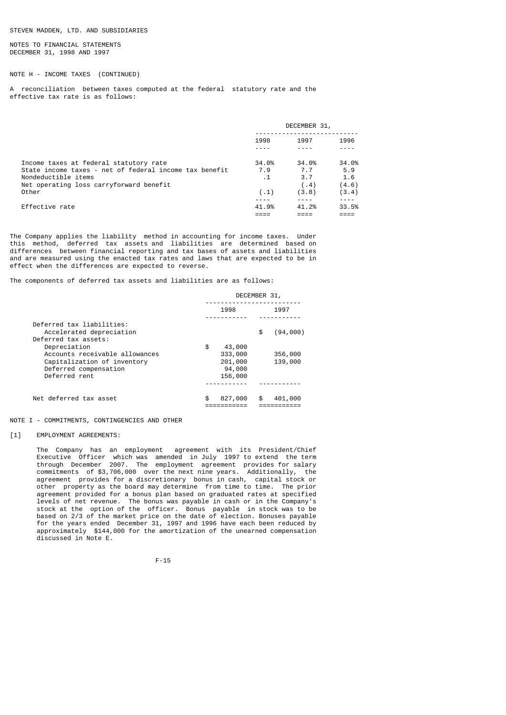NOTES TO FINANCIAL STATEMENTS DECEMBER 31, 1998 AND 1997

# NOTE H - INCOME TAXES (CONTINUED)

A reconciliation between taxes computed at the federal statutory rate and the effective tax rate is as follows:

|                                                                                                                                                                             | DECEMBER 31,                      |                                       |                                       |
|-----------------------------------------------------------------------------------------------------------------------------------------------------------------------------|-----------------------------------|---------------------------------------|---------------------------------------|
|                                                                                                                                                                             | 1998                              | 1997                                  | 1996                                  |
| Income taxes at federal statutory rate<br>State income taxes - net of federal income tax benefit<br>Nondeductible items<br>Net operating loss carryforward benefit<br>Other | 34.0%<br>7.9<br>$\cdot$ 1<br>(.1) | 34.0%<br>7.7<br>3.7<br>(0.4)<br>(3.8) | 34.0%<br>5.9<br>1.6<br>(4.6)<br>(3.4) |
| Effective rate                                                                                                                                                              | 41.9%                             | 41.2%                                 | 33.5%                                 |

The Company applies the liability method in accounting for income taxes. Under this method, deferred tax assets and liabilities are determined based on differences between financial reporting and tax bases of assets and liabilities and are measured using the enacted tax rates and laws that are expected to be in effect when the differences are expected to reverse.

The components of deferred tax assets and liabilities are as follows:

|                                                                                                                                                 | DECEMBER 31,                                            |                    |  |
|-------------------------------------------------------------------------------------------------------------------------------------------------|---------------------------------------------------------|--------------------|--|
|                                                                                                                                                 | 1998                                                    | 1997               |  |
| Deferred tax liabilities:<br>Accelerated depreciation                                                                                           |                                                         | (94,000)<br>\$     |  |
| Deferred tax assets:<br>Depreciation<br>Accounts receivable allowances<br>Capitalization of inventory<br>Deferred compensation<br>Deferred rent | \$<br>43,000<br>333,000<br>201,000<br>94,000<br>156,000 | 356,000<br>139,000 |  |
| Net deferred tax asset                                                                                                                          | \$<br>827,000                                           | 401,000<br>\$      |  |

NOTE I - COMMITMENTS, CONTINGENCIES AND OTHER

# [1] EMPLOYMENT AGREEMENTS:

 The Company has an employment agreement with its President/Chief Executive Officer which was amended in July 1997 to extend the term through December 2007. The employment agreement provides for salary commitments of \$3,706,000 over the next nine years. Additionally, the agreement provides for a discretionary bonus in cash, capital stock or other property as the board may determine from time to time. The prior agreement provided for a bonus plan based on graduated rates at specified levels of net revenue. The bonus was payable in cash or in the Company's stock at the option of the officer. Bonus payable in stock was to be based on 2/3 of the market price on the date of election. Bonuses payable for the years ended December 31, 1997 and 1996 have each been reduced by approximately \$144,000 for the amortization of the unearned compensation discussed in Note E.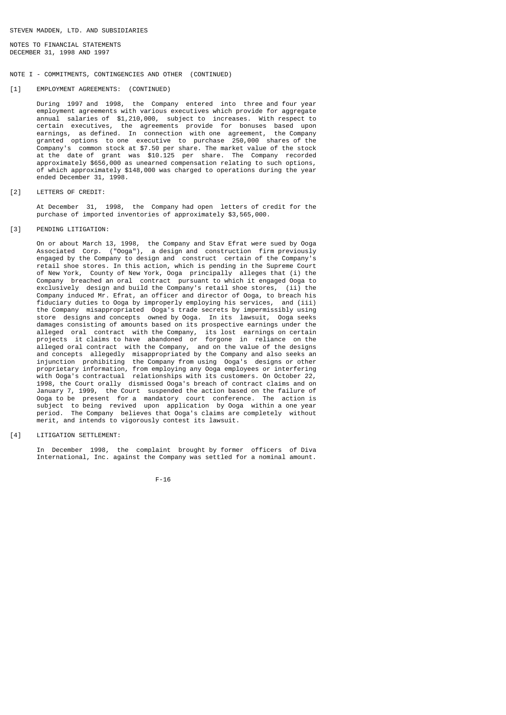NOTES TO FINANCIAL STATEMENTS DECEMBER 31, 1998 AND 1997

# NOTE I - COMMITMENTS, CONTINGENCIES AND OTHER (CONTINUED)

[1] EMPLOYMENT AGREEMENTS: (CONTINUED)

 During 1997 and 1998, the Company entered into three and four year employment agreements with various executives which provide for aggregate annual salaries of \$1,210,000, subject to increases. With respect to certain executives, the agreements provide for bonuses based upon earnings, as defined. In connection with one agreement, the Company granted options to one executive to purchase 250,000 shares of the Company's common stock at \$7.50 per share. The market value of the stock at the date of grant was \$10.125 per share. The Company recorded approximately \$656,000 as unearned compensation relating to such options, of which approximately \$148,000 was charged to operations during the year ended December 31, 1998.

[2] LETTERS OF CREDIT:

 At December 31, 1998, the Company had open letters of credit for the purchase of imported inventories of approximately \$3,565,000.

[3] PENDING LITIGATION:

 On or about March 13, 1998, the Company and Stav Efrat were sued by Ooga Associated Corp. ("Ooga"), a design and construction firm previously engaged by the Company to design and construct certain of the Company's retail shoe stores. In this action, which is pending in the Supreme Court of New York, County of New York, Ooga principally alleges that (i) the Company breached an oral contract pursuant to which it engaged Ooga to exclusively design and build the Company's retail shoe stores, (ii) the Company induced Mr. Efrat, an officer and director of Ooga, to breach his fiduciary duties to Ooga by improperly employing his services, and (iii) the Company misappropriated Ooga's trade secrets by impermissibly using store designs and concepts owned by Ooga. In its lawsuit, Ooga seeks damages consisting of amounts based on its prospective earnings under the alleged oral contract with the Company, its lost earnings on certain projects it claims to have abandoned or forgone in reliance on the alleged oral contract with the Company, and on the value of the designs and concepts allegedly misappropriated by the Company and also seeks an injunction prohibiting the Company from using Ooga's designs or other proprietary information, from employing any Ooga employees or interfering with Ooga's contractual relationships with its customers. On October 22, 1998, the Court orally dismissed Ooga's breach of contract claims and on January 7, 1999, the Court suspended the action based on the failure of Ooga to be present for a mandatory court conference. The action is subject to being revived upon application by Ooga within a one year period. The Company believes that Ooga's claims are completely without merit, and intends to vigorously contest its lawsuit.

[4] LITIGATION SETTLEMENT:

 In December 1998, the complaint brought by former officers of Diva International, Inc. against the Company was settled for a nominal amount.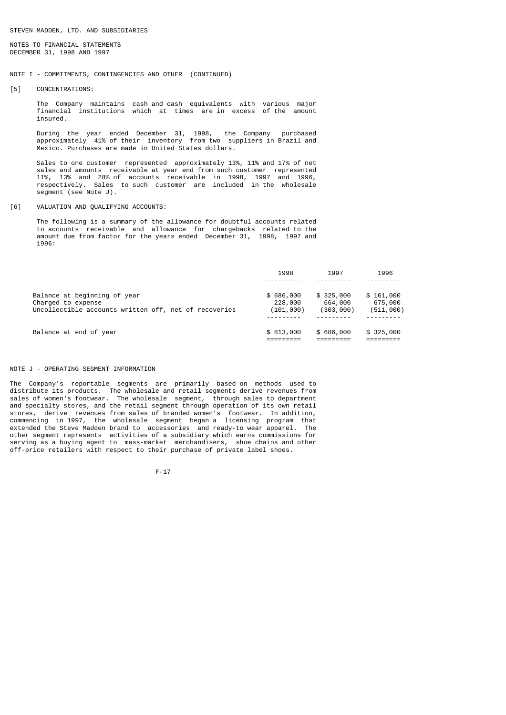NOTES TO FINANCIAL STATEMENTS DECEMBER 31, 1998 AND 1997

# NOTE I - COMMITMENTS, CONTINGENCIES AND OTHER (CONTINUED)

[5] CONCENTRATIONS:

 The Company maintains cash and cash equivalents with various major financial institutions which at times are in excess of the amount insured.

 During the year ended December 31, 1998, the Company purchased approximately 41% of their inventory from two suppliers in Brazil and Mexico. Purchases are made in United States dollars.

 Sales to one customer represented approximately 13%, 11% and 17% of net sales and amounts receivable at year end from such customer represented 11%, 13% and 28% of accounts receivable in 1998, 1997 and 1996, respectively. Sales to such customer are included in the wholesale segment (see Note J).

# [6] VALUATION AND QUALIFYING ACCOUNTS:

 The following is a summary of the allowance for doubtful accounts related to accounts receivable and allowance for chargebacks related to the amount due from factor for the years ended December 31, 1998, 1997 and 1996:

|                                                       | 1998      | 1997      | 1996      |
|-------------------------------------------------------|-----------|-----------|-----------|
|                                                       |           |           |           |
| Balance at beginning of year                          | \$686,000 | \$325,000 | \$161,000 |
| Charged to expense                                    | 228,000   | 664,000   | 675,000   |
| Uncollectible accounts written off, net of recoveries | (101,000) | (303,000) | (511,000) |
|                                                       |           |           |           |
| Balance at end of year                                | \$813,000 | \$686,000 | \$325,000 |
|                                                       |           |           |           |

### NOTE J - OPERATING SEGMENT INFORMATION

The Company's reportable segments are primarily based on methods used to distribute its products. The wholesale and retail segments derive revenues from sales of women's footwear. The wholesale segment, through sales to department and specialty stores, and the retail segment through operation of its own retail stores, derive revenues from sales of branded women's footwear. In addition, commencing in 1997, the wholesale segment began a licensing program that extended the Steve Madden brand to accessories and ready-to wear apparel. The other segment represents activities of a subsidiary which earns commissions for serving as a buying agent to mass-market merchandisers, shoe chains and other off-price retailers with respect to their purchase of private label shoes.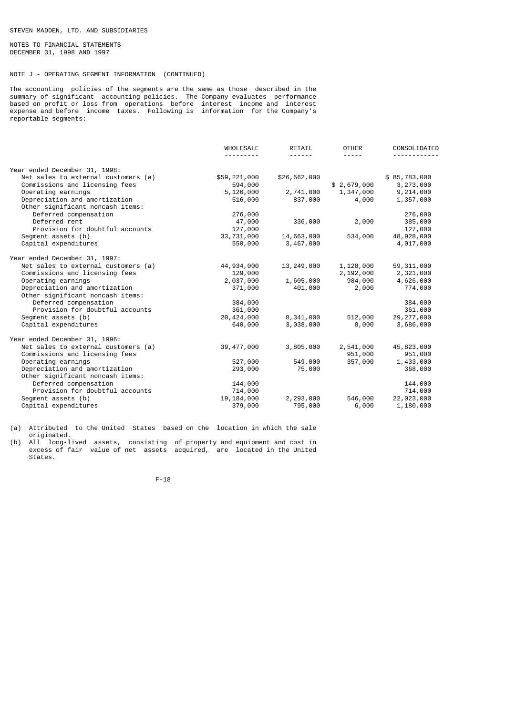NOTES TO FINANCIAL STATEMENTS DECEMBER 31, 1998 AND 1997

# NOTE J - OPERATING SEGMENT INFORMATION (CONTINUED)

The accounting policies of the segments are the same as those described in the summary of significant accounting policies. The Company evaluates performance based on profit or loss from operations before interest income and interest expense and before income taxes. Following is information for the Company's reportable segments:

|                                     | WHOLESALE    | RETAIL       | <b>OTHER</b> | CONSOLIDATED |
|-------------------------------------|--------------|--------------|--------------|--------------|
| Year ended December 31, 1998:       |              |              |              |              |
| Net sales to external customers (a) | \$59,221,000 | \$26,562,000 |              | \$85,783,000 |
| Commissions and licensing fees      | 594,000      |              | \$2,679,000  | 3,273,000    |
| Operating earnings                  | 5,126,000    | 2,741,000    | 1,347,000    | 9,214,000    |
| Depreciation and amortization       | 516,000      | 837,000      | 4,000        | 1,357,000    |
| Other significant noncash items:    |              |              |              |              |
| Deferred compensation               | 276,000      |              |              | 276,000      |
| Deferred rent                       | 47,000       | 336,000      | 2,000        | 385,000      |
| Provision for doubtful accounts     | 127,000      |              |              | 127,000      |
| Segment assets (b)                  | 33,731,000   | 14,663,000   | 534,000      | 48,928,000   |
| Capital expenditures                | 550,000      | 3,467,000    |              | 4,017,000    |
| Year ended December 31, 1997:       |              |              |              |              |
| Net sales to external customers (a) | 44,934,000   | 13,249,000   | 1,128,000    | 59, 311, 000 |
| Commissions and licensing fees      | 129,000      |              | 2,192,000    | 2,321,000    |
| Operating earnings                  | 2,037,000    | 1,605,000    | 984,000      | 4,626,000    |
| Depreciation and amortization       | 371,000      | 401,000      | 2,000        | 774,000      |
| Other significant noncash items:    |              |              |              |              |
| Deferred compensation               | 384,000      |              |              | 384,000      |
| Provision for doubtful accounts     | 361,000      |              |              | 361,000      |
| Segment assets (b)                  | 20, 424, 000 | 8,341,000    | 512,000      | 29, 277, 000 |
| Capital expenditures                | 640,000      | 3,038,000    | 8,000        | 3,686,000    |
| Year ended December 31, 1996:       |              |              |              |              |
| Net sales to external customers (a) | 39, 477, 000 | 3,805,000    | 2,541,000    | 45,823,000   |
| Commissions and licensing fees      |              |              | 951,000      | 951,000      |
| Operating earnings                  | 527,000      | 549,000      | 357,000      | 1,433,000    |
| Depreciation and amortization       |              |              |              |              |
| Other significant noncash items:    | 293,000      | 75,000       |              | 368,000      |
| Deferred compensation               | 144,000      |              |              | 144,000      |
| Provision for doubtful accounts     | 714,000      |              |              | 714,000      |
| Segment assets (b)                  | 19, 184, 000 | 2,293,000    | 546,000      | 22,023,000   |
| Capital expenditures                | 379,000      | 795,000      | 6,000        | 1,180,000    |
|                                     |              |              |              |              |

(a) Attributed to the United States based on the location in which the sale originated.

(b) All long-lived assets, consisting of property and equipment and cost in excess of fair value of net assets acquired, are located in the United States.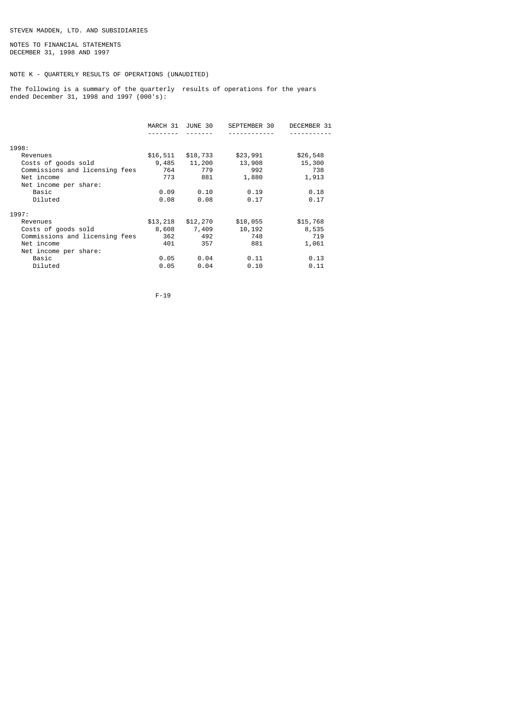NOTES TO FINANCIAL STATEMENTS DECEMBER 31, 1998 AND 1997

# NOTE K - QUARTERLY RESULTS OF OPERATIONS (UNAUDITED)

The following is a summary of the quarterly results of operations for the years ended December 31, 1998 and 1997 (000's):

|                                | MARCH 31 JUNE 30 |          | SEPTEMBER 30 | DECEMBER 31 |
|--------------------------------|------------------|----------|--------------|-------------|
|                                |                  |          |              |             |
| 1998:                          |                  |          |              |             |
| Revenues                       | \$16,511         | \$18,733 | \$23,991     | \$26,548    |
| Costs of goods sold            | 9,485            | 11,200   | 13,908       | 15,300      |
| Commissions and licensing fees | 764              | 779      | 992          | 738         |
| Net income                     | 773              | 881      | 1,880        | 1,913       |
| Net income per share:          |                  |          |              |             |
| Basic                          | 0.09             | 0.10     | 0.19         | 0.18        |
| Diluted                        | 0.08             | 0.08     | 0.17         | 0.17        |
| 1997:                          |                  |          |              |             |
| Revenues                       | \$13,218         | \$12,270 | \$18,055     | \$15,768    |
| Costs of goods sold            | 8,608            | 7,409    | 10,192       | 8,535       |
| Commissions and licensing fees | 362              | 492      | 748          | 719         |
| Net income                     | 401              | 357      | 881          | 1,061       |
| Net income per share:          |                  |          |              |             |
| Basic                          | 0.05             | 0.04     | 0.11         | 0.13        |
| Diluted                        | 0.05             | 0.04     | 0.10         | 0.11        |
|                                |                  |          |              |             |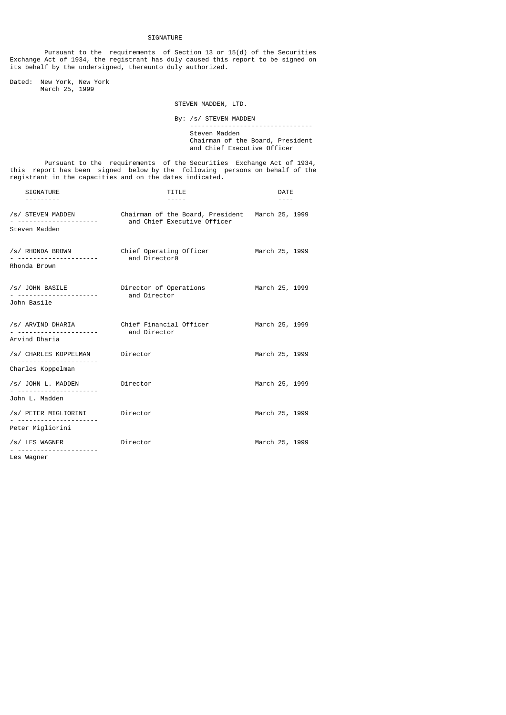# SIGNATURE

 Pursuant to the requirements of Section 13 or 15(d) of the Securities Exchange Act of 1934, the registrant has duly caused this report to be signed on its behalf by the undersigned, thereunto duly authorized.

Dated: New York, New York March 25, 1999

STEVEN MADDEN, LTD.

By: /s/ STEVEN MADDEN

 -------------------------------- Steven Madden Chairman of the Board, President and Chief Executive Officer

 Pursuant to the requirements of the Securities Exchange Act of 1934, this report has been signed below by the following persons on behalf of the registrant in the capacities and on the dates indicated.

| SIGNATURE                                             | TITLE                                                                          | <b>DATE</b>    |  |  |
|-------------------------------------------------------|--------------------------------------------------------------------------------|----------------|--|--|
| /s/ STEVEN MADDEN<br>Steven Madden                    | Chairman of the Board, President March 25, 1999<br>and Chief Executive Officer |                |  |  |
| /s/ RHONDA BROWN<br>Rhonda Brown                      | Chief Operating Officer<br>and Director0                                       | March 25, 1999 |  |  |
| /s/ JOHN BASILE Director of Operations<br>John Basile | and Director                                                                   | March 25, 1999 |  |  |
| Arvind Dharia                                         | /s/ ARVIND DHARIA Chief Financial Officer<br>and Director                      | March 25, 1999 |  |  |
| /s/ CHARLES KOPPELMAN Director<br>Charles Koppelman   |                                                                                | March 25, 1999 |  |  |
| /s/ JOHN L. MADDEN<br>John L. Madden                  | Director                                                                       | March 25, 1999 |  |  |
| /s/ PETER MIGLIORINI Director                         |                                                                                | March 25, 1999 |  |  |
| Peter Migliorini                                      |                                                                                |                |  |  |
| /s/ LES WAGNER                                        | Director                                                                       | March 25, 1999 |  |  |
| lac Wannar                                            |                                                                                |                |  |  |

Les Wagner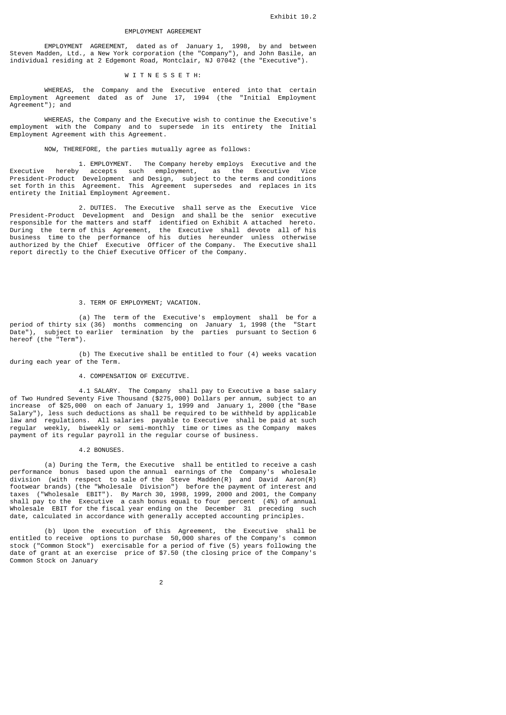# EMPLOYMENT AGREEMENT

 EMPLOYMENT AGREEMENT, dated as of January 1, 1998, by and between Steven Madden, Ltd., a New York corporation (the "Company"), and John Basile, an individual residing at 2 Edgemont Road, Montclair, NJ 07042 (the "Executive").

# W I T N E S S E T H:

 WHEREAS, the Company and the Executive entered into that certain Employment Agreement dated as of June 17, 1994 (the "Initial Employment Agreement"); and

 WHEREAS, the Company and the Executive wish to continue the Executive's employment with the Company and to supersede in its entirety the Initial Employment Agreement with this Agreement.

# NOW, THEREFORE, the parties mutually agree as follows:

 1. EMPLOYMENT. The Company hereby employs Executive and the Executive hereby accepts such employment, as the Executive Vice President-Product Development and Design, subject to the terms and conditions set forth in this Agreement. This Agreement supersedes and replaces in its entirety the Initial Employment Agreement.

 2. DUTIES. The Executive shall serve as the Executive Vice President-Product Development and Design and shall be the senior executive responsible for the matters and staff identified on Exhibit A attached hereto. During the term of this Agreement, the Executive shall devote all of his business time to the performance of his duties hereunder unless otherwise authorized by the Chief Executive Officer of the Company. The Executive shall report directly to the Chief Executive Officer of the Company.

# 3. TERM OF EMPLOYMENT; VACATION.

 (a) The term of the Executive's employment shall be for a period of thirty six (36) months commencing on January 1, 1998 (the "Start Date"), subject to earlier termination by the parties pursuant to Section 6 hereof (the "Term").

 (b) The Executive shall be entitled to four (4) weeks vacation during each year of the Term.

# 4. COMPENSATION OF EXECUTIVE.

 4.1 SALARY. The Company shall pay to Executive a base salary of Two Hundred Seventy Five Thousand (\$275,000) Dollars per annum, subject to an increase of \$25,000 on each of January 1, 1999 and January 1, 2000 (the "Base Salary"), less such deductions as shall be required to be withheld by applicable law and regulations. All salaries payable to Executive shall be paid at such regular weekly, biweekly or semi-monthly time or times as the Company makes payment of its regular payroll in the regular course of business.

#### 4.2 BONUSES.

 (a) During the Term, the Executive shall be entitled to receive a cash performance bonus based upon the annual earnings of the Company's wholesale division (with respect to sale of the Steve Madden(R) and David Aaron(R) footwear brands) (the "Wholesale Division") before the payment of interest and taxes ("Wholesale EBIT"). By March 30, 1998, 1999, 2000 and 2001, the Company shall pay to the Executive a cash bonus equal to four percent (4%) of annual Wholesale EBIT for the fiscal year ending on the December 31 preceding such date, calculated in accordance with generally accepted accounting principles.

 (b) Upon the execution of this Agreement, the Executive shall be entitled to receive options to purchase 50,000 shares of the Company's common stock ("Common Stock") exercisable for a period of five (5) years following the date of grant at an exercise price of \$7.50 (the closing price of the Company's Common Stock on January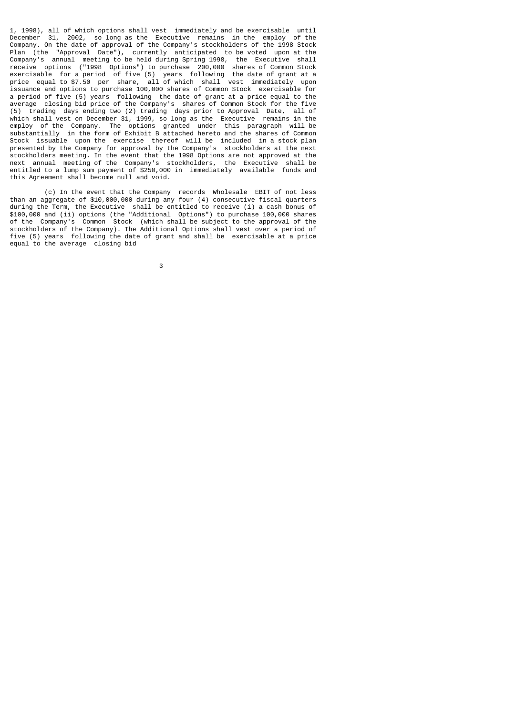1, 1998), all of which options shall vest immediately and be exercisable until December 31, 2002, so long as the Executive remains in the employ of the Company. On the date of approval of the Company's stockholders of the 1998 Stock Plan (the "Approval Date"), currently anticipated to be voted upon at the Company's annual meeting to be held during Spring 1998, the Executive shall receive options ("1998 Options") to purchase 200,000 shares of Common Stock exercisable for a period of five (5) years following the date of grant at a price equal to \$7.50 per share, all of which shall vest immediately upon issuance and options to purchase 100,000 shares of Common Stock exercisable for a period of five (5) years following the date of grant at a price equal to the average closing bid price of the Company's shares of Common Stock for the five (5) trading days ending two (2) trading days prior to Approval Date, all of which shall vest on December 31, 1999, so long as the Executive remains in the employ of the Company. The options granted under this paragraph will be substantially in the form of Exhibit B attached hereto and the shares of Common Stock issuable upon the exercise thereof will be included in a stock plan presented by the Company for approval by the Company's stockholders at the next stockholders meeting. In the event that the 1998 Options are not approved at the next annual meeting of the Company's stockholders, the Executive shall be entitled to a lump sum payment of \$250,000 in immediately available funds and this Agreement shall become null and void.

 (c) In the event that the Company records Wholesale EBIT of not less than an aggregate of \$10,000,000 during any four (4) consecutive fiscal quarters during the Term, the Executive shall be entitled to receive (i) a cash bonus of \$100,000 and (ii) options (the "Additional Options") to purchase 100,000 shares of the Company's Common Stock (which shall be subject to the approval of the stockholders of the Company). The Additional Options shall vest over a period of five (5) years following the date of grant and shall be exercisable at a price equal to the average closing bid

 $\sim$  3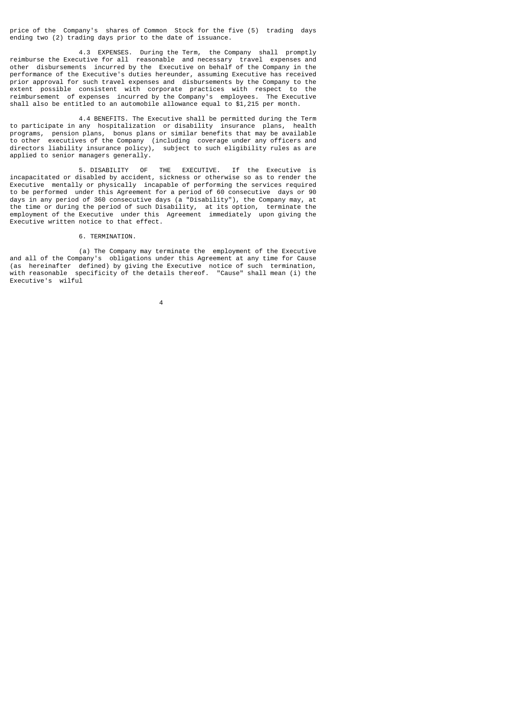price of the Company's shares of Common Stock for the five (5) trading days ending two (2) trading days prior to the date of issuance.

 4.3 EXPENSES. During the Term, the Company shall promptly reimburse the Executive for all reasonable and necessary travel expenses and other disbursements incurred by the Executive on behalf of the Company in the performance of the Executive's duties hereunder, assuming Executive has received prior approval for such travel expenses and disbursements by the Company to the extent possible consistent with corporate practices with respect to the reimbursement of expenses incurred by the Company's employees. The Executive shall also be entitled to an automobile allowance equal to \$1,215 per month.

 4.4 BENEFITS. The Executive shall be permitted during the Term to participate in any hospitalization or disability insurance plans, health programs, pension plans, bonus plans or similar benefits that may be available<br>to other executives of the Company (including coverage under any officers and executives of the Company (including coverage under any officers and directors liability insurance policy), subject to such eligibility rules as are applied to senior managers generally.

 5. DISABILITY OF THE EXECUTIVE. If the Executive is incapacitated or disabled by accident, sickness or otherwise so as to render the Executive mentally or physically incapable of performing the services required to be performed under this Agreement for a period of 60 consecutive days or 90 days in any period of 360 consecutive days (a "Disability"), the Company may, at the time or during the period of such Disability, at its option, terminate the employment of the Executive under this Agreement immediately upon giving the Executive written notice to that effect.

# 6. TERMINATION.

 (a) The Company may terminate the employment of the Executive and all of the Company's obligations under this Agreement at any time for Cause (as hereinafter defined) by giving the Executive notice of such termination, with reasonable specificity of the details thereof. "Cause" shall mean (i) the Executive's wilful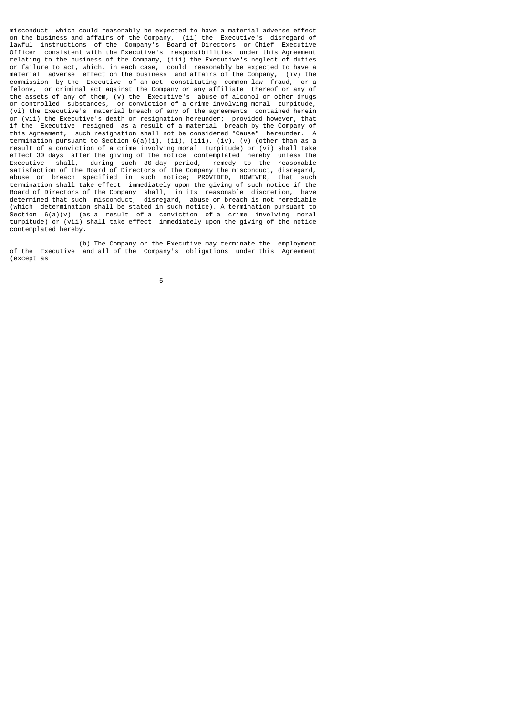misconduct which could reasonably be expected to have a material adverse effect on the business and affairs of the Company, (ii) the Executive's disregard of lawful instructions of the Company's Board of Directors or Chief Executive Officer consistent with the Executive's responsibilities under this Agreement relating to the business of the Company, (iii) the Executive's neglect of duties or failure to act, which, in each case, could reasonably be expected to have a material adverse effect on the business and affairs of the Company, (iv) the  $\frac{1}{2}$  commission by the Executive of an act constituting common law fraud, or a felony, or criminal act against the Company or any affiliate thereof or any of the assets of any of them, (v) the Executive's abuse of alcohol or other drugs or controlled substances, or conviction of a crime involving moral turpitude, (vi) the Executive's material breach of any of the agreements contained herein or (vii) the Executive's death or resignation hereunder; provided however, that if the Executive resigned as a result of a material breach by the Company of this Agreement, such resignation shall not be considered "Cause" hereunder. A termination pursuant to Section  $6(a)(i)$ , (ii), (iii), (iv), (v) (other than as a result of a conviction of a crime involving moral turpitude) or (vi) shall take effect 30 days after the giving of the notice contemplated hereby unless the Executive shall, during such 30-day period, remedy to the reasonable satisfaction of the Board of Directors of the Company the misconduct, disregard, abuse or breach specified in such notice; PROVIDED, HOWEVER, that such termination shall take effect immediately upon the giving of such notice if the Board of Directors of the Company shall, in its reasonable discretion, have determined that such misconduct, disregard, abuse or breach is not remediable (which determination shall be stated in such notice). A termination pursuant to Section  $6(a)(v)$  (as a result of a conviction of a crime involving moral turpitude) or (vii) shall take effect immediately upon the giving of the notice contemplated hereby.

 (b) The Company or the Executive may terminate the employment of the Executive and all of the Company's obligations under this Agreement (except as

the contract of the contract of the contract of the contract of the contract of the contract of the contract o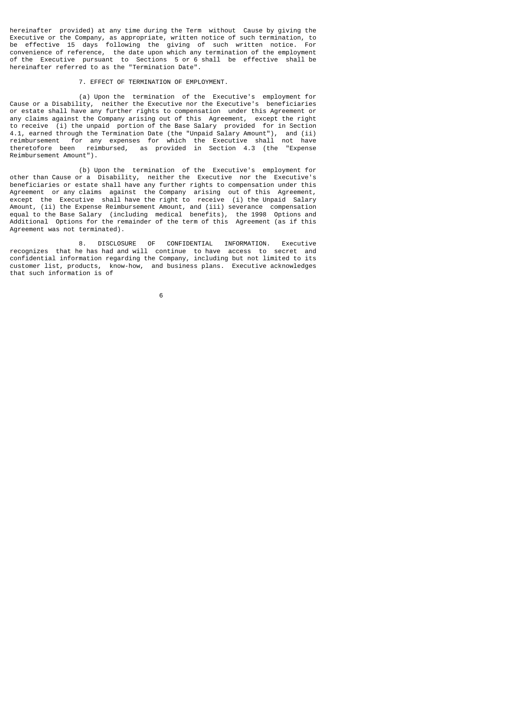hereinafter provided) at any time during the Term without Cause by giving the Executive or the Company, as appropriate, written notice of such termination, to<br>be effective 15 days, following the giving of such written notice. For be effective 15 days following the giving of such written notice. convenience of reference, the date upon which any termination of the employment of the Executive pursuant to Sections 5 or 6 shall be effective shall be hereinafter referred to as the "Termination Date".

# 7. EFFECT OF TERMINATION OF EMPLOYMENT.

 (a) Upon the termination of the Executive's employment for Cause or a Disability, neither the Executive nor the Executive's beneficiaries or estate shall have any further rights to compensation under this Agreement or any claims against the Company arising out of this Agreement, except the right to receive (i) the unpaid portion of the Base Salary provided for in Section 4.1, earned through the Termination Date (the "Unpaid Salary Amount"), and (ii) reimbursement for any expenses for which the Executive shall not have theretofore been reimbursed, as provided in Section 4.3 (the "Expense Reimbursement Amount").

 (b) Upon the termination of the Executive's employment for other than Cause or a Disability, neither the Executive nor the Executive's beneficiaries or estate shall have any further rights to compensation under this Agreement or any claims against the Company arising out of this Agreement, except the Executive shall have the right to receive (i) the Unpaid Salary Amount, (ii) the Expense Reimbursement Amount, and (iii) severance compensation equal to the Base Salary (including medical benefits), the 1998 Options and Additional Options for the remainder of the term of this Agreement (as if this Agreement was not terminated).

 8. DISCLOSURE OF CONFIDENTIAL INFORMATION. Executive recognizes that he has had and will continue to have access to secret and confidential information regarding the Company, including but not limited to its customer list, products, know-how, and business plans. Executive acknowledges that such information is of

 $\sim$  6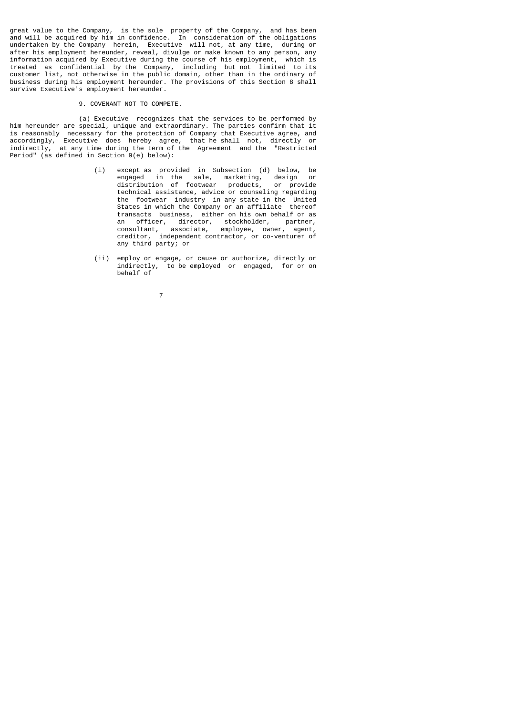great value to the Company, is the sole property of the Company, and has been and will be acquired by him in confidence. In consideration of the obligations undertaken by the Company herein, Executive will not, at any time, during or after his employment hereunder, reveal, divulge or make known to any person, any information acquired by Executive during the course of his employment, which is treated as confidential by the Company, including but not limited to its customer list, not otherwise in the public domain, other than in the ordinary of business during his employment hereunder. The provisions of this Section 8 shall survive Executive's employment hereunder.

### 9. COVENANT NOT TO COMPETE.

 (a) Executive recognizes that the services to be performed by him hereunder are special, unique and extraordinary. The parties confirm that it is reasonably necessary for the protection of Company that Executive agree, and accordingly, Executive does hereby agree, that he shall not, directly or indirectly, at any time during the term of the Agreement and the "Restricted Period" (as defined in Section 9(e) below):

- (i) except as provided in Subsection (d) below, be engaged in the sale, marketing, design or distribution of footwear products, or provide technical assistance, advice or counseling regarding the footwear industry in any state in the United States in which the Company or an affiliate thereof transacts business, either on his own behalf or as an officer, director, stockholder, partner, consultant, associate, employee, owner, agent, creditor, independent contractor, or co-venturer of any third party; or
	- (ii) employ or engage, or cause or authorize, directly or indirectly, to be employed or engaged, for or on behalf of
- 7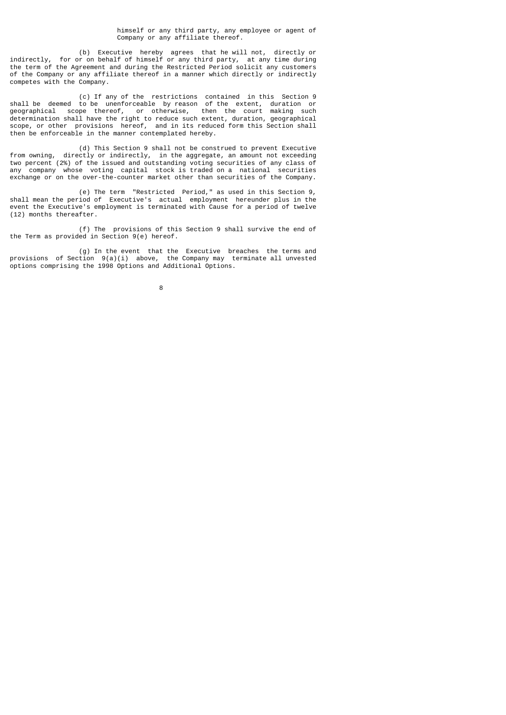himself or any third party, any employee or agent of Company or any affiliate thereof.

 (b) Executive hereby agrees that he will not, directly or indirectly, for or on behalf of himself or any third party, at any time during the term of the Agreement and during the Restricted Period solicit any customers of the Company or any affiliate thereof in a manner which directly or indirectly competes with the Company.

 (c) If any of the restrictions contained in this Section 9 shall be deemed to be unenforceable by reason of the extent, duration or geographical scope thereof, or otherwise, then the court making such determination shall have the right to reduce such extent, duration, geographical scope, or other provisions hereof, and in its reduced form this Section shall then be enforceable in the manner contemplated hereby.

 (d) This Section 9 shall not be construed to prevent Executive from owning, directly or indirectly, in the aggregate, an amount not exceeding two percent (2%) of the issued and outstanding voting securities of any class of any company whose voting capital stock is traded on a national securities exchange or on the over-the-counter market other than securities of the Company.

 (e) The term "Restricted Period," as used in this Section 9, shall mean the period of Executive's actual employment hereunder plus in the event the Executive's employment is terminated with Cause for a period of twelve (12) months thereafter.

 (f) The provisions of this Section 9 shall survive the end of the Term as provided in Section 9(e) hereof.

 (g) In the event that the Executive breaches the terms and provisions of Section 9(a)(i) above, the Company may terminate all unvested options comprising the 1998 Options and Additional Options.

e a construction de la construction de la construction de la construction de la construction de la constructio<br>En 1980, en 1980, en 1980, en 1980, en 1980, en 1980, en 1980, en 1980, en 1980, en 1980, en 1980, en 1980, en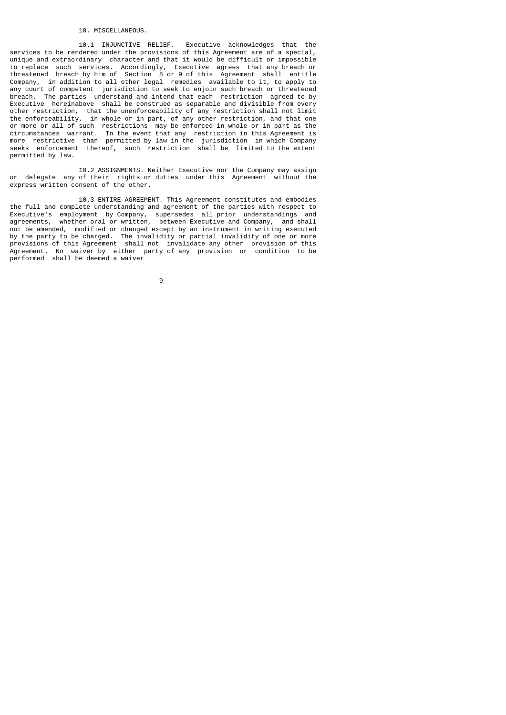#### 10. MISCELLANEOUS.

 10.1 INJUNCTIVE RELIEF. Executive acknowledges that the services to be rendered under the provisions of this Agreement are of a special, unique and extraordinary character and that it would be difficult or impossible to replace such services. Accordingly, Executive agrees that any breach or threatened breach by him of Section 8 or 9 of this Agreement shall entitle Company, in addition to all other legal remedies available to it, to apply to any court of competent jurisdiction to seek to enjoin such breach or threatened breach. The parties understand and intend that each restriction agreed to by Executive hereinabove shall be construed as separable and divisible from every other restriction, that the unenforceability of any restriction shall not limit the enforceability, in whole or in part, of any other restriction, and that one or more or all of such restrictions may be enforced in whole or in part as the circumstances warrant. In the event that any restriction in this Agreement is more restrictive than permitted by law in the jurisdiction in which Company seeks enforcement thereof, such restriction shall be limited to the extent permitted by law.

 10.2 ASSIGNMENTS. Neither Executive nor the Company may assign or delegate any of their rights or duties under this Agreement without the express written consent of the other.

 10.3 ENTIRE AGREEMENT. This Agreement constitutes and embodies the full and complete understanding and agreement of the parties with respect to Executive's employment by Company, supersedes all prior understandings and agreements, whether oral or written, between Executive and Company, and shall not be amended, modified or changed except by an instrument in writing executed by the party to be charged. The invalidity or partial invalidity of one or more provisions of this Agreement shall not invalidate any other provision of this Agreement. No waiver by either party of any provision or condition to be performed shall be deemed a waiver

9 and 20 and 20 and 20 and 20 and 20 and 20 and 20 and 20 and 20 and 20 and 20 and 20 and 20 and 20 and 20 and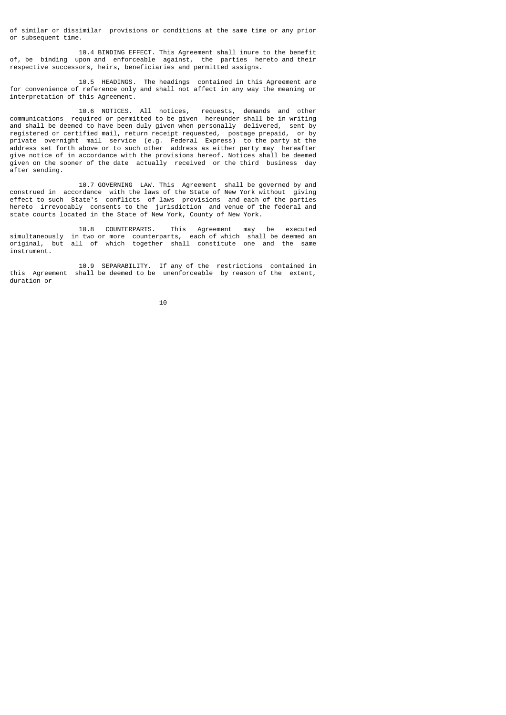of similar or dissimilar provisions or conditions at the same time or any prior or subsequent time.

 10.4 BINDING EFFECT. This Agreement shall inure to the benefit of, be binding upon and enforceable against, the parties hereto and their respective successors, heirs, beneficiaries and permitted assigns.

 10.5 HEADINGS. The headings contained in this Agreement are for convenience of reference only and shall not affect in any way the meaning or interpretation of this Agreement.

 10.6 NOTICES. All notices, requests, demands and other communications required or permitted to be given hereunder shall be in writing and shall be deemed to have been duly given when personally delivered, sent by registered or certified mail, return receipt requested, postage prepaid, or by private overnight mail service (e.g. Federal Express) to the party at the address set forth above or to such other address as either party may hereafter give notice of in accordance with the provisions hereof. Notices shall be deemed given on the sooner of the date actually received or the third business day after sending.

 10.7 GOVERNING LAW. This Agreement shall be governed by and construed in accordance with the laws of the State of New York without giving effect to such State's conflicts of laws provisions and each of the parties hereto irrevocably consents to the jurisdiction and venue of the federal and state courts located in the State of New York, County of New York.

 10.8 COUNTERPARTS. This Agreement may be executed simultaneously in two or more counterparts, each of which shall be deemed an original, but all of which together shall constitute one and the same instrument.

 10.9 SEPARABILITY. If any of the restrictions contained in this Agreement shall be deemed to be unenforceable by reason of the extent, duration or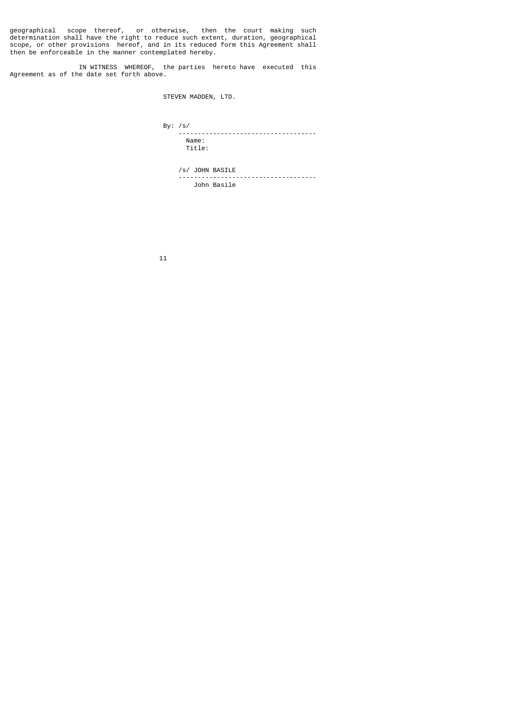geographical scope thereof, or otherwise, then the court making such determination shall have the right to reduce such extent, duration, geographical scope, or other provisions hereof, and in its reduced form this Agreement shall then be enforceable in the manner contemplated hereby.

 IN WITNESS WHEREOF, the parties hereto have executed this Agreement as of the date set forth above.

STEVEN MADDEN, LTD.

 By: /s/ ------------------------------------ Name: Title:

 /s/ JOHN BASILE ------------------------------------ John Basile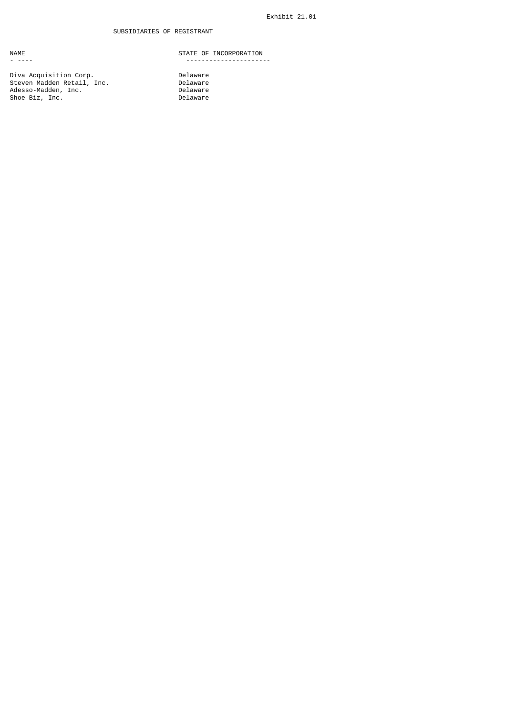Diva Acquisition Corp. Delaware Steven Madden Retail, Inc. Delaware Adesso-Madden, Inc. Delaware Shoe Biz, Inc. Delaware

NAME STATE OF INCORPORATION - ---- ----------------------